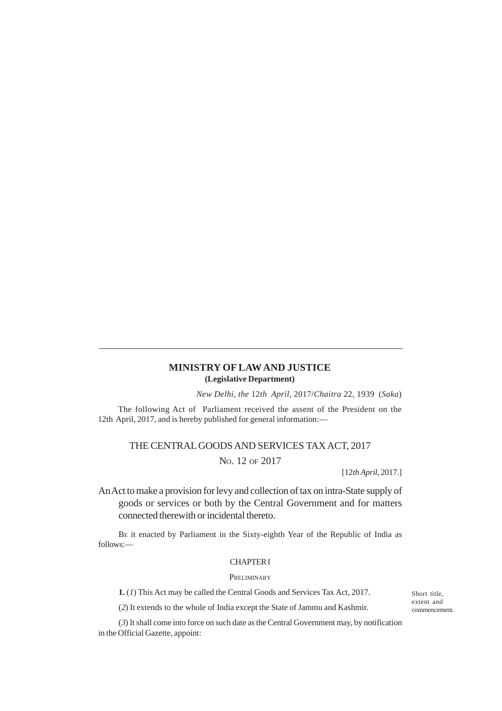# **MINISTRY OF LAW AND JUSTICE (Legislative Department)**

*New Delhi, the* 12*th April,* 2017/*Chaitra* 22*,* 1939 (*Saka*)

The following Act of Parliament received the assent of the President on the 12th April, 2017, and is hereby published for general information:—

# THE CENTRAL GOODS AND SERVICES TAX ACT, 2017

NO. 12 OF 2017

[12*th April,* 2017.]

An Act to make a provision for levy and collection of tax on intra-State supply of goods or services or both by the Central Government and for matters connected therewith or incidental thereto.

BE it enacted by Parliament in the Sixty-eighth Year of the Republic of India as follows:—

## CHAPTER I

# **PRELIMINARY**

**1.** (*1*) This Act may be called the Central Goods and Services Tax Act, 2017.

(*2*) It extends to the whole of India except the State of Jammu and Kashmir.

(*3*) It shall come into force on such date as the Central Government may, by notification in the Official Gazette, appoint:

Short title, extent and commencement.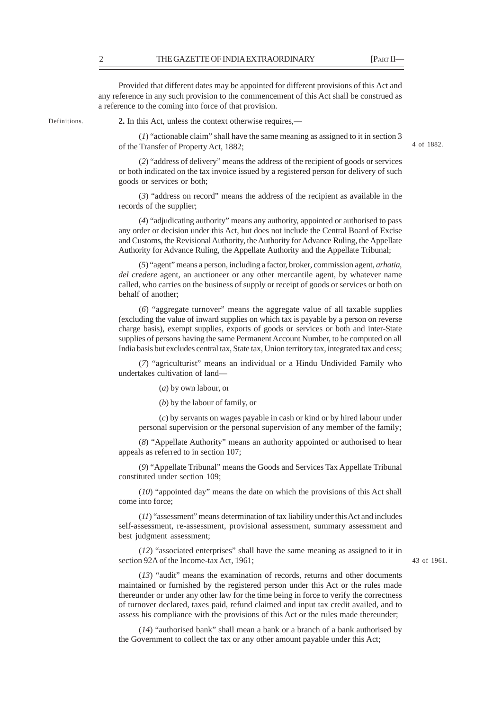Provided that different dates may be appointed for different provisions of this Act and any reference in any such provision to the commencement of this Act shall be construed as a reference to the coming into force of that provision.

Definitions.

**2.** In this Act, unless the context otherwise requires,––

(*1*) "actionable claim" shall have the same meaning as assigned to it in section 3 of the Transfer of Property Act, 1882;

4 of 1882.

(*2*) "address of delivery" means the address of the recipient of goods or services or both indicated on the tax invoice issued by a registered person for delivery of such goods or services or both;

(*3*) "address on record" means the address of the recipient as available in the records of the supplier;

(*4*) "adjudicating authority" means any authority, appointed or authorised to pass any order or decision under this Act, but does not include the Central Board of Excise and Customs, the Revisional Authority, the Authority for Advance Ruling, the Appellate Authority for Advance Ruling, the Appellate Authority and the Appellate Tribunal;

(*5*) "agent" means a person, including a factor, broker, commission agent, *arhatia*, *del credere* agent, an auctioneer or any other mercantile agent, by whatever name called, who carries on the business of supply or receipt of goods or services or both on behalf of another;

(*6*) "aggregate turnover" means the aggregate value of all taxable supplies (excluding the value of inward supplies on which tax is payable by a person on reverse charge basis), exempt supplies, exports of goods or services or both and inter-State supplies of persons having the same Permanent Account Number, to be computed on all India basis but excludes central tax, State tax, Union territory tax, integrated tax and cess;

(*7*) "agriculturist" means an individual or a Hindu Undivided Family who undertakes cultivation of land—

(*a*) by own labour, or

(*b*) by the labour of family, or

(*c*) by servants on wages payable in cash or kind or by hired labour under personal supervision or the personal supervision of any member of the family;

(*8*) "Appellate Authority" means an authority appointed or authorised to hear appeals as referred to in section 107;

(*9*) "Appellate Tribunal" means the Goods and Services Tax Appellate Tribunal constituted under section 109;

(*10*) "appointed day" means the date on which the provisions of this Act shall come into force;

(*11*) "assessment" means determination of tax liability under this Act and includes self-assessment, re-assessment, provisional assessment, summary assessment and best judgment assessment;

(*12*) "associated enterprises" shall have the same meaning as assigned to it in section 92A of the Income-tax Act, 1961;

43 of 1961.

(*13*) "audit" means the examination of records, returns and other documents maintained or furnished by the registered person under this Act or the rules made thereunder or under any other law for the time being in force to verify the correctness of turnover declared, taxes paid, refund claimed and input tax credit availed, and to assess his compliance with the provisions of this Act or the rules made thereunder;

(*14*) "authorised bank" shall mean a bank or a branch of a bank authorised by the Government to collect the tax or any other amount payable under this Act;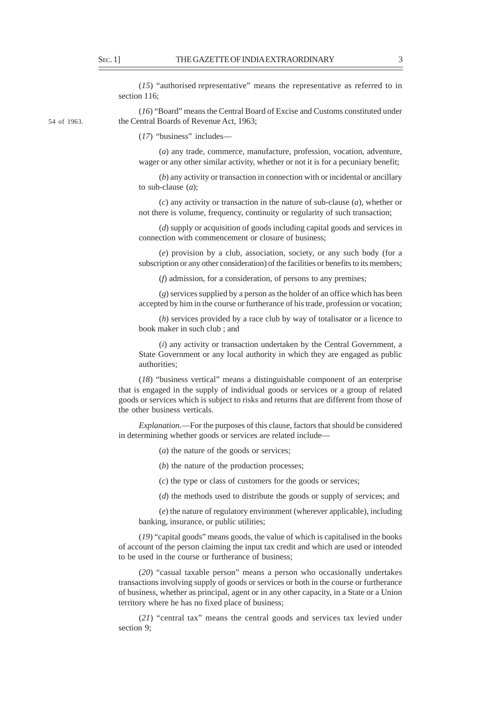(*15*) "authorised representative" means the representative as referred to in section 116;

54 of 1963.

(*16*) "Board" means the Central Board of Excise and Customs constituted under the Central Boards of Revenue Act, 1963;

(*17*) "business" includes––

(*a*) any trade, commerce, manufacture, profession, vocation, adventure, wager or any other similar activity, whether or not it is for a pecuniary benefit;

(*b*) any activity or transaction in connection with or incidental or ancillary to sub-clause (*a*);

(*c*) any activity or transaction in the nature of sub-clause (*a*), whether or not there is volume, frequency, continuity or regularity of such transaction;

(*d*) supply or acquisition of goods including capital goods and services in connection with commencement or closure of business;

(*e*) provision by a club, association, society, or any such body (for a subscription or any other consideration) of the facilities or benefits to its members;

(*f*) admission, for a consideration, of persons to any premises;

(*g*) services supplied by a person as the holder of an office which has been accepted by him in the course or furtherance of his trade, profession or vocation;

(*h*) services provided by a race club by way of totalisator or a licence to book maker in such club ; and

(*i*) any activity or transaction undertaken by the Central Government, a State Government or any local authority in which they are engaged as public authorities;

(*18*) "business vertical" means a distinguishable component of an enterprise that is engaged in the supply of individual goods or services or a group of related goods or services which is subject to risks and returns that are different from those of the other business verticals.

*Explanation.––*For the purposes of this clause, factors that should be considered in determining whether goods or services are related include––

(*a*) the nature of the goods or services;

(*b*) the nature of the production processes;

(*c*) the type or class of customers for the goods or services;

(*d*) the methods used to distribute the goods or supply of services; and

(*e*) the nature of regulatory environment (wherever applicable), including banking, insurance, or public utilities;

(*19*) "capital goods" means goods, the value of which is capitalised in the books of account of the person claiming the input tax credit and which are used or intended to be used in the course or furtherance of business;

(*20*) "casual taxable person" means a person who occasionally undertakes transactions involving supply of goods or services or both in the course or furtherance of business, whether as principal, agent or in any other capacity, in a State or a Union territory where he has no fixed place of business;

(*21*) "central tax" means the central goods and services tax levied under section 9;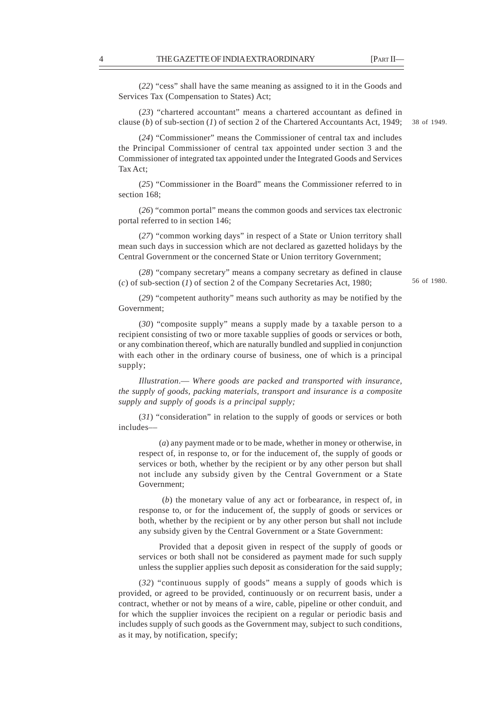(*22*) "cess" shall have the same meaning as assigned to it in the Goods and Services Tax (Compensation to States) Act;

(*23*) "chartered accountant" means a chartered accountant as defined in clause (*b*) of sub-section (*1*) of section 2 of the Chartered Accountants Act, 1949; 38 of 1949.

(*24*) "Commissioner" means the Commissioner of central tax and includes the Principal Commissioner of central tax appointed under section 3 and the Commissioner of integrated tax appointed under the Integrated Goods and Services Tax Act;

(*25*) "Commissioner in the Board" means the Commissioner referred to in section 168;

(*26*) "common portal" means the common goods and services tax electronic portal referred to in section 146;

(*27*) "common working days" in respect of a State or Union territory shall mean such days in succession which are not declared as gazetted holidays by the Central Government or the concerned State or Union territory Government;

(*28*) "company secretary" means a company secretary as defined in clause (*c*) of sub-section (*1*) of section 2 of the Company Secretaries Act, 1980;

56 of 1980.

(*29*) "competent authority" means such authority as may be notified by the Government;

(*30*) "composite supply" means a supply made by a taxable person to a recipient consisting of two or more taxable supplies of goods or services or both, or any combination thereof, which are naturally bundled and supplied in conjunction with each other in the ordinary course of business, one of which is a principal supply;

*Illustration*.— *Where goods are packed and transported with insurance, the supply of goods, packing materials, transport and insurance is a composite supply and supply of goods is a principal supply;*

(*31*) "consideration" in relation to the supply of goods or services or both includes––

(*a*) any payment made or to be made, whether in money or otherwise, in respect of, in response to, or for the inducement of, the supply of goods or services or both, whether by the recipient or by any other person but shall not include any subsidy given by the Central Government or a State Government;

 (*b*) the monetary value of any act or forbearance, in respect of, in response to, or for the inducement of, the supply of goods or services or both, whether by the recipient or by any other person but shall not include any subsidy given by the Central Government or a State Government:

Provided that a deposit given in respect of the supply of goods or services or both shall not be considered as payment made for such supply unless the supplier applies such deposit as consideration for the said supply;

(*32*) "continuous supply of goods" means a supply of goods which is provided, or agreed to be provided, continuously or on recurrent basis, under a contract, whether or not by means of a wire, cable, pipeline or other conduit, and for which the supplier invoices the recipient on a regular or periodic basis and includes supply of such goods as the Government may, subject to such conditions, as it may, by notification, specify;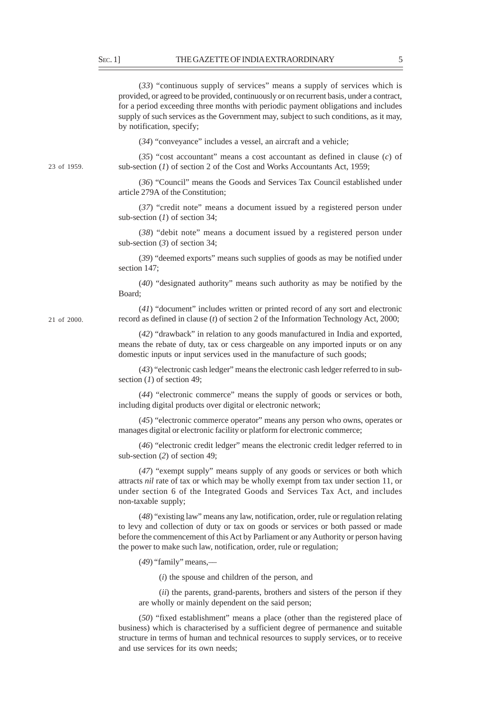(*33*) "continuous supply of services" means a supply of services which is provided, or agreed to be provided, continuously or on recurrent basis, under a contract, for a period exceeding three months with periodic payment obligations and includes supply of such services as the Government may, subject to such conditions, as it may, by notification, specify;

(*34*) "conveyance" includes a vessel, an aircraft and a vehicle;

(*35*) "cost accountant" means a cost accountant as defined in clause (*c*) of sub-section (*1*) of section 2 of the Cost and Works Accountants Act, 1959;

(*36*) "Council" means the Goods and Services Tax Council established under article 279A of the Constitution;

(*37*) "credit note" means a document issued by a registered person under sub-section (*1*) of section 34;

(*38*) "debit note" means a document issued by a registered person under sub-section (*3*) of section 34;

(*39*) "deemed exports" means such supplies of goods as may be notified under section 147;

(*40*) "designated authority" means such authority as may be notified by the Board;

(*41*) "document" includes written or printed record of any sort and electronic record as defined in clause (*t*) of section 2 of the Information Technology Act, 2000;

(*42*) "drawback" in relation to any goods manufactured in India and exported, means the rebate of duty, tax or cess chargeable on any imported inputs or on any domestic inputs or input services used in the manufacture of such goods;

(*43*) "electronic cash ledger" means the electronic cash ledger referred to in subsection (*1*) of section 49;

(*44*) "electronic commerce" means the supply of goods or services or both, including digital products over digital or electronic network;

(*45*) "electronic commerce operator" means any person who owns, operates or manages digital or electronic facility or platform for electronic commerce;

(*46*) "electronic credit ledger" means the electronic credit ledger referred to in sub-section (*2*) of section 49;

(*47*) "exempt supply" means supply of any goods or services or both which attracts *nil* rate of tax or which may be wholly exempt from tax under section 11, or under section 6 of the Integrated Goods and Services Tax Act, and includes non-taxable supply;

(*48*) "existing law" means any law, notification, order, rule or regulation relating to levy and collection of duty or tax on goods or services or both passed or made before the commencement of this Act by Parliament or any Authority or person having the power to make such law, notification, order, rule or regulation;

(*49*) "family" means,––

(*i*) the spouse and children of the person, and

(*ii*) the parents, grand-parents, brothers and sisters of the person if they are wholly or mainly dependent on the said person;

(*50*) "fixed establishment" means a place (other than the registered place of business) which is characterised by a sufficient degree of permanence and suitable structure in terms of human and technical resources to supply services, or to receive and use services for its own needs;

21 of 2000.

23 of 1959.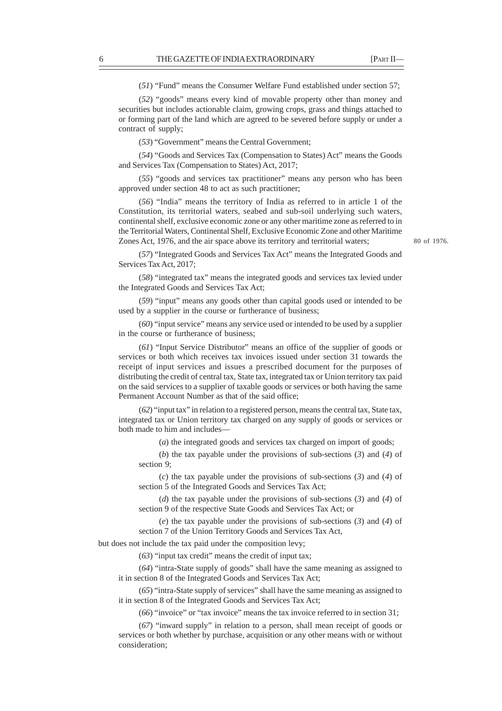(*51*) "Fund" means the Consumer Welfare Fund established under section 57;

(*52*) "goods" means every kind of movable property other than money and securities but includes actionable claim, growing crops, grass and things attached to or forming part of the land which are agreed to be severed before supply or under a contract of supply;

(*53*) "Government" means the Central Government;

(*54*) "Goods and Services Tax (Compensation to States) Act" means the Goods and Services Tax (Compensation to States) Act, 2017;

(*55*) "goods and services tax practitioner" means any person who has been approved under section 48 to act as such practitioner;

(*56*) "India" means the territory of India as referred to in article 1 of the Constitution, its territorial waters, seabed and sub-soil underlying such waters, continental shelf, exclusive economic zone or any other maritime zone as referred to in the Territorial Waters, Continental Shelf, Exclusive Economic Zone and other Maritime Zones Act, 1976, and the air space above its territory and territorial waters;

(*57*) "Integrated Goods and Services Tax Act" means the Integrated Goods and Services Tax Act, 2017;

(*58*) "integrated tax" means the integrated goods and services tax levied under the Integrated Goods and Services Tax Act;

(*59*) "input" means any goods other than capital goods used or intended to be used by a supplier in the course or furtherance of business;

(*60*) "input service" means any service used or intended to be used by a supplier in the course or furtherance of business;

(*61*) "Input Service Distributor" means an office of the supplier of goods or services or both which receives tax invoices issued under section 31 towards the receipt of input services and issues a prescribed document for the purposes of distributing the credit of central tax, State tax, integrated tax or Union territory tax paid on the said services to a supplier of taxable goods or services or both having the same Permanent Account Number as that of the said office;

(*62*) "input tax" in relation to a registered person, means the central tax, State tax, integrated tax or Union territory tax charged on any supply of goods or services or both made to him and includes—

(*a*) the integrated goods and services tax charged on import of goods;

(*b*) the tax payable under the provisions of sub-sections (*3*) and (*4*) of section 9;

(*c*) the tax payable under the provisions of sub-sections (*3*) and (*4*) of section 5 of the Integrated Goods and Services Tax Act;

(*d*) the tax payable under the provisions of sub-sections (*3*) and (*4*) of section 9 of the respective State Goods and Services Tax Act; or

(*e*) the tax payable under the provisions of sub-sections (*3*) and (*4*) of section 7 of the Union Territory Goods and Services Tax Act,

but does not include the tax paid under the composition levy;

(*63*) "input tax credit" means the credit of input tax;

(*64*) "intra-State supply of goods" shall have the same meaning as assigned to it in section 8 of the Integrated Goods and Services Tax Act;

(*65*) "intra-State supply of services" shall have the same meaning as assigned to it in section 8 of the Integrated Goods and Services Tax Act;

(*66*) "invoice" or "tax invoice" means the tax invoice referred to in section 31;

(*67*) "inward supply" in relation to a person, shall mean receipt of goods or services or both whether by purchase, acquisition or any other means with or without consideration;

80 of 1976.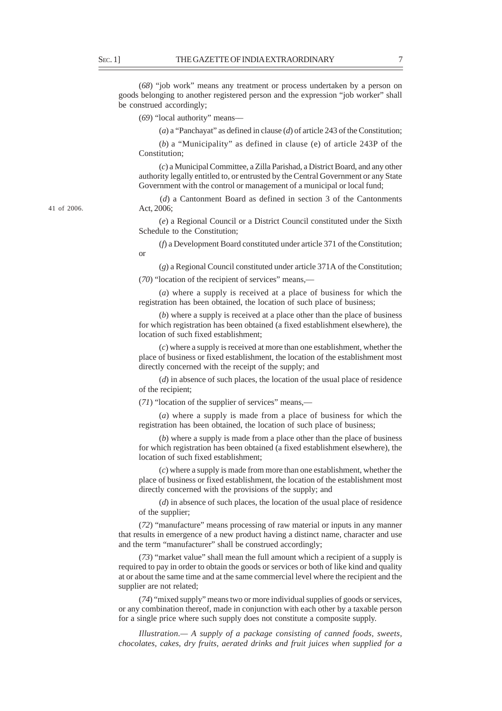(*68*) "job work" means any treatment or process undertaken by a person on goods belonging to another registered person and the expression "job worker" shall be construed accordingly;

(*69*) "local authority" means––

(*a*) a "Panchayat" as defined in clause (*d*) of article 243 of the Constitution;

(*b*) a "Municipality" as defined in clause (e) of article 243P of the Constitution;

(*c*) a Municipal Committee, a Zilla Parishad, a District Board, and any other authority legally entitled to, or entrusted by the Central Government or any State Government with the control or management of a municipal or local fund;

(*d*) a Cantonment Board as defined in section 3 of the Cantonments Act, 2006;

(*e*) a Regional Council or a District Council constituted under the Sixth Schedule to the Constitution;

(*f*) a Development Board constituted under article 371 of the Constitution; or

(*g*) a Regional Council constituted under article 371A of the Constitution;

(*70*) "location of the recipient of services" means,—

(*a*) where a supply is received at a place of business for which the registration has been obtained, the location of such place of business;

(*b*) where a supply is received at a place other than the place of business for which registration has been obtained (a fixed establishment elsewhere), the location of such fixed establishment;

(*c*) where a supply is received at more than one establishment, whether the place of business or fixed establishment, the location of the establishment most directly concerned with the receipt of the supply; and

(*d*) in absence of such places, the location of the usual place of residence of the recipient;

(*71*) "location of the supplier of services" means,—

(*a*) where a supply is made from a place of business for which the registration has been obtained, the location of such place of business;

(*b*) where a supply is made from a place other than the place of business for which registration has been obtained (a fixed establishment elsewhere), the location of such fixed establishment;

(*c*) where a supply is made from more than one establishment, whether the place of business or fixed establishment, the location of the establishment most directly concerned with the provisions of the supply; and

(*d*) in absence of such places, the location of the usual place of residence of the supplier;

(*72*) "manufacture" means processing of raw material or inputs in any manner that results in emergence of a new product having a distinct name, character and use and the term "manufacturer" shall be construed accordingly;

(*73*) "market value" shall mean the full amount which a recipient of a supply is required to pay in order to obtain the goods or services or both of like kind and quality at or about the same time and at the same commercial level where the recipient and the supplier are not related;

(*74*) "mixed supply" means two or more individual supplies of goods or services, or any combination thereof, made in conjunction with each other by a taxable person for a single price where such supply does not constitute a composite supply.

*Illustration.— A supply of a package consisting of canned foods, sweets, chocolates, cakes, dry fruits, aerated drinks and fruit juices when supplied for a*

41 of 2006.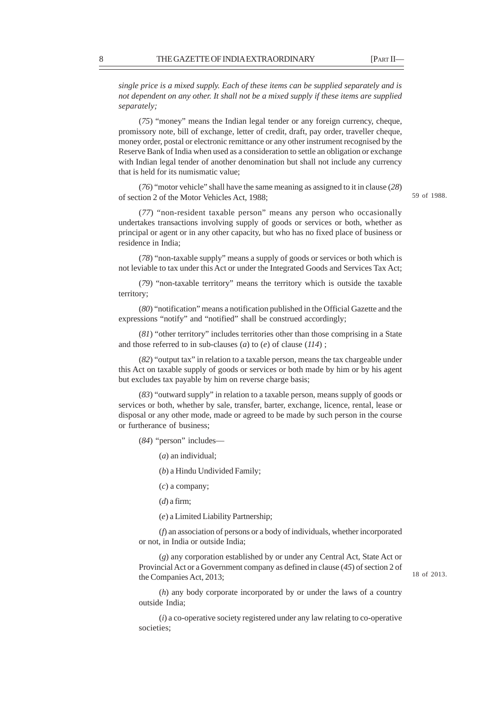*single price is a mixed supply. Each of these items can be supplied separately and is not dependent on any other. It shall not be a mixed supply if these items are supplied separately;*

(*75*) "money" means the Indian legal tender or any foreign currency, cheque, promissory note, bill of exchange, letter of credit, draft, pay order, traveller cheque, money order, postal or electronic remittance or any other instrument recognised by the Reserve Bank of India when used as a consideration to settle an obligation or exchange with Indian legal tender of another denomination but shall not include any currency that is held for its numismatic value;

(*76*) "motor vehicle" shall have the same meaning as assigned to it in clause (*28*) of section 2 of the Motor Vehicles Act, 1988;

(*77*) "non-resident taxable person" means any person who occasionally undertakes transactions involving supply of goods or services or both, whether as principal or agent or in any other capacity, but who has no fixed place of business or residence in India;

(*78*) "non-taxable supply" means a supply of goods or services or both which is not leviable to tax under this Act or under the Integrated Goods and Services Tax Act;

(*79*) "non-taxable territory" means the territory which is outside the taxable territory;

(*80*) "notification" means a notification published in the Official Gazette and the expressions "notify" and "notified" shall be construed accordingly;

(*81*) "other territory" includes territories other than those comprising in a State and those referred to in sub-clauses (*a*) to (*e*) of clause (*114*) ;

(*82*) "output tax" in relation to a taxable person, means the tax chargeable under this Act on taxable supply of goods or services or both made by him or by his agent but excludes tax payable by him on reverse charge basis;

(*83*) "outward supply" in relation to a taxable person, means supply of goods or services or both, whether by sale, transfer, barter, exchange, licence, rental, lease or disposal or any other mode, made or agreed to be made by such person in the course or furtherance of business;

(*84*) "person" includes—

(*a*) an individual;

(*b*) a Hindu Undivided Family;

(*c*) a company;

(*d*) a firm;

(*e*) a Limited Liability Partnership;

(*f*) an association of persons or a body of individuals, whether incorporated or not, in India or outside India;

(*g*) any corporation established by or under any Central Act, State Act or Provincial Act or a Government company as defined in clause (*45*) of section 2 of the Companies Act, 2013;

(*h*) any body corporate incorporated by or under the laws of a country outside India;

(*i*) a co-operative society registered under any law relating to co-operative societies;

59 of 1988.

18 of 2013.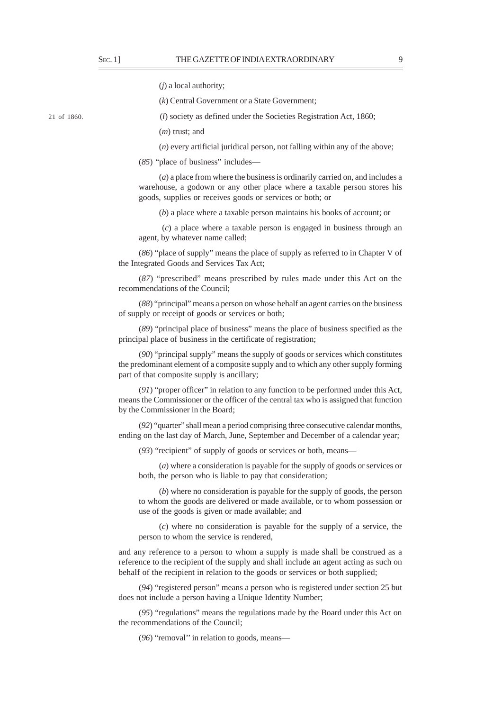(*j*) a local authority;

(*k*) Central Government or a State Government;

(*l*) society as defined under the Societies Registration Act, 1860;

(*m*) trust; and

(*n*) every artificial juridical person, not falling within any of the above;

(*85*) "place of business" includes––

(*a*) a place from where the business is ordinarily carried on, and includes a warehouse, a godown or any other place where a taxable person stores his goods, supplies or receives goods or services or both; or

(*b*) a place where a taxable person maintains his books of account; or

 (*c*) a place where a taxable person is engaged in business through an agent, by whatever name called;

(*86*) "place of supply" means the place of supply as referred to in Chapter V of the Integrated Goods and Services Tax Act;

(*87*) "prescribed" means prescribed by rules made under this Act on the recommendations of the Council;

(*88*) "principal" means a person on whose behalf an agent carries on the business of supply or receipt of goods or services or both;

(*89*) "principal place of business" means the place of business specified as the principal place of business in the certificate of registration;

(*90*) "principal supply" means the supply of goods or services which constitutes the predominant element of a composite supply and to which any other supply forming part of that composite supply is ancillary;

(*91*) "proper officer" in relation to any function to be performed under this Act, means the Commissioner or the officer of the central tax who is assigned that function by the Commissioner in the Board;

(*92*) "quarter" shall mean a period comprising three consecutive calendar months, ending on the last day of March, June, September and December of a calendar year;

(*93*) "recipient" of supply of goods or services or both, means—

(*a*) where a consideration is payable for the supply of goods or services or both, the person who is liable to pay that consideration;

(*b*) where no consideration is payable for the supply of goods, the person to whom the goods are delivered or made available, or to whom possession or use of the goods is given or made available; and

(*c*) where no consideration is payable for the supply of a service, the person to whom the service is rendered,

and any reference to a person to whom a supply is made shall be construed as a reference to the recipient of the supply and shall include an agent acting as such on behalf of the recipient in relation to the goods or services or both supplied;

(*94*) "registered person" means a person who is registered under section 25 but does not include a person having a Unique Identity Number;

(*95*) "regulations" means the regulations made by the Board under this Act on the recommendations of the Council;

(*96*) "removal'' in relation to goods, means—

21 of 1860.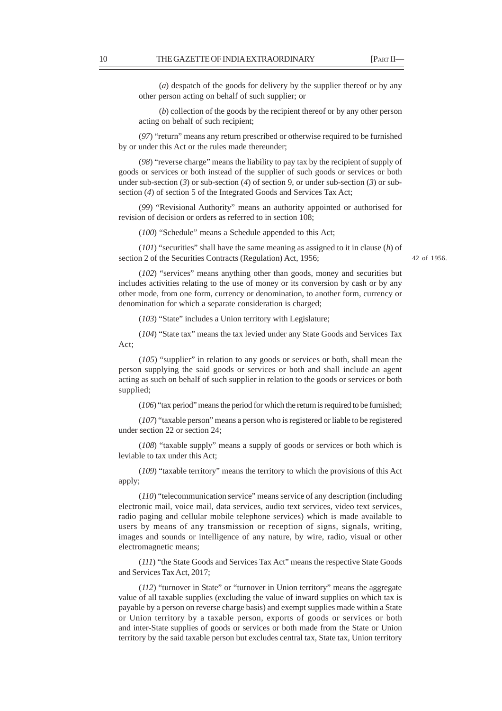(*a*) despatch of the goods for delivery by the supplier thereof or by any other person acting on behalf of such supplier; or

(*b*) collection of the goods by the recipient thereof or by any other person acting on behalf of such recipient;

(*97*) "return" means any return prescribed or otherwise required to be furnished by or under this Act or the rules made thereunder;

(*98*) "reverse charge" means the liability to pay tax by the recipient of supply of goods or services or both instead of the supplier of such goods or services or both under sub-section (*3*) or sub-section (*4*) of section 9, or under sub-section (*3*) or subsection (4) of section 5 of the Integrated Goods and Services Tax Act;

(*99*) "Revisional Authority" means an authority appointed or authorised for revision of decision or orders as referred to in section 108;

(*100*) "Schedule" means a Schedule appended to this Act;

(*101*) "securities" shall have the same meaning as assigned to it in clause (*h*) of section 2 of the Securities Contracts (Regulation) Act, 1956;

42 of 1956.

(*102*) "services" means anything other than goods, money and securities but includes activities relating to the use of money or its conversion by cash or by any other mode, from one form, currency or denomination, to another form, currency or denomination for which a separate consideration is charged;

(*103*) "State" includes a Union territory with Legislature;

(*104*) "State tax" means the tax levied under any State Goods and Services Tax Act;

(*105*) "supplier" in relation to any goods or services or both, shall mean the person supplying the said goods or services or both and shall include an agent acting as such on behalf of such supplier in relation to the goods or services or both supplied;

(*106*) "tax period" means the period for which the return is required to be furnished;

(*107*) "taxable person" means a person who is registered or liable to be registered under section 22 or section 24;

(*108*) "taxable supply" means a supply of goods or services or both which is leviable to tax under this Act;

(*109*) "taxable territory" means the territory to which the provisions of this Act apply;

(*110*) "telecommunication service" means service of any description (including electronic mail, voice mail, data services, audio text services, video text services, radio paging and cellular mobile telephone services) which is made available to users by means of any transmission or reception of signs, signals, writing, images and sounds or intelligence of any nature, by wire, radio, visual or other electromagnetic means;

(*111*) "the State Goods and Services Tax Act" means the respective State Goods and Services Tax Act, 2017;

(*112*) "turnover in State" or "turnover in Union territory" means the aggregate value of all taxable supplies (excluding the value of inward supplies on which tax is payable by a person on reverse charge basis) and exempt supplies made within a State or Union territory by a taxable person, exports of goods or services or both and inter-State supplies of goods or services or both made from the State or Union territory by the said taxable person but excludes central tax, State tax, Union territory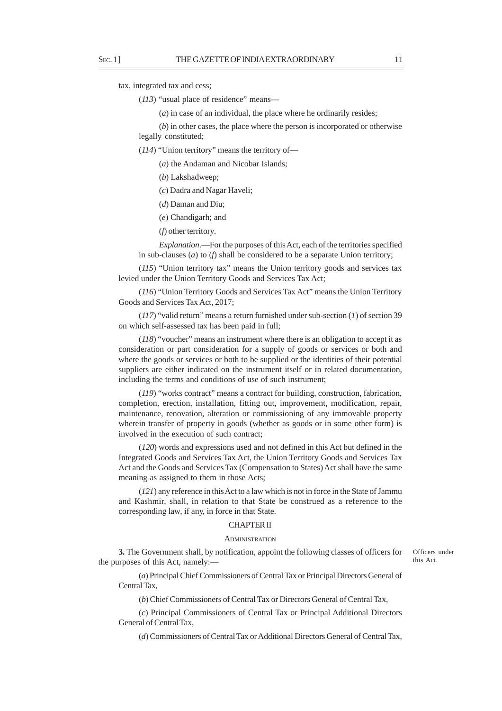tax, integrated tax and cess;

(*113*) "usual place of residence" means––

(*a*) in case of an individual, the place where he ordinarily resides;

(*b*) in other cases, the place where the person is incorporated or otherwise legally constituted;

(*114*) "Union territory" means the territory of—

(*a*) the Andaman and Nicobar Islands;

(*b*) Lakshadweep;

(*c*) Dadra and Nagar Haveli;

(*d*) Daman and Diu;

(*e*) Chandigarh; and

(*f*) other territory.

*Explanation*.––For the purposes of this Act, each of the territories specified in sub-clauses (*a*) to (*f*) shall be considered to be a separate Union territory;

(*115*) "Union territory tax" means the Union territory goods and services tax levied under the Union Territory Goods and Services Tax Act;

(*116*) "Union Territory Goods and Services Tax Act" means the Union Territory Goods and Services Tax Act, 2017;

(*117*) "valid return" means a return furnished under sub-section (*1*) of section 39 on which self-assessed tax has been paid in full;

(*118*) "voucher" means an instrument where there is an obligation to accept it as consideration or part consideration for a supply of goods or services or both and where the goods or services or both to be supplied or the identities of their potential suppliers are either indicated on the instrument itself or in related documentation, including the terms and conditions of use of such instrument;

(*119*) "works contract" means a contract for building, construction, fabrication, completion, erection, installation, fitting out, improvement, modification, repair, maintenance, renovation, alteration or commissioning of any immovable property wherein transfer of property in goods (whether as goods or in some other form) is involved in the execution of such contract;

(*120*) words and expressions used and not defined in this Act but defined in the Integrated Goods and Services Tax Act, the Union Territory Goods and Services Tax Act and the Goods and Services Tax (Compensation to States) Act shall have the same meaning as assigned to them in those Acts;

(*121*) any reference in this Act to a law which is not in force in the State of Jammu and Kashmir, shall, in relation to that State be construed as a reference to the corresponding law, if any, in force in that State.

### CHAPTER II

## **ADMINISTRATION**

**3.** The Government shall, by notification, appoint the following classes of officers for the purposes of this Act, namely:––

Officers under this Act.

(*a*) Principal Chief Commissioners of Central Tax or Principal Directors General of Central Tax,

(*b*) Chief Commissioners of Central Tax or Directors General of Central Tax,

(*c*) Principal Commissioners of Central Tax or Principal Additional Directors General of Central Tax,

(*d*) Commissioners of Central Tax or Additional Directors General of Central Tax,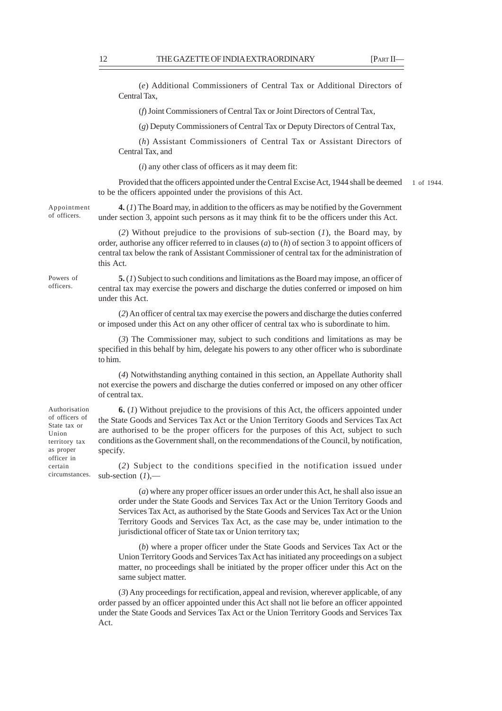(*e*) Additional Commissioners of Central Tax or Additional Directors of Central Tax,

(*f*) Joint Commissioners of Central Tax or Joint Directors of Central Tax,

(*g*) Deputy Commissioners of Central Tax or Deputy Directors of Central Tax,

(*h*) Assistant Commissioners of Central Tax or Assistant Directors of Central Tax, and

(*i*) any other class of officers as it may deem fit:

Provided that the officers appointed under the Central Excise Act, 1944 shall be deemed to be the officers appointed under the provisions of this Act. 1 of 1944.

Appointment of officers.

**4.** (*1*) The Board may, in addition to the officers as may be notified by the Government under section 3, appoint such persons as it may think fit to be the officers under this Act.

(*2*) Without prejudice to the provisions of sub-section (*1*), the Board may, by order, authorise any officer referred to in clauses (*a*) to (*h*) of section 3 to appoint officers of central tax below the rank of Assistant Commissioner of central tax for the administration of this Act.

Powers of officers.

**5.** (*1*) Subject to such conditions and limitations as the Board may impose, an officer of central tax may exercise the powers and discharge the duties conferred or imposed on him under this Act.

(*2*) An officer of central tax may exercise the powers and discharge the duties conferred or imposed under this Act on any other officer of central tax who is subordinate to him.

(*3*) The Commissioner may, subject to such conditions and limitations as may be specified in this behalf by him, delegate his powers to any other officer who is subordinate to him.

(*4*) Notwithstanding anything contained in this section, an Appellate Authority shall not exercise the powers and discharge the duties conferred or imposed on any other officer of central tax.

**6.** (*1*) Without prejudice to the provisions of this Act, the officers appointed under the State Goods and Services Tax Act or the Union Territory Goods and Services Tax Act are authorised to be the proper officers for the purposes of this Act, subject to such conditions as the Government shall, on the recommendations of the Council, by notification, specify.

(*2*) Subject to the conditions specified in the notification issued under sub-section (*1*),––

(*a*) where any proper officer issues an order under this Act, he shall also issue an order under the State Goods and Services Tax Act or the Union Territory Goods and Services Tax Act, as authorised by the State Goods and Services Tax Act or the Union Territory Goods and Services Tax Act, as the case may be, under intimation to the jurisdictional officer of State tax or Union territory tax;

(*b*) where a proper officer under the State Goods and Services Tax Act or the Union Territory Goods and Services Tax Act has initiated any proceedings on a subject matter, no proceedings shall be initiated by the proper officer under this Act on the same subject matter.

(*3*) Any proceedings for rectification, appeal and revision, wherever applicable, of any order passed by an officer appointed under this Act shall not lie before an officer appointed under the State Goods and Services Tax Act or the Union Territory Goods and Services Tax Act.

Authorisation of officers of State tax or Union territory tax as proper officer in certain circumstances.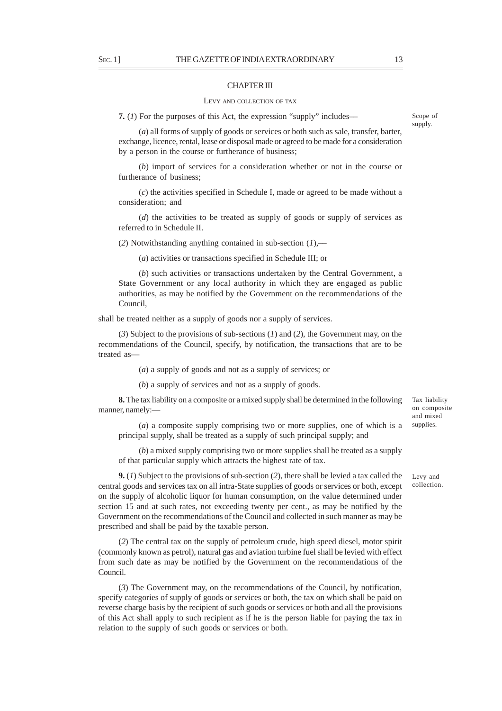### CHAPTER III

#### LEVY AND COLLECTION OF TAX

**7.** (*1*) For the purposes of this Act, the expression "supply" includes––

(*a*) all forms of supply of goods or services or both such as sale, transfer, barter, exchange, licence, rental, lease or disposal made or agreed to be made for a consideration by a person in the course or furtherance of business;

(*b*) import of services for a consideration whether or not in the course or furtherance of business;

(*c*) the activities specified in Schedule I, made or agreed to be made without a consideration; and

(*d*) the activities to be treated as supply of goods or supply of services as referred to in Schedule II.

(*2*) Notwithstanding anything contained in sub-section (*1*),––

(*a*) activities or transactions specified in Schedule III; or

(*b*) such activities or transactions undertaken by the Central Government, a State Government or any local authority in which they are engaged as public authorities, as may be notified by the Government on the recommendations of the Council,

shall be treated neither as a supply of goods nor a supply of services.

(*3*) Subject to the provisions of sub-sections (*1*) and (*2*), the Government may, on the recommendations of the Council, specify, by notification, the transactions that are to be treated as—

(*a*) a supply of goods and not as a supply of services; or

(*b*) a supply of services and not as a supply of goods.

**8.** The tax liability on a composite or a mixed supply shall be determined in the following manner, namely:—

(*a*) a composite supply comprising two or more supplies, one of which is a principal supply, shall be treated as a supply of such principal supply; and

(*b*) a mixed supply comprising two or more supplies shall be treated as a supply of that particular supply which attracts the highest rate of tax.

**9.** (*1*) Subject to the provisions of sub-section (*2*), there shall be levied a tax called the central goods and services tax on all intra-State supplies of goods or services or both, except on the supply of alcoholic liquor for human consumption, on the value determined under section 15 and at such rates, not exceeding twenty per cent., as may be notified by the Government on the recommendations of the Council and collected in such manner as may be prescribed and shall be paid by the taxable person.

(*2*) The central tax on the supply of petroleum crude, high speed diesel, motor spirit (commonly known as petrol), natural gas and aviation turbine fuel shall be levied with effect from such date as may be notified by the Government on the recommendations of the Council.

(*3*) The Government may, on the recommendations of the Council, by notification, specify categories of supply of goods or services or both, the tax on which shall be paid on reverse charge basis by the recipient of such goods or services or both and all the provisions of this Act shall apply to such recipient as if he is the person liable for paying the tax in relation to the supply of such goods or services or both.

Tax liability on composite and mixed supplies.

Levy and collection.

Scope of supply.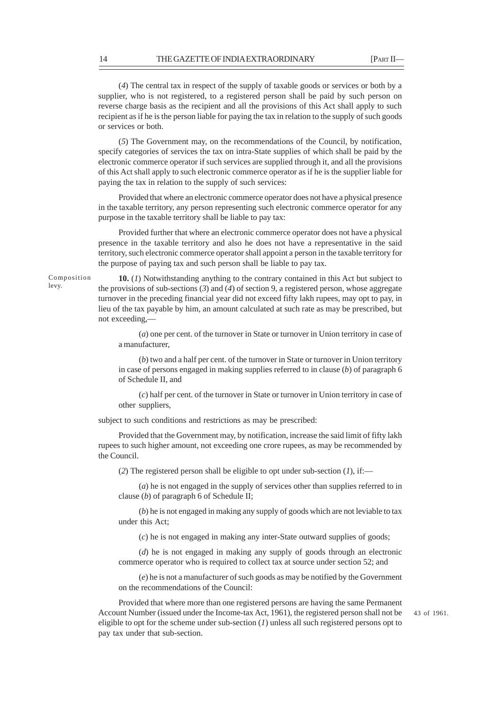(*4*) The central tax in respect of the supply of taxable goods or services or both by a supplier, who is not registered, to a registered person shall be paid by such person on reverse charge basis as the recipient and all the provisions of this Act shall apply to such recipient as if he is the person liable for paying the tax in relation to the supply of such goods or services or both.

(*5*) The Government may, on the recommendations of the Council, by notification, specify categories of services the tax on intra-State supplies of which shall be paid by the electronic commerce operator if such services are supplied through it, and all the provisions of this Act shall apply to such electronic commerce operator as if he is the supplier liable for paying the tax in relation to the supply of such services:

Provided that where an electronic commerce operator does not have a physical presence in the taxable territory, any person representing such electronic commerce operator for any purpose in the taxable territory shall be liable to pay tax:

Provided further that where an electronic commerce operator does not have a physical presence in the taxable territory and also he does not have a representative in the said territory, such electronic commerce operator shall appoint a person in the taxable territory for the purpose of paying tax and such person shall be liable to pay tax.

Composition levy.

**10.** (*1*) Notwithstanding anything to the contrary contained in this Act but subject to the provisions of sub-sections (*3*) and (*4*) of section 9, a registered person, whose aggregate turnover in the preceding financial year did not exceed fifty lakh rupees, may opt to pay, in lieu of the tax payable by him, an amount calculated at such rate as may be prescribed, but not exceeding,––

(*a*) one per cent. of the turnover in State or turnover in Union territory in case of a manufacturer,

(*b*) two and a half per cent. of the turnover in State or turnover in Union territory in case of persons engaged in making supplies referred to in clause (*b*) of paragraph 6 of Schedule II, and

(*c*) half per cent. of the turnover in State or turnover in Union territory in case of other suppliers,

subject to such conditions and restrictions as may be prescribed:

Provided that the Government may, by notification, increase the said limit of fifty lakh rupees to such higher amount, not exceeding one crore rupees, as may be recommended by the Council.

(*2*) The registered person shall be eligible to opt under sub-section (*1*), if:—

(*a*) he is not engaged in the supply of services other than supplies referred to in clause (*b*) of paragraph 6 of Schedule II;

(*b*) he is not engaged in making any supply of goods which are not leviable to tax under this Act;

(*c*) he is not engaged in making any inter-State outward supplies of goods;

(*d*) he is not engaged in making any supply of goods through an electronic commerce operator who is required to collect tax at source under section 52; and

(*e*) he is not a manufacturer of such goods as may be notified by the Government on the recommendations of the Council:

Provided that where more than one registered persons are having the same Permanent Account Number (issued under the Income-tax Act, 1961), the registered person shall not be eligible to opt for the scheme under sub-section (*1*) unless all such registered persons opt to pay tax under that sub-section.

43 of 1961.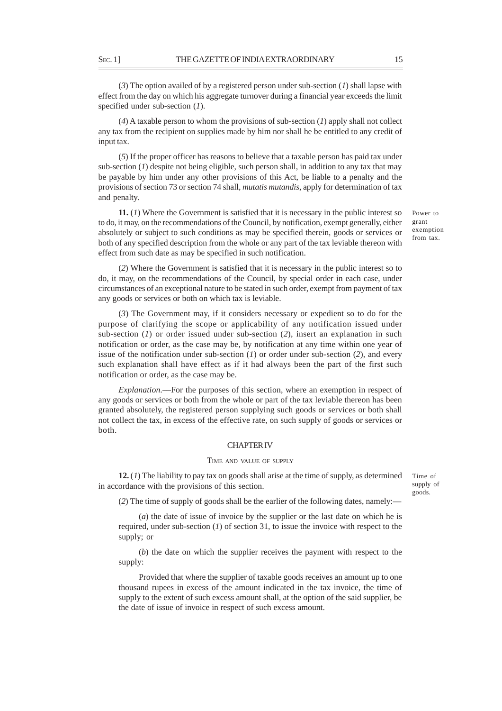(*3*) The option availed of by a registered person under sub-section (*1*) shall lapse with effect from the day on which his aggregate turnover during a financial year exceeds the limit specified under sub-section (*1*).

(*4*) A taxable person to whom the provisions of sub-section (*1*) apply shall not collect any tax from the recipient on supplies made by him nor shall he be entitled to any credit of input tax.

(*5*) If the proper officer has reasons to believe that a taxable person has paid tax under sub-section (*1*) despite not being eligible, such person shall, in addition to any tax that may be payable by him under any other provisions of this Act, be liable to a penalty and the provisions of section 73 or section 74 shall, *mutatis mutandis*, apply for determination of tax and penalty.

**11.** (*1*) Where the Government is satisfied that it is necessary in the public interest so to do, it may, on the recommendations of the Council, by notification, exempt generally, either absolutely or subject to such conditions as may be specified therein, goods or services or both of any specified description from the whole or any part of the tax leviable thereon with effect from such date as may be specified in such notification.

(*2*) Where the Government is satisfied that it is necessary in the public interest so to do, it may, on the recommendations of the Council, by special order in each case, under circumstances of an exceptional nature to be stated in such order, exempt from payment of tax any goods or services or both on which tax is leviable.

(*3*) The Government may, if it considers necessary or expedient so to do for the purpose of clarifying the scope or applicability of any notification issued under sub-section (*1*) or order issued under sub-section (*2*), insert an explanation in such notification or order, as the case may be, by notification at any time within one year of issue of the notification under sub-section (*1*) or order under sub-section (*2*), and every such explanation shall have effect as if it had always been the part of the first such notification or order, as the case may be.

*Explanation*.––For the purposes of this section, where an exemption in respect of any goods or services or both from the whole or part of the tax leviable thereon has been granted absolutely, the registered person supplying such goods or services or both shall not collect the tax, in excess of the effective rate, on such supply of goods or services or both.

### CHAPTER IV

### TIME AND VALUE OF SUPPLY

**12.** (*1*) The liability to pay tax on goods shall arise at the time of supply, as determined in accordance with the provisions of this section.

Time of supply of goods.

(*2*) The time of supply of goods shall be the earlier of the following dates, namely:—

(*a*) the date of issue of invoice by the supplier or the last date on which he is required, under sub-section (*1*) of section 31, to issue the invoice with respect to the supply; or

(*b*) the date on which the supplier receives the payment with respect to the supply:

Provided that where the supplier of taxable goods receives an amount up to one thousand rupees in excess of the amount indicated in the tax invoice, the time of supply to the extent of such excess amount shall, at the option of the said supplier, be the date of issue of invoice in respect of such excess amount.

Power to grant exemption from tax.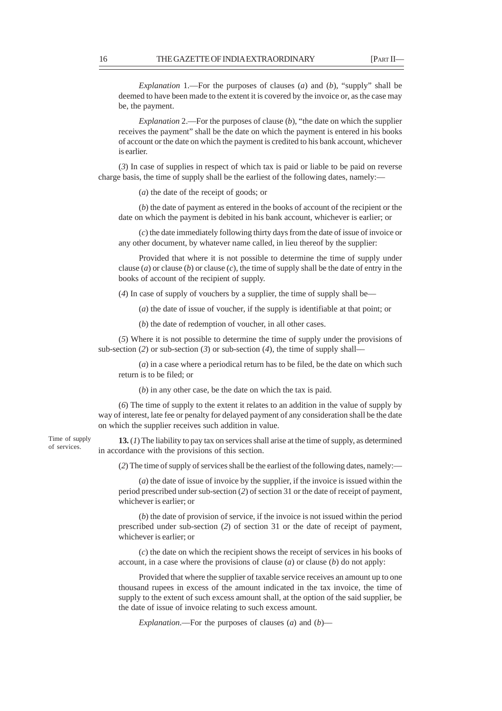*Explanation* 1.––For the purposes of clauses (*a*) and (*b*), "supply" shall be deemed to have been made to the extent it is covered by the invoice or, as the case may be, the payment.

*Explanation* 2.––For the purposes of clause (*b*), "the date on which the supplier receives the payment" shall be the date on which the payment is entered in his books of account or the date on which the payment is credited to his bank account, whichever is earlier.

(*3*) In case of supplies in respect of which tax is paid or liable to be paid on reverse charge basis, the time of supply shall be the earliest of the following dates, namely:—

(*a*) the date of the receipt of goods; or

(*b*) the date of payment as entered in the books of account of the recipient or the date on which the payment is debited in his bank account, whichever is earlier; or

(*c*) the date immediately following thirty days from the date of issue of invoice or any other document, by whatever name called, in lieu thereof by the supplier:

Provided that where it is not possible to determine the time of supply under clause (*a*) or clause (*b*) or clause (*c*), the time of supply shall be the date of entry in the books of account of the recipient of supply.

(*4*) In case of supply of vouchers by a supplier, the time of supply shall be—

(*a*) the date of issue of voucher, if the supply is identifiable at that point; or

(*b*) the date of redemption of voucher, in all other cases.

(*5*) Where it is not possible to determine the time of supply under the provisions of sub-section (2) or sub-section (3) or sub-section (4), the time of supply shall-

(*a*) in a case where a periodical return has to be filed, be the date on which such return is to be filed; or

(*b*) in any other case, be the date on which the tax is paid.

(*6*) The time of supply to the extent it relates to an addition in the value of supply by way of interest, late fee or penalty for delayed payment of any consideration shall be the date on which the supplier receives such addition in value.

Time of supply of services.

**13.** (*1*) The liability to pay tax on services shall arise at the time of supply, as determined in accordance with the provisions of this section.

(*2*) The time of supply of services shall be the earliest of the following dates, namely:—

(*a*) the date of issue of invoice by the supplier, if the invoice is issued within the period prescribed under sub-section (*2*) of section 31 or the date of receipt of payment, whichever is earlier; or

(*b*) the date of provision of service, if the invoice is not issued within the period prescribed under sub-section (*2*) of section 31 or the date of receipt of payment, whichever is earlier; or

(*c*) the date on which the recipient shows the receipt of services in his books of account, in a case where the provisions of clause (*a*) or clause (*b*) do not apply:

Provided that where the supplier of taxable service receives an amount up to one thousand rupees in excess of the amount indicated in the tax invoice, the time of supply to the extent of such excess amount shall, at the option of the said supplier, be the date of issue of invoice relating to such excess amount.

*Explanation*.––For the purposes of clauses (*a*) and (*b*)––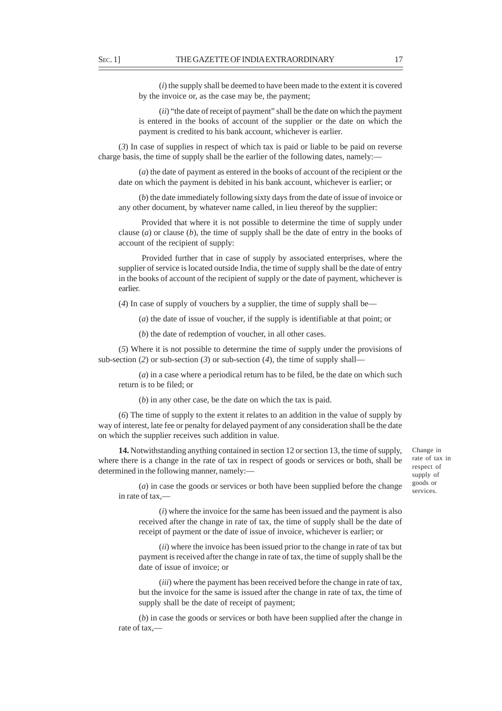(*i*) the supply shall be deemed to have been made to the extent it is covered by the invoice or, as the case may be, the payment;

(*ii*) "the date of receipt of payment" shall be the date on which the payment is entered in the books of account of the supplier or the date on which the payment is credited to his bank account, whichever is earlier.

(*3*) In case of supplies in respect of which tax is paid or liable to be paid on reverse charge basis, the time of supply shall be the earlier of the following dates, namely:—

(*a*) the date of payment as entered in the books of account of the recipient or the date on which the payment is debited in his bank account, whichever is earlier; or

(*b*) the date immediately following sixty days from the date of issue of invoice or any other document, by whatever name called, in lieu thereof by the supplier:

 Provided that where it is not possible to determine the time of supply under clause (*a*) or clause (*b*), the time of supply shall be the date of entry in the books of account of the recipient of supply:

 Provided further that in case of supply by associated enterprises, where the supplier of service is located outside India, the time of supply shall be the date of entry in the books of account of the recipient of supply or the date of payment, whichever is earlier.

(*4*) In case of supply of vouchers by a supplier, the time of supply shall be––

(*a*) the date of issue of voucher, if the supply is identifiable at that point; or

(*b*) the date of redemption of voucher, in all other cases.

(*5*) Where it is not possible to determine the time of supply under the provisions of sub-section (2) or sub-section (3) or sub-section (4), the time of supply shall–

(*a*) in a case where a periodical return has to be filed, be the date on which such return is to be filed; or

(*b*) in any other case, be the date on which the tax is paid.

(*6*) The time of supply to the extent it relates to an addition in the value of supply by way of interest, late fee or penalty for delayed payment of any consideration shall be the date on which the supplier receives such addition in value.

**14.** Notwithstanding anything contained in section 12 or section 13, the time of supply, where there is a change in the rate of tax in respect of goods or services or both, shall be determined in the following manner, namely:––

Change in rate of tax in respect of supply of goods or services.

(*a*) in case the goods or services or both have been supplied before the change in rate of tax,––

(*i*) where the invoice for the same has been issued and the payment is also received after the change in rate of tax, the time of supply shall be the date of receipt of payment or the date of issue of invoice, whichever is earlier; or

(*ii*) where the invoice has been issued prior to the change in rate of tax but payment is received after the change in rate of tax, the time of supply shall be the date of issue of invoice; or

(*iii*) where the payment has been received before the change in rate of tax, but the invoice for the same is issued after the change in rate of tax, the time of supply shall be the date of receipt of payment;

(*b*) in case the goods or services or both have been supplied after the change in rate of tax,––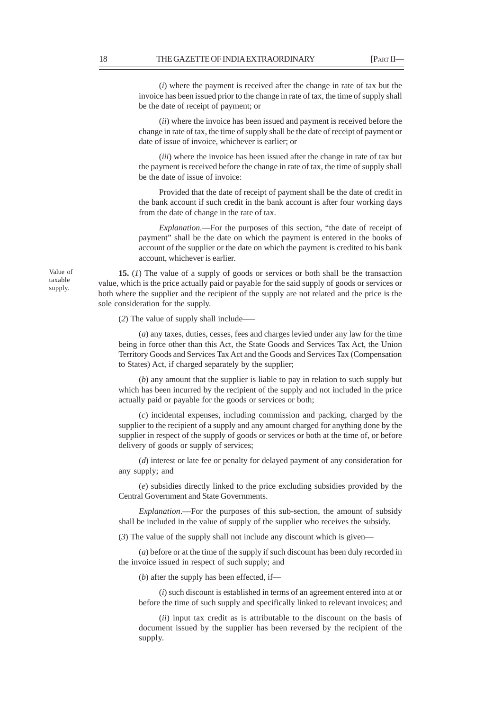(*i*) where the payment is received after the change in rate of tax but the invoice has been issued prior to the change in rate of tax, the time of supply shall be the date of receipt of payment; or

(*ii*) where the invoice has been issued and payment is received before the change in rate of tax, the time of supply shall be the date of receipt of payment or date of issue of invoice, whichever is earlier; or

(*iii*) where the invoice has been issued after the change in rate of tax but the payment is received before the change in rate of tax, the time of supply shall be the date of issue of invoice:

Provided that the date of receipt of payment shall be the date of credit in the bank account if such credit in the bank account is after four working days from the date of change in the rate of tax.

*Explanation*.––For the purposes of this section, "the date of receipt of payment" shall be the date on which the payment is entered in the books of account of the supplier or the date on which the payment is credited to his bank account, whichever is earlier.

**15.** (*1*) The value of a supply of goods or services or both shall be the transaction value, which is the price actually paid or payable for the said supply of goods or services or both where the supplier and the recipient of the supply are not related and the price is the sole consideration for the supply.

(*2*) The value of supply shall include–––

(*a*) any taxes, duties, cesses, fees and charges levied under any law for the time being in force other than this Act, the State Goods and Services Tax Act, the Union Territory Goods and Services Tax Act and the Goods and Services Tax (Compensation to States) Act, if charged separately by the supplier;

(*b*) any amount that the supplier is liable to pay in relation to such supply but which has been incurred by the recipient of the supply and not included in the price actually paid or payable for the goods or services or both;

(*c*) incidental expenses, including commission and packing, charged by the supplier to the recipient of a supply and any amount charged for anything done by the supplier in respect of the supply of goods or services or both at the time of, or before delivery of goods or supply of services;

(*d*) interest or late fee or penalty for delayed payment of any consideration for any supply; and

(*e*) subsidies directly linked to the price excluding subsidies provided by the Central Government and State Governments.

*Explanation*.––For the purposes of this sub-section, the amount of subsidy shall be included in the value of supply of the supplier who receives the subsidy.

(*3*) The value of the supply shall not include any discount which is given––

(*a*) before or at the time of the supply if such discount has been duly recorded in the invoice issued in respect of such supply; and

(*b*) after the supply has been effected, if—

(*i*) such discount is established in terms of an agreement entered into at or before the time of such supply and specifically linked to relevant invoices; and

(*ii*) input tax credit as is attributable to the discount on the basis of document issued by the supplier has been reversed by the recipient of the supply.

Value of taxable supply.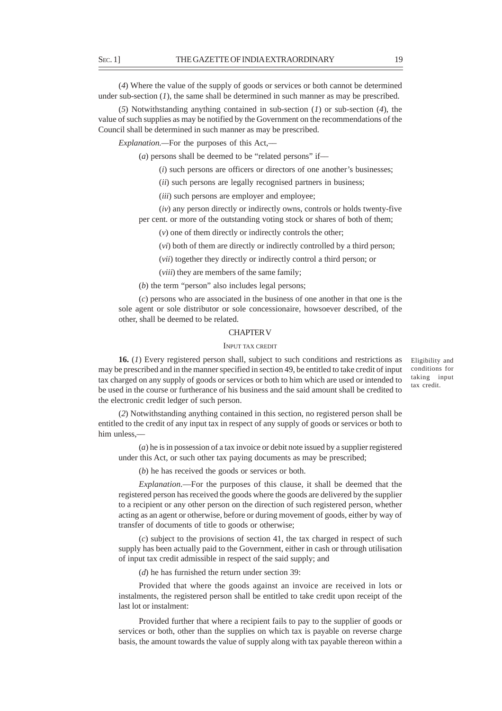(*4*) Where the value of the supply of goods or services or both cannot be determined under sub-section  $(I)$ , the same shall be determined in such manner as may be prescribed.

(*5*) Notwithstanding anything contained in sub-section (*1*) or sub-section (*4*), the value of such supplies as may be notified by the Government on the recommendations of the Council shall be determined in such manner as may be prescribed.

*Explanation.—*For the purposes of this Act,––

(*a*) persons shall be deemed to be "related persons" if—

(*i*) such persons are officers or directors of one another's businesses;

(*ii*) such persons are legally recognised partners in business;

(*iii*) such persons are employer and employee;

(*iv*) any person directly or indirectly owns, controls or holds twenty-five per cent. or more of the outstanding voting stock or shares of both of them;

(*v*) one of them directly or indirectly controls the other;

(*vi*) both of them are directly or indirectly controlled by a third person;

(*vii*) together they directly or indirectly control a third person; or

(*viii*) they are members of the same family;

(*b*) the term "person" also includes legal persons;

(*c*) persons who are associated in the business of one another in that one is the sole agent or sole distributor or sole concessionaire, howsoever described, of the other, shall be deemed to be related.

## CHAPTER V

### INPUT TAX CREDIT

**16.** (*1*) Every registered person shall, subject to such conditions and restrictions as may be prescribed and in the manner specified in section 49, be entitled to take credit of input tax charged on any supply of goods or services or both to him which are used or intended to be used in the course or furtherance of his business and the said amount shall be credited to the electronic credit ledger of such person.

Eligibility and conditions for taking input tax credit.

(*2*) Notwithstanding anything contained in this section, no registered person shall be entitled to the credit of any input tax in respect of any supply of goods or services or both to him unless.

(*a*) he is in possession of a tax invoice or debit note issued by a supplier registered under this Act, or such other tax paying documents as may be prescribed;

(*b*) he has received the goods or services or both.

*Explanation*.—For the purposes of this clause, it shall be deemed that the registered person has received the goods where the goods are delivered by the supplier to a recipient or any other person on the direction of such registered person, whether acting as an agent or otherwise, before or during movement of goods, either by way of transfer of documents of title to goods or otherwise;

(*c*) subject to the provisions of section 41, the tax charged in respect of such supply has been actually paid to the Government, either in cash or through utilisation of input tax credit admissible in respect of the said supply; and

(*d*) he has furnished the return under section 39:

Provided that where the goods against an invoice are received in lots or instalments, the registered person shall be entitled to take credit upon receipt of the last lot or instalment:

Provided further that where a recipient fails to pay to the supplier of goods or services or both, other than the supplies on which tax is payable on reverse charge basis, the amount towards the value of supply along with tax payable thereon within a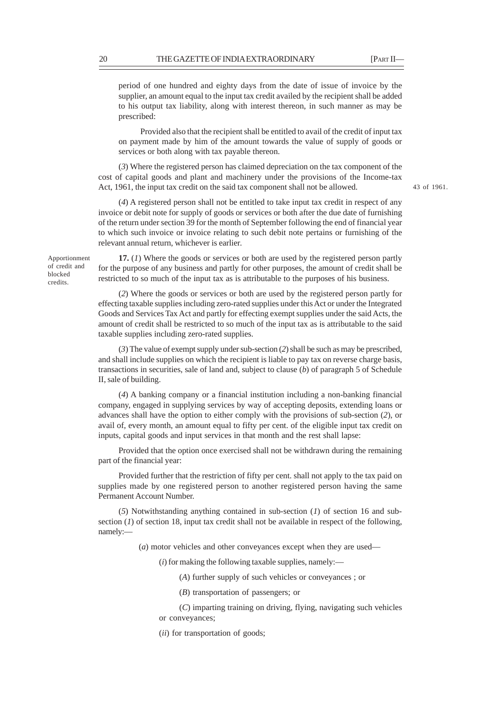43 of 1961.

period of one hundred and eighty days from the date of issue of invoice by the supplier, an amount equal to the input tax credit availed by the recipient shall be added to his output tax liability, along with interest thereon, in such manner as may be prescribed:

 Provided also that the recipient shall be entitled to avail of the credit of input tax on payment made by him of the amount towards the value of supply of goods or services or both along with tax payable thereon.

(*3*) Where the registered person has claimed depreciation on the tax component of the cost of capital goods and plant and machinery under the provisions of the Income-tax Act, 1961, the input tax credit on the said tax component shall not be allowed.

(*4*) A registered person shall not be entitled to take input tax credit in respect of any invoice or debit note for supply of goods or services or both after the due date of furnishing of the return under section 39 for the month of September following the end of financial year to which such invoice or invoice relating to such debit note pertains or furnishing of the relevant annual return, whichever is earlier.

Apportionment of credit and blocked credits.

**17.** (*1*) Where the goods or services or both are used by the registered person partly for the purpose of any business and partly for other purposes, the amount of credit shall be restricted to so much of the input tax as is attributable to the purposes of his business.

(*2*) Where the goods or services or both are used by the registered person partly for effecting taxable supplies including zero-rated supplies under this Act or under the Integrated Goods and Services Tax Act and partly for effecting exempt supplies under the said Acts, the amount of credit shall be restricted to so much of the input tax as is attributable to the said taxable supplies including zero-rated supplies.

(*3*) The value of exempt supply under sub-section (*2*) shall be such as may be prescribed, and shall include supplies on which the recipient is liable to pay tax on reverse charge basis, transactions in securities, sale of land and, subject to clause (*b*) of paragraph 5 of Schedule II, sale of building.

(*4*) A banking company or a financial institution including a non-banking financial company, engaged in supplying services by way of accepting deposits, extending loans or advances shall have the option to either comply with the provisions of sub-section (*2*), or avail of, every month, an amount equal to fifty per cent. of the eligible input tax credit on inputs, capital goods and input services in that month and the rest shall lapse:

Provided that the option once exercised shall not be withdrawn during the remaining part of the financial year:

Provided further that the restriction of fifty per cent. shall not apply to the tax paid on supplies made by one registered person to another registered person having the same Permanent Account Number.

(*5*) Notwithstanding anything contained in sub-section (*1*) of section 16 and subsection  $(I)$  of section 18, input tax credit shall not be available in respect of the following, namely:—

(*a*) motor vehicles and other conveyances except when they are used––

(*i*) for making the following taxable supplies, namely:—

(*A*) further supply of such vehicles or conveyances ; or

- (*B*) transportation of passengers; or
- (*C*) imparting training on driving, flying, navigating such vehicles or conveyances;
- (*ii*) for transportation of goods;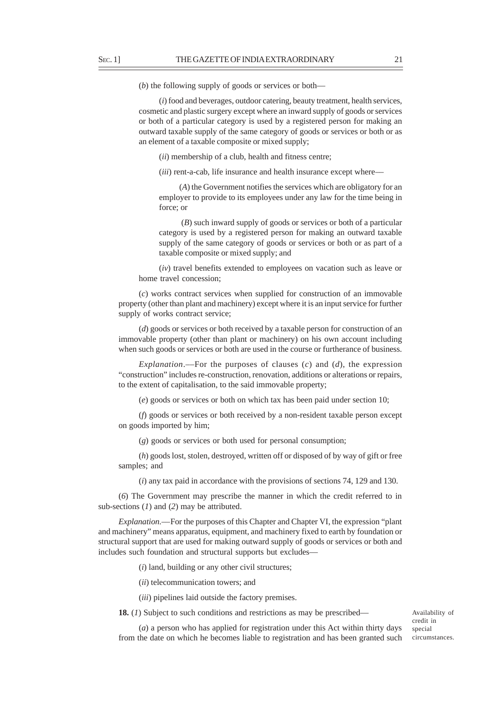(*b*) the following supply of goods or services or both—

(*i*) food and beverages, outdoor catering, beauty treatment, health services, cosmetic and plastic surgery except where an inward supply of goods or services or both of a particular category is used by a registered person for making an outward taxable supply of the same category of goods or services or both or as an element of a taxable composite or mixed supply;

(*ii*) membership of a club, health and fitness centre;

(*iii*) rent-a-cab, life insurance and health insurance except where––

(*A*) the Government notifies the services which are obligatory for an employer to provide to its employees under any law for the time being in force; or

 (*B*) such inward supply of goods or services or both of a particular category is used by a registered person for making an outward taxable supply of the same category of goods or services or both or as part of a taxable composite or mixed supply; and

(*iv*) travel benefits extended to employees on vacation such as leave or home travel concession;

(*c*) works contract services when supplied for construction of an immovable property (other than plant and machinery) except where it is an input service for further supply of works contract service;

(*d*) goods or services or both received by a taxable person for construction of an immovable property (other than plant or machinery) on his own account including when such goods or services or both are used in the course or furtherance of business.

*Explanation*.—For the purposes of clauses  $(c)$  and  $(d)$ , the expression "construction" includes re-construction, renovation, additions or alterations or repairs, to the extent of capitalisation, to the said immovable property;

(*e*) goods or services or both on which tax has been paid under section 10;

(*f*) goods or services or both received by a non-resident taxable person except on goods imported by him;

(*g*) goods or services or both used for personal consumption;

(*h*) goods lost, stolen, destroyed, written off or disposed of by way of gift or free samples; and

(*i*) any tax paid in accordance with the provisions of sections 74, 129 and 130.

(*6*) The Government may prescribe the manner in which the credit referred to in sub-sections (*1*) and (*2*) may be attributed.

*Explanation.––*For the purposes of this Chapter and Chapter VI, the expression "plant and machinery" means apparatus, equipment, and machinery fixed to earth by foundation or structural support that are used for making outward supply of goods or services or both and includes such foundation and structural supports but excludes—

(*i*) land, building or any other civil structures;

(*ii*) telecommunication towers; and

(*iii*) pipelines laid outside the factory premises.

**18.** (*1*) Subject to such conditions and restrictions as may be prescribed—

(*a*) a person who has applied for registration under this Act within thirty days from the date on which he becomes liable to registration and has been granted such

Availability of credit in special circumstances.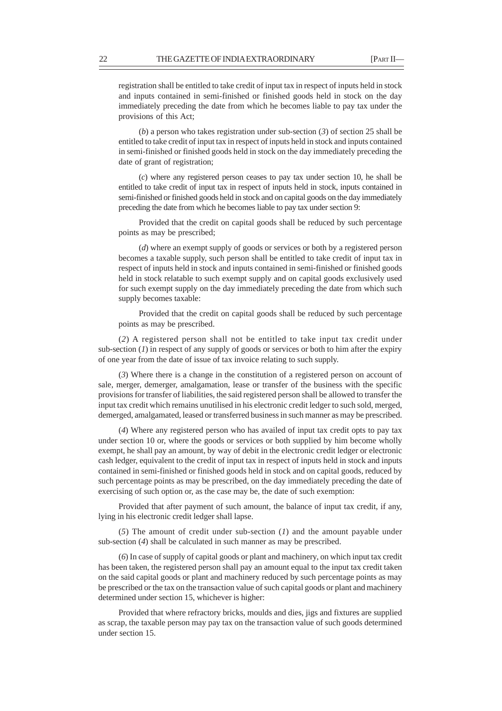registration shall be entitled to take credit of input tax in respect of inputs held in stock and inputs contained in semi-finished or finished goods held in stock on the day immediately preceding the date from which he becomes liable to pay tax under the provisions of this Act;

(*b*) a person who takes registration under sub-section (*3*) of section 25 shall be entitled to take credit of input tax in respect of inputs held in stock and inputs contained in semi-finished or finished goods held in stock on the day immediately preceding the date of grant of registration;

(*c*) where any registered person ceases to pay tax under section 10, he shall be entitled to take credit of input tax in respect of inputs held in stock, inputs contained in semi-finished or finished goods held in stock and on capital goods on the day immediately preceding the date from which he becomes liable to pay tax under section 9:

Provided that the credit on capital goods shall be reduced by such percentage points as may be prescribed;

(*d*) where an exempt supply of goods or services or both by a registered person becomes a taxable supply, such person shall be entitled to take credit of input tax in respect of inputs held in stock and inputs contained in semi-finished or finished goods held in stock relatable to such exempt supply and on capital goods exclusively used for such exempt supply on the day immediately preceding the date from which such supply becomes taxable:

Provided that the credit on capital goods shall be reduced by such percentage points as may be prescribed.

(*2*) A registered person shall not be entitled to take input tax credit under sub-section  $(I)$  in respect of any supply of goods or services or both to him after the expiry of one year from the date of issue of tax invoice relating to such supply.

(*3*) Where there is a change in the constitution of a registered person on account of sale, merger, demerger, amalgamation, lease or transfer of the business with the specific provisions for transfer of liabilities, the said registered person shall be allowed to transfer the input tax credit which remains unutilised in his electronic credit ledger to such sold, merged, demerged, amalgamated, leased or transferred business in such manner as may be prescribed.

(*4*) Where any registered person who has availed of input tax credit opts to pay tax under section 10 or, where the goods or services or both supplied by him become wholly exempt, he shall pay an amount, by way of debit in the electronic credit ledger or electronic cash ledger, equivalent to the credit of input tax in respect of inputs held in stock and inputs contained in semi-finished or finished goods held in stock and on capital goods, reduced by such percentage points as may be prescribed, on the day immediately preceding the date of exercising of such option or, as the case may be, the date of such exemption:

Provided that after payment of such amount, the balance of input tax credit, if any, lying in his electronic credit ledger shall lapse.

(*5*) The amount of credit under sub-section (*1*) and the amount payable under sub-section (*4*) shall be calculated in such manner as may be prescribed.

(*6*) In case of supply of capital goods or plant and machinery, on which input tax credit has been taken, the registered person shall pay an amount equal to the input tax credit taken on the said capital goods or plant and machinery reduced by such percentage points as may be prescribed or the tax on the transaction value of such capital goods or plant and machinery determined under section 15, whichever is higher:

Provided that where refractory bricks, moulds and dies, jigs and fixtures are supplied as scrap, the taxable person may pay tax on the transaction value of such goods determined under section 15.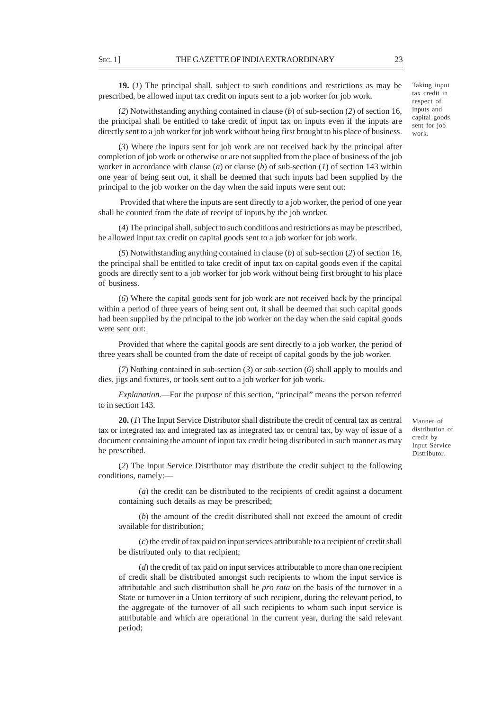**19.** (*1*) The principal shall, subject to such conditions and restrictions as may be prescribed, be allowed input tax credit on inputs sent to a job worker for job work.

(*2*) Notwithstanding anything contained in clause (*b*) of sub-section (*2*) of section 16, the principal shall be entitled to take credit of input tax on inputs even if the inputs are directly sent to a job worker for job work without being first brought to his place of business.

(*3*) Where the inputs sent for job work are not received back by the principal after completion of job work or otherwise or are not supplied from the place of business of the job worker in accordance with clause (*a*) or clause (*b*) of sub-section (*1*) of section 143 within one year of being sent out, it shall be deemed that such inputs had been supplied by the principal to the job worker on the day when the said inputs were sent out:

 Provided that where the inputs are sent directly to a job worker, the period of one year shall be counted from the date of receipt of inputs by the job worker.

(*4*) The principal shall, subject to such conditions and restrictions as may be prescribed, be allowed input tax credit on capital goods sent to a job worker for job work.

(*5*) Notwithstanding anything contained in clause (*b*) of sub-section (*2*) of section 16, the principal shall be entitled to take credit of input tax on capital goods even if the capital goods are directly sent to a job worker for job work without being first brought to his place of business.

(*6*) Where the capital goods sent for job work are not received back by the principal within a period of three years of being sent out, it shall be deemed that such capital goods had been supplied by the principal to the job worker on the day when the said capital goods were sent out:

Provided that where the capital goods are sent directly to a job worker, the period of three years shall be counted from the date of receipt of capital goods by the job worker.

(*7*) Nothing contained in sub-section (*3*) or sub-section (*6*) shall apply to moulds and dies, jigs and fixtures, or tools sent out to a job worker for job work.

*Explanation*.––For the purpose of this section, "principal" means the person referred to in section 143.

**20.** (*1*) The Input Service Distributor shall distribute the credit of central tax as central tax or integrated tax and integrated tax as integrated tax or central tax, by way of issue of a document containing the amount of input tax credit being distributed in such manner as may be prescribed.

(*2*) The Input Service Distributor may distribute the credit subject to the following conditions, namely:––

(*a*) the credit can be distributed to the recipients of credit against a document containing such details as may be prescribed;

(*b*) the amount of the credit distributed shall not exceed the amount of credit available for distribution;

(*c*) the credit of tax paid on input services attributable to a recipient of credit shall be distributed only to that recipient;

(*d*) the credit of tax paid on input services attributable to more than one recipient of credit shall be distributed amongst such recipients to whom the input service is attributable and such distribution shall be *pro rata* on the basis of the turnover in a State or turnover in a Union territory of such recipient, during the relevant period, to the aggregate of the turnover of all such recipients to whom such input service is attributable and which are operational in the current year, during the said relevant period;

Taking input tax credit in respect of inputs and capital goods sent for job work.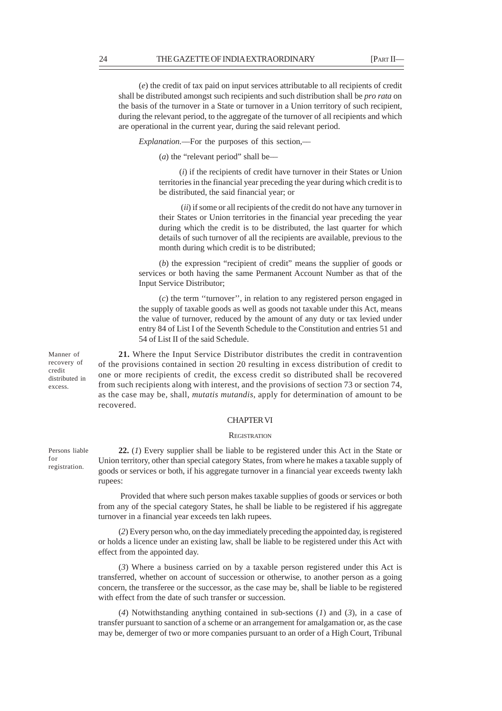(*e*) the credit of tax paid on input services attributable to all recipients of credit shall be distributed amongst such recipients and such distribution shall be *pro rata* on the basis of the turnover in a State or turnover in a Union territory of such recipient, during the relevant period, to the aggregate of the turnover of all recipients and which are operational in the current year, during the said relevant period.

*Explanation.*––For the purposes of this section,––

(*a*) the "relevant period" shall be—

(*i*) if the recipients of credit have turnover in their States or Union territories in the financial year preceding the year during which credit is to be distributed, the said financial year; or

 (*ii*) if some or all recipients of the credit do not have any turnover in their States or Union territories in the financial year preceding the year during which the credit is to be distributed, the last quarter for which details of such turnover of all the recipients are available, previous to the month during which credit is to be distributed;

(*b*) the expression "recipient of credit" means the supplier of goods or services or both having the same Permanent Account Number as that of the Input Service Distributor;

(*c*) the term ''turnover'', in relation to any registered person engaged in the supply of taxable goods as well as goods not taxable under this Act, means the value of turnover, reduced by the amount of any duty or tax levied under entry 84 of List I of the Seventh Schedule to the Constitution and entries 51 and 54 of List II of the said Schedule.

**21.** Where the Input Service Distributor distributes the credit in contravention of the provisions contained in section 20 resulting in excess distribution of credit to one or more recipients of credit, the excess credit so distributed shall be recovered from such recipients along with interest, and the provisions of section 73 or section 74, as the case may be, shall, *mutatis mutandis*, apply for determination of amount to be recovered.

## CHAPTER VI

### **REGISTRATION**

**22.** (*1*) Every supplier shall be liable to be registered under this Act in the State or Union territory, other than special category States, from where he makes a taxable supply of goods or services or both, if his aggregate turnover in a financial year exceeds twenty lakh rupees:

 Provided that where such person makes taxable supplies of goods or services or both from any of the special category States, he shall be liable to be registered if his aggregate turnover in a financial year exceeds ten lakh rupees.

(*2*) Every person who, on the day immediately preceding the appointed day, is registered or holds a licence under an existing law, shall be liable to be registered under this Act with effect from the appointed day.

(*3*) Where a business carried on by a taxable person registered under this Act is transferred, whether on account of succession or otherwise, to another person as a going concern, the transferee or the successor, as the case may be, shall be liable to be registered with effect from the date of such transfer or succession.

(*4*) Notwithstanding anything contained in sub-sections (*1*) and (*3*), in a case of transfer pursuant to sanction of a scheme or an arrangement for amalgamation or, as the case may be, demerger of two or more companies pursuant to an order of a High Court, Tribunal

Manner of recovery of credit distributed in excess.

Persons liable for registration.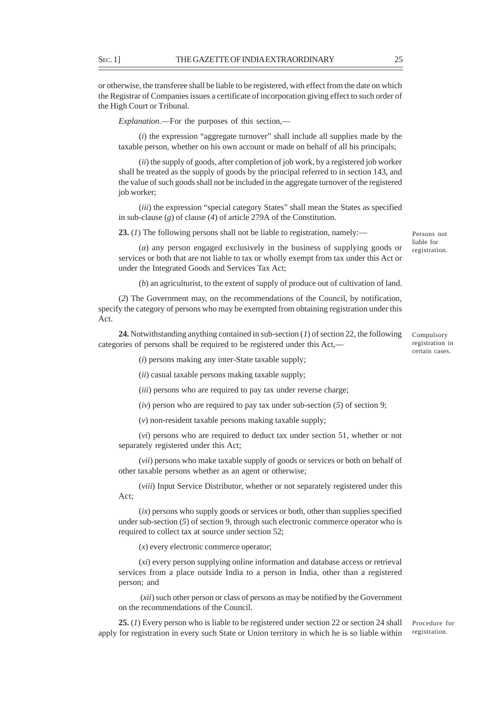or otherwise, the transferee shall be liable to be registered, with effect from the date on which the Registrar of Companies issues a certificate of incorporation giving effect to such order of the High Court or Tribunal.

*Explanation.*––For the purposes of this section,––

(*i*) the expression "aggregate turnover" shall include all supplies made by the taxable person, whether on his own account or made on behalf of all his principals;

(*ii*) the supply of goods, after completion of job work, by a registered job worker shall be treated as the supply of goods by the principal referred to in section 143, and the value of such goods shall not be included in the aggregate turnover of the registered job worker;

(*iii*) the expression "special category States" shall mean the States as specified in sub-clause (*g*) of clause (*4*) of article 279A of the Constitution.

**23.** (*1*) The following persons shall not be liable to registration, namely:—

(*a*) any person engaged exclusively in the business of supplying goods or services or both that are not liable to tax or wholly exempt from tax under this Act or under the Integrated Goods and Services Tax Act;

(*b*) an agriculturist, to the extent of supply of produce out of cultivation of land.

(*2*) The Government may, on the recommendations of the Council, by notification, specify the category of persons who may be exempted from obtaining registration under this Act.

**24.** Notwithstanding anything contained in sub-section (*1*) of section 22, the following categories of persons shall be required to be registered under this Act,––

Compulsory registration in certain cases.

Persons not liable for registration.

(*i*) persons making any inter-State taxable supply;

(*ii*) casual taxable persons making taxable supply;

(*iii*) persons who are required to pay tax under reverse charge;

(*iv*) person who are required to pay tax under sub-section (*5*) of section 9;

(*v*) non-resident taxable persons making taxable supply;

(*vi*) persons who are required to deduct tax under section 51, whether or not separately registered under this Act;

(*vii*) persons who make taxable supply of goods or services or both on behalf of other taxable persons whether as an agent or otherwise;

(*viii*) Input Service Distributor, whether or not separately registered under this Act;

(*ix*) persons who supply goods or services or both, other than supplies specified under sub-section (*5*) of section 9, through such electronic commerce operator who is required to collect tax at source under section 52;

(*x*) every electronic commerce operator;

(*xi*) every person supplying online information and database access or retrieval services from a place outside India to a person in India, other than a registered person; and

 (*xii*) such other person or class of persons as may be notified by the Government on the recommendations of the Council.

**25.** (*1*) Every person who is liable to be registered under section 22 or section 24 shall apply for registration in every such State or Union territory in which he is so liable within

Procedure for registration.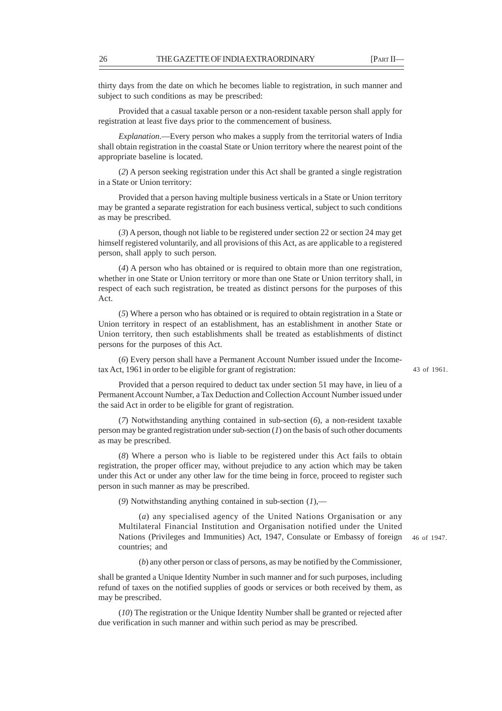thirty days from the date on which he becomes liable to registration, in such manner and subject to such conditions as may be prescribed:

Provided that a casual taxable person or a non-resident taxable person shall apply for registration at least five days prior to the commencement of business.

*Explanation*.—Every person who makes a supply from the territorial waters of India shall obtain registration in the coastal State or Union territory where the nearest point of the appropriate baseline is located.

(*2*) A person seeking registration under this Act shall be granted a single registration in a State or Union territory:

Provided that a person having multiple business verticals in a State or Union territory may be granted a separate registration for each business vertical, subject to such conditions as may be prescribed.

(*3*) A person, though not liable to be registered under section 22 or section 24 may get himself registered voluntarily, and all provisions of this Act, as are applicable to a registered person, shall apply to such person.

(*4*) A person who has obtained or is required to obtain more than one registration, whether in one State or Union territory or more than one State or Union territory shall, in respect of each such registration, be treated as distinct persons for the purposes of this Act.

(*5*) Where a person who has obtained or is required to obtain registration in a State or Union territory in respect of an establishment, has an establishment in another State or Union territory, then such establishments shall be treated as establishments of distinct persons for the purposes of this Act.

(*6*) Every person shall have a Permanent Account Number issued under the Incometax Act, 1961 in order to be eligible for grant of registration:

43 of 1961.

46 of 1947.

Provided that a person required to deduct tax under section 51 may have, in lieu of a Permanent Account Number, a Tax Deduction and Collection Account Number issued under the said Act in order to be eligible for grant of registration.

(*7*) Notwithstanding anything contained in sub-section (*6*), a non-resident taxable person may be granted registration under sub-section (*1*) on the basis of such other documents as may be prescribed.

(*8*) Where a person who is liable to be registered under this Act fails to obtain registration, the proper officer may, without prejudice to any action which may be taken under this Act or under any other law for the time being in force, proceed to register such person in such manner as may be prescribed.

(*9*) Notwithstanding anything contained in sub-section (*1*),––

(*a*) any specialised agency of the United Nations Organisation or any Multilateral Financial Institution and Organisation notified under the United Nations (Privileges and Immunities) Act, 1947, Consulate or Embassy of foreign countries; and

(*b*) any other person or class of persons, as may be notified by the Commissioner,

shall be granted a Unique Identity Number in such manner and for such purposes, including refund of taxes on the notified supplies of goods or services or both received by them, as may be prescribed.

(*10*) The registration or the Unique Identity Number shall be granted or rejected after due verification in such manner and within such period as may be prescribed.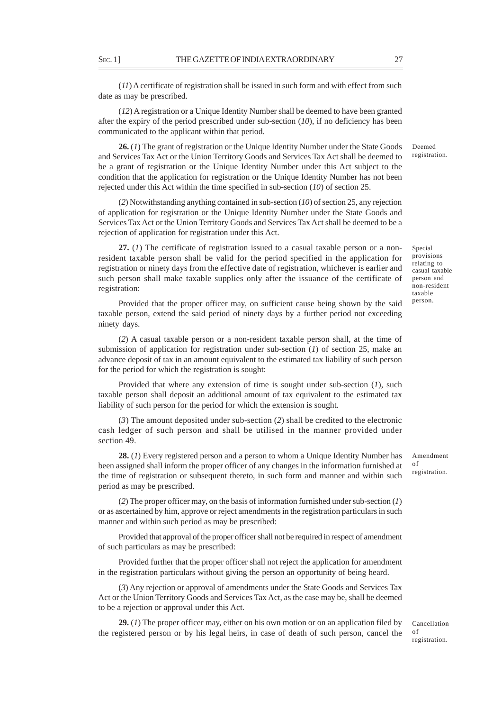(*11*) A certificate of registration shall be issued in such form and with effect from such date as may be prescribed.

(*12*) A registration or a Unique Identity Number shall be deemed to have been granted after the expiry of the period prescribed under sub-section (*10*), if no deficiency has been communicated to the applicant within that period.

**26.** (*1*) The grant of registration or the Unique Identity Number under the State Goods and Services Tax Act or the Union Territory Goods and Services Tax Act shall be deemed to be a grant of registration or the Unique Identity Number under this Act subject to the condition that the application for registration or the Unique Identity Number has not been rejected under this Act within the time specified in sub-section (*10*) of section 25.

(*2*) Notwithstanding anything contained in sub-section (*10*) of section 25, any rejection of application for registration or the Unique Identity Number under the State Goods and Services Tax Act or the Union Territory Goods and Services Tax Act shall be deemed to be a rejection of application for registration under this Act.

**27.** (*1*) The certificate of registration issued to a casual taxable person or a nonresident taxable person shall be valid for the period specified in the application for registration or ninety days from the effective date of registration, whichever is earlier and such person shall make taxable supplies only after the issuance of the certificate of registration:

Provided that the proper officer may, on sufficient cause being shown by the said taxable person, extend the said period of ninety days by a further period not exceeding ninety days.

(*2*) A casual taxable person or a non-resident taxable person shall, at the time of submission of application for registration under sub-section (*1*) of section 25, make an advance deposit of tax in an amount equivalent to the estimated tax liability of such person for the period for which the registration is sought:

Provided that where any extension of time is sought under sub-section (*1*), such taxable person shall deposit an additional amount of tax equivalent to the estimated tax liability of such person for the period for which the extension is sought.

(*3*) The amount deposited under sub-section (*2*) shall be credited to the electronic cash ledger of such person and shall be utilised in the manner provided under section 49.

**28.** (*1*) Every registered person and a person to whom a Unique Identity Number has been assigned shall inform the proper officer of any changes in the information furnished at the time of registration or subsequent thereto, in such form and manner and within such period as may be prescribed.

(*2*) The proper officer may, on the basis of information furnished under sub-section (*1*) or as ascertained by him, approve or reject amendments in the registration particulars in such manner and within such period as may be prescribed:

Provided that approval of the proper officer shall not be required in respect of amendment of such particulars as may be prescribed:

Provided further that the proper officer shall not reject the application for amendment in the registration particulars without giving the person an opportunity of being heard.

(*3*) Any rejection or approval of amendments under the State Goods and Services Tax Act or the Union Territory Goods and Services Tax Act, as the case may be, shall be deemed to be a rejection or approval under this Act.

**29.** (*1*) The proper officer may, either on his own motion or on an application filed by the registered person or by his legal heirs, in case of death of such person, cancel the

Deemed registration.

Special provisions relating to casual taxable person and non-resident taxable person.

Amendment of registration.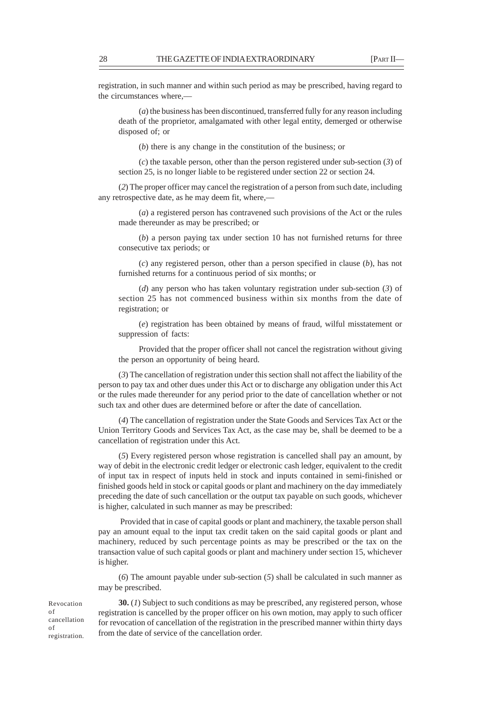registration, in such manner and within such period as may be prescribed, having regard to the circumstances where,––

(*a*) the business has been discontinued, transferred fully for any reason including death of the proprietor, amalgamated with other legal entity, demerged or otherwise disposed of; or

(*b*) there is any change in the constitution of the business; or

(*c*) the taxable person, other than the person registered under sub-section (*3*) of section 25, is no longer liable to be registered under section 22 or section 24.

(*2*) The proper officer may cancel the registration of a person from such date, including any retrospective date, as he may deem fit, where,––

(*a*) a registered person has contravened such provisions of the Act or the rules made thereunder as may be prescribed; or

(*b*) a person paying tax under section 10 has not furnished returns for three consecutive tax periods; or

(*c*) any registered person, other than a person specified in clause (*b*), has not furnished returns for a continuous period of six months; or

(*d*) any person who has taken voluntary registration under sub-section (*3*) of section 25 has not commenced business within six months from the date of registration; or

(*e*) registration has been obtained by means of fraud, wilful misstatement or suppression of facts:

Provided that the proper officer shall not cancel the registration without giving the person an opportunity of being heard.

(*3*) The cancellation of registration under this section shall not affect the liability of the person to pay tax and other dues under this Act or to discharge any obligation under this Act or the rules made thereunder for any period prior to the date of cancellation whether or not such tax and other dues are determined before or after the date of cancellation.

(*4*) The cancellation of registration under the State Goods and Services Tax Act or the Union Territory Goods and Services Tax Act, as the case may be, shall be deemed to be a cancellation of registration under this Act.

(*5*) Every registered person whose registration is cancelled shall pay an amount, by way of debit in the electronic credit ledger or electronic cash ledger, equivalent to the credit of input tax in respect of inputs held in stock and inputs contained in semi-finished or finished goods held in stock or capital goods or plant and machinery on the day immediately preceding the date of such cancellation or the output tax payable on such goods, whichever is higher, calculated in such manner as may be prescribed:

 Provided that in case of capital goods or plant and machinery, the taxable person shall pay an amount equal to the input tax credit taken on the said capital goods or plant and machinery, reduced by such percentage points as may be prescribed or the tax on the transaction value of such capital goods or plant and machinery under section 15, whichever is higher.

(*6*) The amount payable under sub-section (*5*) shall be calculated in such manner as may be prescribed.

Revocation of cancellation of registration.

**30.** (*1*) Subject to such conditions as may be prescribed, any registered person, whose registration is cancelled by the proper officer on his own motion, may apply to such officer for revocation of cancellation of the registration in the prescribed manner within thirty days from the date of service of the cancellation order.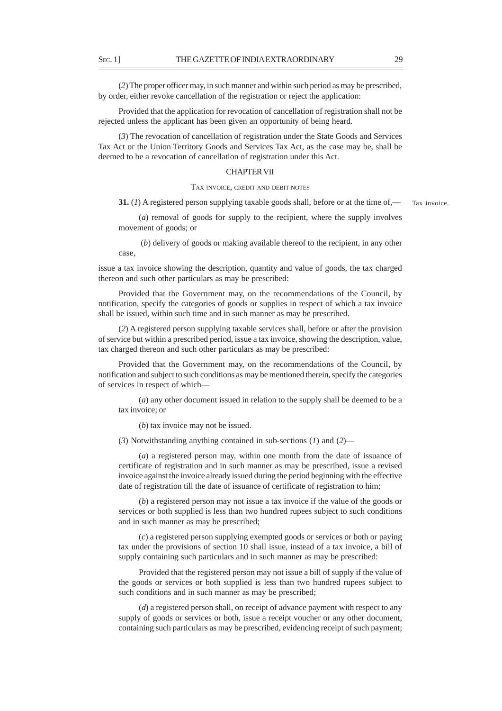(*2*) The proper officer may, in such manner and within such period as may be prescribed, by order, either revoke cancellation of the registration or reject the application:

Provided that the application for revocation of cancellation of registration shall not be rejected unless the applicant has been given an opportunity of being heard.

(*3*) The revocation of cancellation of registration under the State Goods and Services Tax Act or the Union Territory Goods and Services Tax Act, as the case may be, shall be deemed to be a revocation of cancellation of registration under this Act.

# CHAPTER VII

### TAX INVOICE, CREDIT AND DEBIT NOTES

**31.** (*1*) A registered person supplying taxable goods shall, before or at the time of,— Tax invoice.

(*a*) removal of goods for supply to the recipient, where the supply involves movement of goods; or

 (*b*) delivery of goods or making available thereof to the recipient, in any other case,

issue a tax invoice showing the description, quantity and value of goods, the tax charged thereon and such other particulars as may be prescribed:

Provided that the Government may, on the recommendations of the Council, by notification, specify the categories of goods or supplies in respect of which a tax invoice shall be issued, within such time and in such manner as may be prescribed.

(*2*) A registered person supplying taxable services shall, before or after the provision of service but within a prescribed period, issue a tax invoice, showing the description, value, tax charged thereon and such other particulars as may be prescribed:

Provided that the Government may, on the recommendations of the Council, by notification and subject to such conditions as may be mentioned therein, specify the categories of services in respect of which––

(*a*) any other document issued in relation to the supply shall be deemed to be a tax invoice; or

(*b*) tax invoice may not be issued.

(*3*) Notwithstanding anything contained in sub-sections (*1*) and (*2*)––

(*a*) a registered person may, within one month from the date of issuance of certificate of registration and in such manner as may be prescribed, issue a revised invoice against the invoice already issued during the period beginning with the effective date of registration till the date of issuance of certificate of registration to him;

(*b*) a registered person may not issue a tax invoice if the value of the goods or services or both supplied is less than two hundred rupees subject to such conditions and in such manner as may be prescribed;

(*c*) a registered person supplying exempted goods or services or both or paying tax under the provisions of section 10 shall issue, instead of a tax invoice, a bill of supply containing such particulars and in such manner as may be prescribed:

Provided that the registered person may not issue a bill of supply if the value of the goods or services or both supplied is less than two hundred rupees subject to such conditions and in such manner as may be prescribed;

(*d*) a registered person shall, on receipt of advance payment with respect to any supply of goods or services or both, issue a receipt voucher or any other document, containing such particulars as may be prescribed, evidencing receipt of such payment;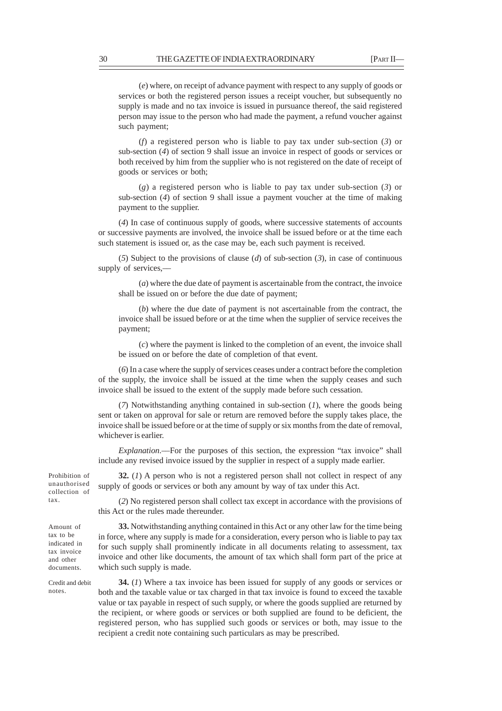(*e*) where, on receipt of advance payment with respect to any supply of goods or services or both the registered person issues a receipt voucher, but subsequently no supply is made and no tax invoice is issued in pursuance thereof, the said registered person may issue to the person who had made the payment, a refund voucher against such payment;

(*f*) a registered person who is liable to pay tax under sub-section (*3*) or sub-section (*4*) of section 9 shall issue an invoice in respect of goods or services or both received by him from the supplier who is not registered on the date of receipt of goods or services or both;

(*g*) a registered person who is liable to pay tax under sub-section (*3*) or sub-section (*4*) of section 9 shall issue a payment voucher at the time of making payment to the supplier.

(*4*) In case of continuous supply of goods, where successive statements of accounts or successive payments are involved, the invoice shall be issued before or at the time each such statement is issued or, as the case may be, each such payment is received.

(*5*) Subject to the provisions of clause (*d*) of sub-section (*3*), in case of continuous supply of services,––

(*a*) where the due date of payment is ascertainable from the contract, the invoice shall be issued on or before the due date of payment;

(*b*) where the due date of payment is not ascertainable from the contract, the invoice shall be issued before or at the time when the supplier of service receives the payment;

(*c*) where the payment is linked to the completion of an event, the invoice shall be issued on or before the date of completion of that event.

(*6*) In a case where the supply of services ceases under a contract before the completion of the supply, the invoice shall be issued at the time when the supply ceases and such invoice shall be issued to the extent of the supply made before such cessation.

(*7*) Notwithstanding anything contained in sub-section (*1*), where the goods being sent or taken on approval for sale or return are removed before the supply takes place, the invoice shall be issued before or at the time of supply or six months from the date of removal, whichever is earlier.

*Explanation*.––For the purposes of this section, the expression "tax invoice" shall include any revised invoice issued by the supplier in respect of a supply made earlier.

**32.** (*1*) A person who is not a registered person shall not collect in respect of any supply of goods or services or both any amount by way of tax under this Act.

(*2*) No registered person shall collect tax except in accordance with the provisions of this Act or the rules made thereunder.

**33.** Notwithstanding anything contained in this Act or any other law for the time being in force, where any supply is made for a consideration, every person who is liable to pay tax for such supply shall prominently indicate in all documents relating to assessment, tax invoice and other like documents, the amount of tax which shall form part of the price at which such supply is made.

**34.** (*1*) Where a tax invoice has been issued for supply of any goods or services or both and the taxable value or tax charged in that tax invoice is found to exceed the taxable value or tax payable in respect of such supply, or where the goods supplied are returned by the recipient, or where goods or services or both supplied are found to be deficient, the registered person, who has supplied such goods or services or both, may issue to the recipient a credit note containing such particulars as may be prescribed.

Prohibition of unauthorised collection of tax.

Amount of tax to be indicated in tax invoice and other documents.

Credit and debit notes.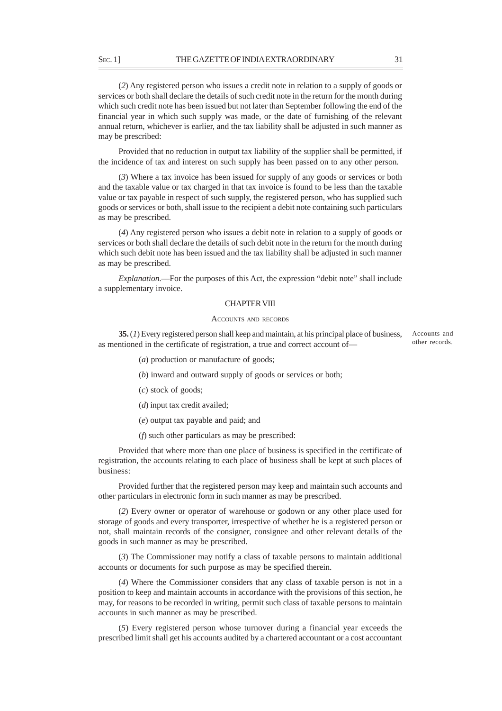(*2*) Any registered person who issues a credit note in relation to a supply of goods or services or both shall declare the details of such credit note in the return for the month during which such credit note has been issued but not later than September following the end of the financial year in which such supply was made, or the date of furnishing of the relevant annual return, whichever is earlier, and the tax liability shall be adjusted in such manner as may be prescribed:

Provided that no reduction in output tax liability of the supplier shall be permitted, if the incidence of tax and interest on such supply has been passed on to any other person.

(*3*) Where a tax invoice has been issued for supply of any goods or services or both and the taxable value or tax charged in that tax invoice is found to be less than the taxable value or tax payable in respect of such supply, the registered person, who has supplied such goods or services or both, shall issue to the recipient a debit note containing such particulars as may be prescribed.

(*4*) Any registered person who issues a debit note in relation to a supply of goods or services or both shall declare the details of such debit note in the return for the month during which such debit note has been issued and the tax liability shall be adjusted in such manner as may be prescribed.

*Explanation*.—For the purposes of this Act, the expression "debit note" shall include a supplementary invoice.

## CHAPTER VIII

#### ACCOUNTS AND RECORDS

**35.** (*1*) Every registered person shall keep and maintain, at his principal place of business, as mentioned in the certificate of registration, a true and correct account of—

Accounts and other records.

(*a*) production or manufacture of goods;

(*b*) inward and outward supply of goods or services or both;

(*c*) stock of goods;

(*d*) input tax credit availed;

(*e*) output tax payable and paid; and

(*f*) such other particulars as may be prescribed:

Provided that where more than one place of business is specified in the certificate of registration, the accounts relating to each place of business shall be kept at such places of business:

Provided further that the registered person may keep and maintain such accounts and other particulars in electronic form in such manner as may be prescribed.

(*2*) Every owner or operator of warehouse or godown or any other place used for storage of goods and every transporter, irrespective of whether he is a registered person or not, shall maintain records of the consigner, consignee and other relevant details of the goods in such manner as may be prescribed.

(*3*) The Commissioner may notify a class of taxable persons to maintain additional accounts or documents for such purpose as may be specified therein.

(*4*) Where the Commissioner considers that any class of taxable person is not in a position to keep and maintain accounts in accordance with the provisions of this section, he may, for reasons to be recorded in writing, permit such class of taxable persons to maintain accounts in such manner as may be prescribed.

(*5*) Every registered person whose turnover during a financial year exceeds the prescribed limit shall get his accounts audited by a chartered accountant or a cost accountant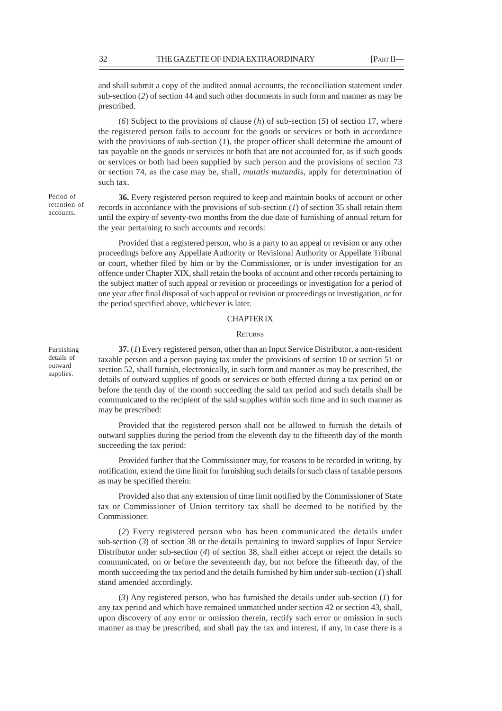and shall submit a copy of the audited annual accounts, the reconciliation statement under sub-section (*2*) of section 44 and such other documents in such form and manner as may be prescribed.

(*6*) Subject to the provisions of clause (*h*) of sub-section (*5*) of section 17, where the registered person fails to account for the goods or services or both in accordance with the provisions of sub-section (*1*), the proper officer shall determine the amount of tax payable on the goods or services or both that are not accounted for, as if such goods or services or both had been supplied by such person and the provisions of section 73 or section 74, as the case may be, shall, *mutatis mutandis,* apply for determination of such tax.

**36.** Every registered person required to keep and maintain books of account or other records in accordance with the provisions of sub-section (*1*) of section 35 shall retain them until the expiry of seventy-two months from the due date of furnishing of annual return for the year pertaining to such accounts and records:

Provided that a registered person, who is a party to an appeal or revision or any other proceedings before any Appellate Authority or Revisional Authority or Appellate Tribunal or court, whether filed by him or by the Commissioner, or is under investigation for an offence under Chapter XIX, shall retain the books of account and other records pertaining to the subject matter of such appeal or revision or proceedings or investigation for a period of one year after final disposal of such appeal or revision or proceedings or investigation, or for the period specified above, whichever is later.

# CHAPTER IX

### **RETURNS**

**37.** (*1*) Every registered person, other than an Input Service Distributor, a non-resident taxable person and a person paying tax under the provisions of section 10 or section 51 or section 52, shall furnish, electronically, in such form and manner as may be prescribed, the details of outward supplies of goods or services or both effected during a tax period on or before the tenth day of the month succeeding the said tax period and such details shall be communicated to the recipient of the said supplies within such time and in such manner as may be prescribed:

Provided that the registered person shall not be allowed to furnish the details of outward supplies during the period from the eleventh day to the fifteenth day of the month succeeding the tax period:

Provided further that the Commissioner may, for reasons to be recorded in writing, by notification, extend the time limit for furnishing such details for such class of taxable persons as may be specified therein:

Provided also that any extension of time limit notified by the Commissioner of State tax or Commissioner of Union territory tax shall be deemed to be notified by the Commissioner.

(*2*) Every registered person who has been communicated the details under sub-section  $(3)$  of section 38 or the details pertaining to inward supplies of Input Service Distributor under sub-section (*4*) of section 38, shall either accept or reject the details so communicated, on or before the seventeenth day, but not before the fifteenth day, of the month succeeding the tax period and the details furnished by him under sub-section (*1*) shall stand amended accordingly.

(*3*) Any registered person, who has furnished the details under sub-section (*1*) for any tax period and which have remained unmatched under section 42 or section 43, shall, upon discovery of any error or omission therein, rectify such error or omission in such manner as may be prescribed, and shall pay the tax and interest, if any, in case there is a

Furnishing details of outward supplies.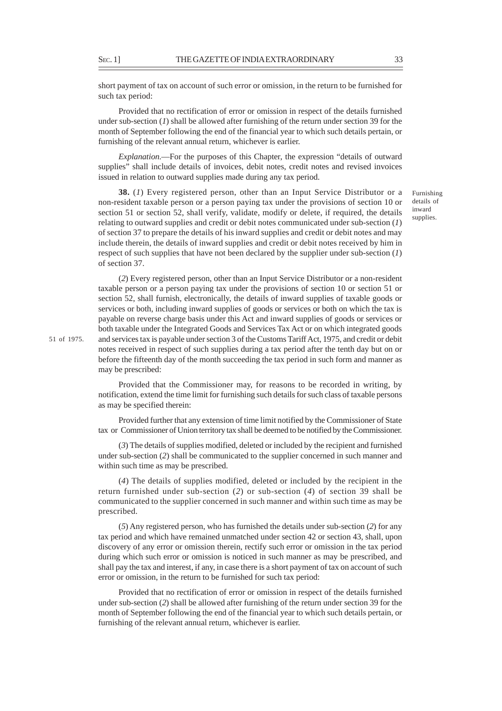short payment of tax on account of such error or omission, in the return to be furnished for such tax period:

Provided that no rectification of error or omission in respect of the details furnished under sub-section (*1*) shall be allowed after furnishing of the return under section 39 for the month of September following the end of the financial year to which such details pertain, or furnishing of the relevant annual return, whichever is earlier.

*Explanation*.––For the purposes of this Chapter, the expression "details of outward supplies" shall include details of invoices, debit notes, credit notes and revised invoices issued in relation to outward supplies made during any tax period.

**38.** (*1*) Every registered person, other than an Input Service Distributor or a non-resident taxable person or a person paying tax under the provisions of section 10 or section 51 or section 52, shall verify, validate, modify or delete, if required, the details relating to outward supplies and credit or debit notes communicated under sub-section (*1*) of section 37 to prepare the details of his inward supplies and credit or debit notes and may include therein, the details of inward supplies and credit or debit notes received by him in respect of such supplies that have not been declared by the supplier under sub-section (*1*) of section 37.

(*2*) Every registered person, other than an Input Service Distributor or a non-resident taxable person or a person paying tax under the provisions of section 10 or section 51 or section 52, shall furnish, electronically, the details of inward supplies of taxable goods or services or both, including inward supplies of goods or services or both on which the tax is payable on reverse charge basis under this Act and inward supplies of goods or services or both taxable under the Integrated Goods and Services Tax Act or on which integrated goods and services tax is payable under section 3 of the Customs Tariff Act, 1975, and credit or debit notes received in respect of such supplies during a tax period after the tenth day but on or before the fifteenth day of the month succeeding the tax period in such form and manner as may be prescribed:

Provided that the Commissioner may, for reasons to be recorded in writing, by notification, extend the time limit for furnishing such details for such class of taxable persons as may be specified therein:

Provided further that any extension of time limit notified by the Commissioner of State tax or Commissioner of Union territory tax shall be deemed to be notified by the Commissioner.

(*3*) The details of supplies modified, deleted or included by the recipient and furnished under sub-section (*2*) shall be communicated to the supplier concerned in such manner and within such time as may be prescribed.

(*4*) The details of supplies modified, deleted or included by the recipient in the return furnished under sub-section (*2*) or sub-section (*4*) of section 39 shall be communicated to the supplier concerned in such manner and within such time as may be prescribed.

(*5*) Any registered person, who has furnished the details under sub-section (*2*) for any tax period and which have remained unmatched under section 42 or section 43, shall, upon discovery of any error or omission therein, rectify such error or omission in the tax period during which such error or omission is noticed in such manner as may be prescribed, and shall pay the tax and interest, if any, in case there is a short payment of tax on account of such error or omission, in the return to be furnished for such tax period:

Provided that no rectification of error or omission in respect of the details furnished under sub-section (*2*) shall be allowed after furnishing of the return under section 39 for the month of September following the end of the financial year to which such details pertain, or furnishing of the relevant annual return, whichever is earlier.

Furnishing details of inward supplies.

51 of 1975.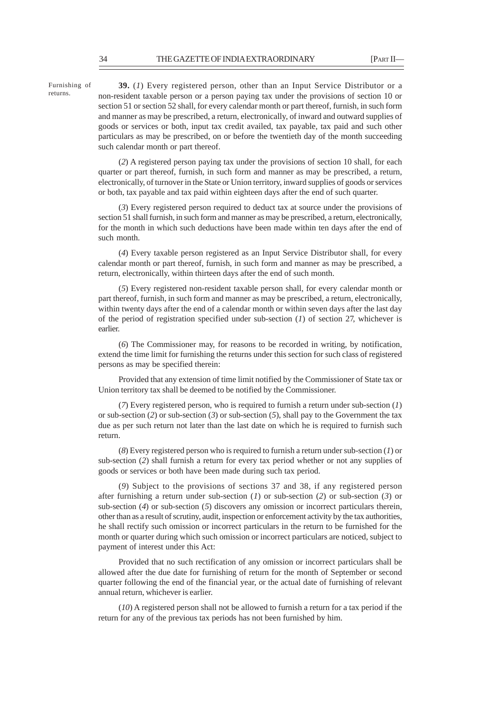Furnishing of returns.

**39.** (*1*) Every registered person, other than an Input Service Distributor or a non-resident taxable person or a person paying tax under the provisions of section 10 or section 51 or section 52 shall, for every calendar month or part thereof, furnish, in such form and manner as may be prescribed, a return, electronically, of inward and outward supplies of goods or services or both, input tax credit availed, tax payable, tax paid and such other particulars as may be prescribed, on or before the twentieth day of the month succeeding such calendar month or part thereof.

(*2*) A registered person paying tax under the provisions of section 10 shall, for each quarter or part thereof, furnish, in such form and manner as may be prescribed, a return, electronically, of turnover in the State or Union territory, inward supplies of goods or services or both, tax payable and tax paid within eighteen days after the end of such quarter.

(*3*) Every registered person required to deduct tax at source under the provisions of section 51 shall furnish, in such form and manner as may be prescribed, a return, electronically, for the month in which such deductions have been made within ten days after the end of such month.

(*4*) Every taxable person registered as an Input Service Distributor shall, for every calendar month or part thereof, furnish, in such form and manner as may be prescribed, a return, electronically, within thirteen days after the end of such month.

(*5*) Every registered non-resident taxable person shall, for every calendar month or part thereof, furnish, in such form and manner as may be prescribed, a return, electronically, within twenty days after the end of a calendar month or within seven days after the last day of the period of registration specified under sub-section (*1*) of section 27, whichever is earlier.

(*6*) The Commissioner may, for reasons to be recorded in writing, by notification, extend the time limit for furnishing the returns under this section for such class of registered persons as may be specified therein:

Provided that any extension of time limit notified by the Commissioner of State tax or Union territory tax shall be deemed to be notified by the Commissioner.

(*7*) Every registered person, who is required to furnish a return under sub-section (*1*) or sub-section (*2*) or sub-section (*3*) or sub-section (*5*), shall pay to the Government the tax due as per such return not later than the last date on which he is required to furnish such return.

(*8*) Every registered person who is required to furnish a return under sub-section (*1*) or sub-section (*2*) shall furnish a return for every tax period whether or not any supplies of goods or services or both have been made during such tax period.

(*9*) Subject to the provisions of sections 37 and 38, if any registered person after furnishing a return under sub-section (*1*) or sub-section (*2*) or sub-section (*3*) or sub-section (*4*) or sub-section (*5*) discovers any omission or incorrect particulars therein, other than as a result of scrutiny, audit, inspection or enforcement activity by the tax authorities, he shall rectify such omission or incorrect particulars in the return to be furnished for the month or quarter during which such omission or incorrect particulars are noticed, subject to payment of interest under this Act:

Provided that no such rectification of any omission or incorrect particulars shall be allowed after the due date for furnishing of return for the month of September or second quarter following the end of the financial year, or the actual date of furnishing of relevant annual return, whichever is earlier.

(*10*) A registered person shall not be allowed to furnish a return for a tax period if the return for any of the previous tax periods has not been furnished by him.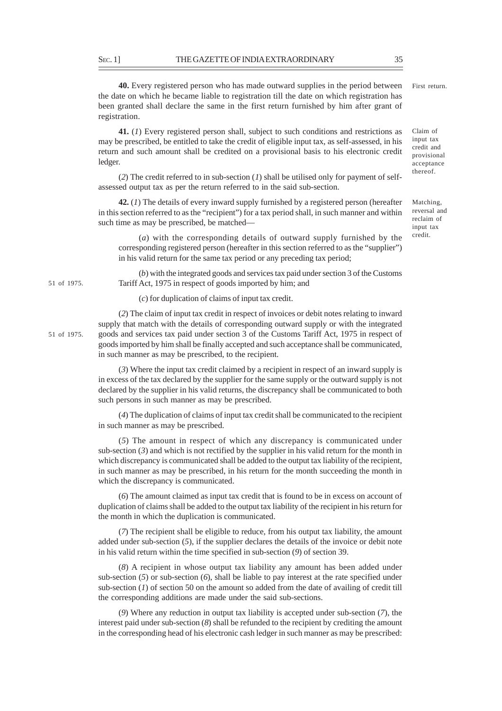**40.** Every registered person who has made outward supplies in the period between the date on which he became liable to registration till the date on which registration has been granted shall declare the same in the first return furnished by him after grant of registration.

**41.** (*1*) Every registered person shall, subject to such conditions and restrictions as may be prescribed, be entitled to take the credit of eligible input tax, as self-assessed, in his return and such amount shall be credited on a provisional basis to his electronic credit ledger.

(*2*) The credit referred to in sub-section (*1*) shall be utilised only for payment of selfassessed output tax as per the return referred to in the said sub-section.

**42.** (*1*) The details of every inward supply furnished by a registered person (hereafter in this section referred to as the "recipient") for a tax period shall, in such manner and within such time as may be prescribed, be matched––

(*a*) with the corresponding details of outward supply furnished by the corresponding registered person (hereafter in this section referred to as the "supplier") in his valid return for the same tax period or any preceding tax period;

(*b*) with the integrated goods and services tax paid under section 3 of the Customs Tariff Act, 1975 in respect of goods imported by him; and

(*c*) for duplication of claims of input tax credit.

(*2*) The claim of input tax credit in respect of invoices or debit notes relating to inward supply that match with the details of corresponding outward supply or with the integrated goods and services tax paid under section 3 of the Customs Tariff Act, 1975 in respect of goods imported by him shall be finally accepted and such acceptance shall be communicated, in such manner as may be prescribed, to the recipient.

(*3*) Where the input tax credit claimed by a recipient in respect of an inward supply is in excess of the tax declared by the supplier for the same supply or the outward supply is not declared by the supplier in his valid returns, the discrepancy shall be communicated to both such persons in such manner as may be prescribed.

(*4*) The duplication of claims of input tax credit shall be communicated to the recipient in such manner as may be prescribed.

(*5*) The amount in respect of which any discrepancy is communicated under sub-section  $(3)$  and which is not rectified by the supplier in his valid return for the month in which discrepancy is communicated shall be added to the output tax liability of the recipient, in such manner as may be prescribed, in his return for the month succeeding the month in which the discrepancy is communicated.

(*6*) The amount claimed as input tax credit that is found to be in excess on account of duplication of claims shall be added to the output tax liability of the recipient in his return for the month in which the duplication is communicated.

(*7*) The recipient shall be eligible to reduce, from his output tax liability, the amount added under sub-section (*5*), if the supplier declares the details of the invoice or debit note in his valid return within the time specified in sub-section (*9*) of section 39.

(*8*) A recipient in whose output tax liability any amount has been added under sub-section (*5*) or sub-section (*6*), shall be liable to pay interest at the rate specified under sub-section (*1*) of section 50 on the amount so added from the date of availing of credit till the corresponding additions are made under the said sub-sections.

(*9*) Where any reduction in output tax liability is accepted under sub-section (*7*), the interest paid under sub-section (*8*) shall be refunded to the recipient by crediting the amount in the corresponding head of his electronic cash ledger in such manner as may be prescribed:

51 of 1975.

51 of 1975.

Matching, reversal and reclaim of input tax credit.

First return.

Claim of input tax credit and provisional acceptance thereof.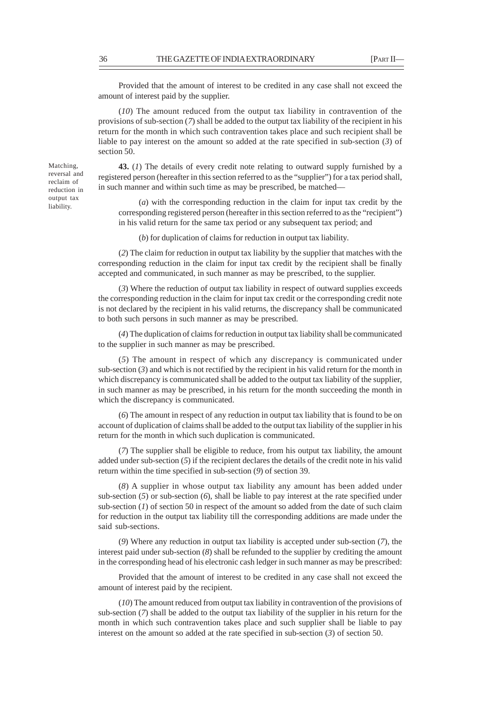Provided that the amount of interest to be credited in any case shall not exceed the amount of interest paid by the supplier.

(*10*) The amount reduced from the output tax liability in contravention of the provisions of sub-section (*7*) shall be added to the output tax liability of the recipient in his return for the month in which such contravention takes place and such recipient shall be liable to pay interest on the amount so added at the rate specified in sub-section (*3*) of section 50.

**43.** (*1*) The details of every credit note relating to outward supply furnished by a registered person (hereafter in this section referred to as the "supplier") for a tax period shall, in such manner and within such time as may be prescribed, be matched––

(*a*) with the corresponding reduction in the claim for input tax credit by the corresponding registered person (hereafter in this section referred to as the "recipient") in his valid return for the same tax period or any subsequent tax period; and

(*b*) for duplication of claims for reduction in output tax liability.

(*2*) The claim for reduction in output tax liability by the supplier that matches with the corresponding reduction in the claim for input tax credit by the recipient shall be finally accepted and communicated, in such manner as may be prescribed, to the supplier.

(*3*) Where the reduction of output tax liability in respect of outward supplies exceeds the corresponding reduction in the claim for input tax credit or the corresponding credit note is not declared by the recipient in his valid returns, the discrepancy shall be communicated to both such persons in such manner as may be prescribed.

(*4*) The duplication of claims for reduction in output tax liability shall be communicated to the supplier in such manner as may be prescribed.

(*5*) The amount in respect of which any discrepancy is communicated under sub-section (*3*) and which is not rectified by the recipient in his valid return for the month in which discrepancy is communicated shall be added to the output tax liability of the supplier, in such manner as may be prescribed, in his return for the month succeeding the month in which the discrepancy is communicated.

(*6*) The amount in respect of any reduction in output tax liability that is found to be on account of duplication of claims shall be added to the output tax liability of the supplier in his return for the month in which such duplication is communicated.

(*7*) The supplier shall be eligible to reduce, from his output tax liability, the amount added under sub-section (*5*) if the recipient declares the details of the credit note in his valid return within the time specified in sub-section (*9*) of section 39.

(*8*) A supplier in whose output tax liability any amount has been added under sub-section (*5*) or sub-section (*6*), shall be liable to pay interest at the rate specified under sub-section  $(1)$  of section 50 in respect of the amount so added from the date of such claim for reduction in the output tax liability till the corresponding additions are made under the said sub-sections.

(*9*) Where any reduction in output tax liability is accepted under sub-section (*7*), the interest paid under sub-section (*8*) shall be refunded to the supplier by crediting the amount in the corresponding head of his electronic cash ledger in such manner as may be prescribed:

Provided that the amount of interest to be credited in any case shall not exceed the amount of interest paid by the recipient.

(*10*) The amount reduced from output tax liability in contravention of the provisions of sub-section (*7*) shall be added to the output tax liability of the supplier in his return for the month in which such contravention takes place and such supplier shall be liable to pay interest on the amount so added at the rate specified in sub-section (*3*) of section 50.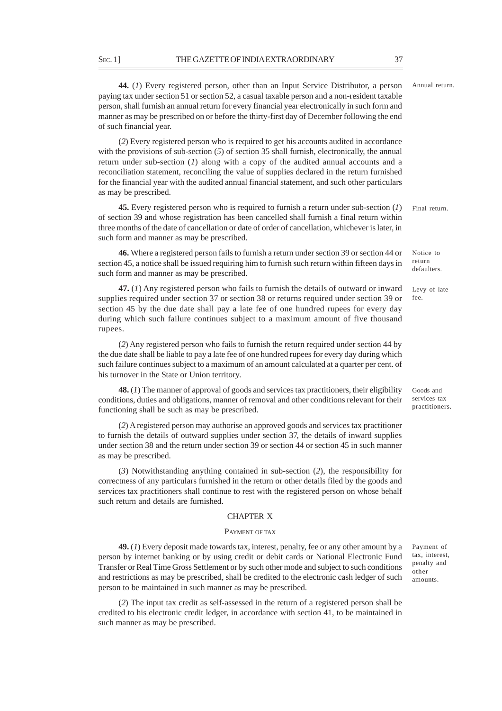**44.** (*1*) Every registered person, other than an Input Service Distributor, a person paying tax under section 51 or section 52, a casual taxable person and a non-resident taxable person, shall furnish an annual return for every financial year electronically in such form and manner as may be prescribed on or before the thirty-first day of December following the end of such financial year.

(*2*) Every registered person who is required to get his accounts audited in accordance with the provisions of sub-section (*5*) of section 35 shall furnish, electronically, the annual return under sub-section (*1*) along with a copy of the audited annual accounts and a reconciliation statement, reconciling the value of supplies declared in the return furnished for the financial year with the audited annual financial statement, and such other particulars as may be prescribed.

**45.** Every registered person who is required to furnish a return under sub-section (*1*) of section 39 and whose registration has been cancelled shall furnish a final return within three months of the date of cancellation or date of order of cancellation, whichever is later, in such form and manner as may be prescribed. Final return.

**46.** Where a registered person fails to furnish a return under section 39 or section 44 or section 45, a notice shall be issued requiring him to furnish such return within fifteen days in such form and manner as may be prescribed.

**47.** (*1*) Any registered person who fails to furnish the details of outward or inward supplies required under section 37 or section 38 or returns required under section 39 or section 45 by the due date shall pay a late fee of one hundred rupees for every day during which such failure continues subject to a maximum amount of five thousand rupees.

(*2*) Any registered person who fails to furnish the return required under section 44 by the due date shall be liable to pay a late fee of one hundred rupees for every day during which such failure continues subject to a maximum of an amount calculated at a quarter per cent. of his turnover in the State or Union territory.

**48.** (*1*) The manner of approval of goods and services tax practitioners, their eligibility conditions, duties and obligations, manner of removal and other conditions relevant for their functioning shall be such as may be prescribed.

(*2*) A registered person may authorise an approved goods and services tax practitioner to furnish the details of outward supplies under section 37, the details of inward supplies under section 38 and the return under section 39 or section 44 or section 45 in such manner as may be prescribed.

(*3*) Notwithstanding anything contained in sub-section (*2*), the responsibility for correctness of any particulars furnished in the return or other details filed by the goods and services tax practitioners shall continue to rest with the registered person on whose behalf such return and details are furnished.

#### CHAPTER X

# PAYMENT OF TAX

**49.** (*1*) Every deposit made towards tax, interest, penalty, fee or any other amount by a person by internet banking or by using credit or debit cards or National Electronic Fund Transfer or Real Time Gross Settlement or by such other mode and subject to such conditions and restrictions as may be prescribed, shall be credited to the electronic cash ledger of such person to be maintained in such manner as may be prescribed.

(*2*) The input tax credit as self-assessed in the return of a registered person shall be credited to his electronic credit ledger, in accordance with section 41, to be maintained in such manner as may be prescribed.

Payment of tax, interest, penalty and other amounts.

# Goods and

services tax practitioners.

Levy of late fee.

Notice to return defaulters.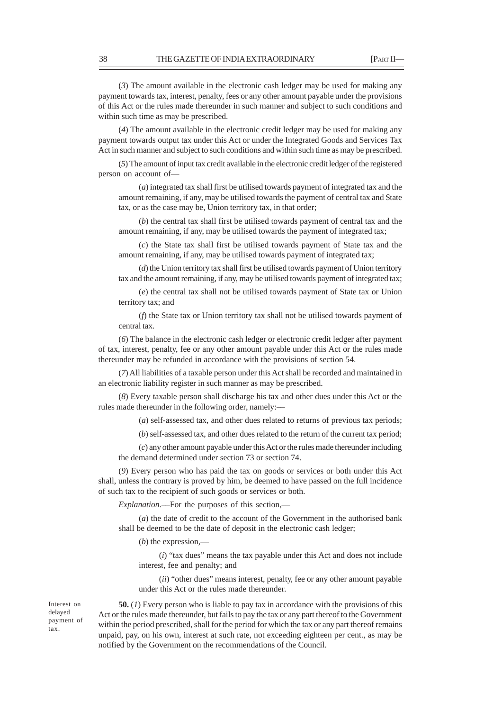(*3*) The amount available in the electronic cash ledger may be used for making any payment towards tax, interest, penalty, fees or any other amount payable under the provisions of this Act or the rules made thereunder in such manner and subject to such conditions and within such time as may be prescribed.

(*4*) The amount available in the electronic credit ledger may be used for making any payment towards output tax under this Act or under the Integrated Goods and Services Tax Act in such manner and subject to such conditions and within such time as may be prescribed.

(*5*) The amount of input tax credit available in the electronic credit ledger of the registered person on account of––

(*a*) integrated tax shall first be utilised towards payment of integrated tax and the amount remaining, if any, may be utilised towards the payment of central tax and State tax, or as the case may be, Union territory tax, in that order;

(*b*) the central tax shall first be utilised towards payment of central tax and the amount remaining, if any, may be utilised towards the payment of integrated tax;

(*c*) the State tax shall first be utilised towards payment of State tax and the amount remaining, if any, may be utilised towards payment of integrated tax;

(*d*) the Union territory tax shall first be utilised towards payment of Union territory tax and the amount remaining, if any, may be utilised towards payment of integrated tax;

(*e*) the central tax shall not be utilised towards payment of State tax or Union territory tax; and

(*f*) the State tax or Union territory tax shall not be utilised towards payment of central tax.

(*6*) The balance in the electronic cash ledger or electronic credit ledger after payment of tax, interest, penalty, fee or any other amount payable under this Act or the rules made thereunder may be refunded in accordance with the provisions of section 54.

(*7*) All liabilities of a taxable person under this Act shall be recorded and maintained in an electronic liability register in such manner as may be prescribed.

(*8*) Every taxable person shall discharge his tax and other dues under this Act or the rules made thereunder in the following order, namely:––

(*a*) self-assessed tax, and other dues related to returns of previous tax periods;

(*b*) self-assessed tax, and other dues related to the return of the current tax period;

(*c*) any other amount payable under this Act or the rules made thereunder including the demand determined under section 73 or section 74.

(*9*) Every person who has paid the tax on goods or services or both under this Act shall, unless the contrary is proved by him, be deemed to have passed on the full incidence of such tax to the recipient of such goods or services or both.

*Explanation*.––For the purposes of this section,—

(*a*) the date of credit to the account of the Government in the authorised bank shall be deemed to be the date of deposit in the electronic cash ledger;

(*b*) the expression,—

(*i*) "tax dues" means the tax payable under this Act and does not include interest, fee and penalty; and

(*ii*) "other dues" means interest, penalty, fee or any other amount payable under this Act or the rules made thereunder.

Interest on delayed payment of tax.

**50.** (*1*) Every person who is liable to pay tax in accordance with the provisions of this Act or the rules made thereunder, but fails to pay the tax or any part thereof to the Government within the period prescribed, shall for the period for which the tax or any part thereof remains unpaid, pay, on his own, interest at such rate, not exceeding eighteen per cent., as may be notified by the Government on the recommendations of the Council.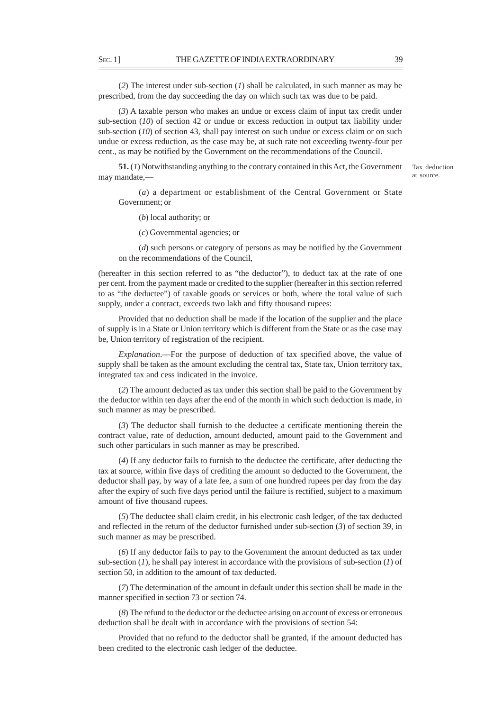(*2*) The interest under sub-section (*1*) shall be calculated, in such manner as may be prescribed, from the day succeeding the day on which such tax was due to be paid.

(*3*) A taxable person who makes an undue or excess claim of input tax credit under sub-section (*10*) of section 42 or undue or excess reduction in output tax liability under sub-section (*10*) of section 43, shall pay interest on such undue or excess claim or on such undue or excess reduction, as the case may be, at such rate not exceeding twenty-four per cent., as may be notified by the Government on the recommendations of the Council.

**51.** (*1*) Notwithstanding anything to the contrary contained in this Act, the Government may mandate,––

Tax deduction at source.

(*a*) a department or establishment of the Central Government or State Government; or

(*b*) local authority; or

(*c*) Governmental agencies; or

(*d*) such persons or category of persons as may be notified by the Government on the recommendations of the Council,

(hereafter in this section referred to as "the deductor"), to deduct tax at the rate of one per cent. from the payment made or credited to the supplier (hereafter in this section referred to as "the deductee") of taxable goods or services or both, where the total value of such supply, under a contract, exceeds two lakh and fifty thousand rupees:

Provided that no deduction shall be made if the location of the supplier and the place of supply is in a State or Union territory which is different from the State or as the case may be, Union territory of registration of the recipient.

*Explanation*.––For the purpose of deduction of tax specified above, the value of supply shall be taken as the amount excluding the central tax, State tax, Union territory tax, integrated tax and cess indicated in the invoice.

(*2*) The amount deducted as tax under this section shall be paid to the Government by the deductor within ten days after the end of the month in which such deduction is made, in such manner as may be prescribed.

(*3*) The deductor shall furnish to the deductee a certificate mentioning therein the contract value, rate of deduction, amount deducted, amount paid to the Government and such other particulars in such manner as may be prescribed.

(*4*) If any deductor fails to furnish to the deductee the certificate, after deducting the tax at source, within five days of crediting the amount so deducted to the Government, the deductor shall pay, by way of a late fee, a sum of one hundred rupees per day from the day after the expiry of such five days period until the failure is rectified, subject to a maximum amount of five thousand rupees.

(*5*) The deductee shall claim credit, in his electronic cash ledger, of the tax deducted and reflected in the return of the deductor furnished under sub-section (*3*) of section 39, in such manner as may be prescribed.

(*6*) If any deductor fails to pay to the Government the amount deducted as tax under sub-section (*1*), he shall pay interest in accordance with the provisions of sub-section (*1*) of section 50, in addition to the amount of tax deducted.

(*7*) The determination of the amount in default under this section shall be made in the manner specified in section 73 or section 74.

(*8*) The refund to the deductor or the deductee arising on account of excess or erroneous deduction shall be dealt with in accordance with the provisions of section 54:

Provided that no refund to the deductor shall be granted, if the amount deducted has been credited to the electronic cash ledger of the deductee.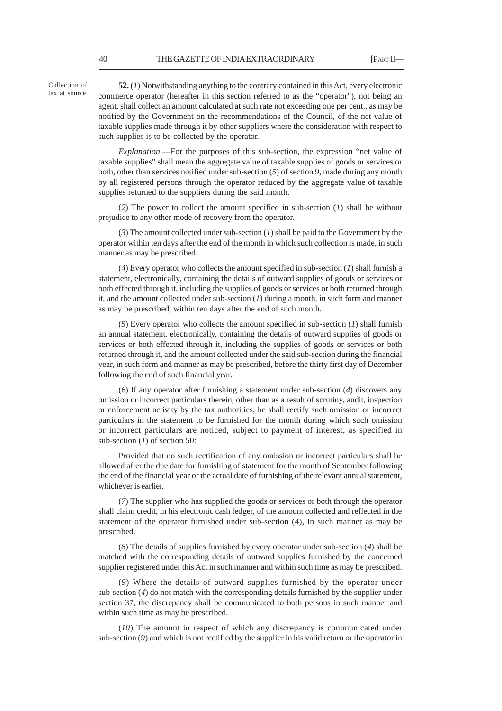Collection of tax at source.

**52.** (*1*) Notwithstanding anything to the contrary contained in this Act, every electronic commerce operator (hereafter in this section referred to as the "operator"), not being an agent, shall collect an amount calculated at such rate not exceeding one per cent., as may be notified by the Government on the recommendations of the Council, of the net value of taxable supplies made through it by other suppliers where the consideration with respect to such supplies is to be collected by the operator.

*Explanation*.––For the purposes of this sub-section, the expression "net value of taxable supplies" shall mean the aggregate value of taxable supplies of goods or services or both, other than services notified under sub-section (*5*) of section 9, made during any month by all registered persons through the operator reduced by the aggregate value of taxable supplies returned to the suppliers during the said month.

(*2*) The power to collect the amount specified in sub-section (*1*) shall be without prejudice to any other mode of recovery from the operator.

(*3*) The amount collected under sub-section (*1*) shall be paid to the Government by the operator within ten days after the end of the month in which such collection is made, in such manner as may be prescribed.

(*4*) Every operator who collects the amount specified in sub-section (*1*) shall furnish a statement, electronically, containing the details of outward supplies of goods or services or both effected through it, including the supplies of goods or services or both returned through it, and the amount collected under sub-section (*1*) during a month, in such form and manner as may be prescribed, within ten days after the end of such month.

(*5*) Every operator who collects the amount specified in sub-section (*1*) shall furnish an annual statement, electronically, containing the details of outward supplies of goods or services or both effected through it, including the supplies of goods or services or both returned through it, and the amount collected under the said sub-section during the financial year, in such form and manner as may be prescribed, before the thirty first day of December following the end of such financial year.

(*6*) If any operator after furnishing a statement under sub-section (*4*) discovers any omission or incorrect particulars therein, other than as a result of scrutiny, audit, inspection or enforcement activity by the tax authorities, he shall rectify such omission or incorrect particulars in the statement to be furnished for the month during which such omission or incorrect particulars are noticed, subject to payment of interest, as specified in sub-section (*1*) of section 50:

Provided that no such rectification of any omission or incorrect particulars shall be allowed after the due date for furnishing of statement for the month of September following the end of the financial year or the actual date of furnishing of the relevant annual statement, whichever is earlier.

(*7*) The supplier who has supplied the goods or services or both through the operator shall claim credit, in his electronic cash ledger, of the amount collected and reflected in the statement of the operator furnished under sub-section (*4*), in such manner as may be prescribed.

(*8*) The details of supplies furnished by every operator under sub-section (*4*) shall be matched with the corresponding details of outward supplies furnished by the concerned supplier registered under this Act in such manner and within such time as may be prescribed.

(*9*) Where the details of outward supplies furnished by the operator under sub-section (*4*) do not match with the corresponding details furnished by the supplier under section 37, the discrepancy shall be communicated to both persons in such manner and within such time as may be prescribed.

(*10*) The amount in respect of which any discrepancy is communicated under sub-section (*9*) and which is not rectified by the supplier in his valid return or the operator in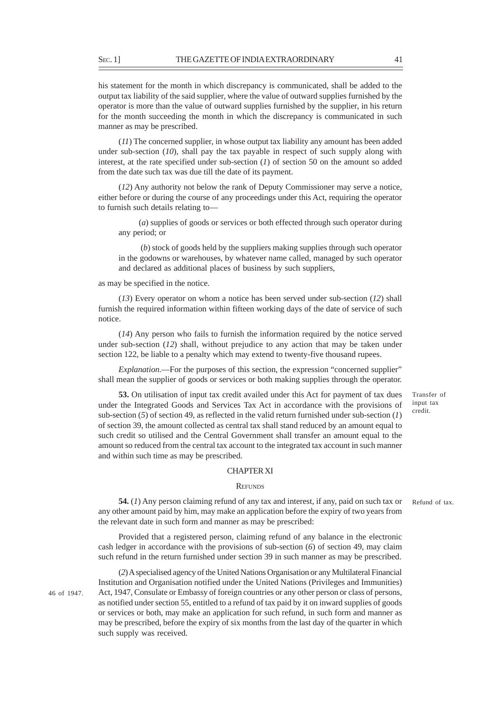his statement for the month in which discrepancy is communicated, shall be added to the output tax liability of the said supplier, where the value of outward supplies furnished by the operator is more than the value of outward supplies furnished by the supplier, in his return for the month succeeding the month in which the discrepancy is communicated in such manner as may be prescribed.

(*11*) The concerned supplier, in whose output tax liability any amount has been added under sub-section (*10*), shall pay the tax payable in respect of such supply along with interest, at the rate specified under sub-section (*1*) of section 50 on the amount so added from the date such tax was due till the date of its payment.

(*12*) Any authority not below the rank of Deputy Commissioner may serve a notice, either before or during the course of any proceedings under this Act, requiring the operator to furnish such details relating to—

(*a*) supplies of goods or services or both effected through such operator during any period; or

 (*b*) stock of goods held by the suppliers making supplies through such operator in the godowns or warehouses, by whatever name called, managed by such operator and declared as additional places of business by such suppliers,

as may be specified in the notice.

(*13*) Every operator on whom a notice has been served under sub-section (*12*) shall furnish the required information within fifteen working days of the date of service of such notice.

(*14*) Any person who fails to furnish the information required by the notice served under sub-section (*12*) shall, without prejudice to any action that may be taken under section 122, be liable to a penalty which may extend to twenty-five thousand rupees.

*Explanation*.—For the purposes of this section, the expression "concerned supplier" shall mean the supplier of goods or services or both making supplies through the operator.

**53.** On utilisation of input tax credit availed under this Act for payment of tax dues under the Integrated Goods and Services Tax Act in accordance with the provisions of sub-section (*5*) of section 49, as reflected in the valid return furnished under sub-section (*1*) of section 39, the amount collected as central tax shall stand reduced by an amount equal to such credit so utilised and the Central Government shall transfer an amount equal to the amount so reduced from the central tax account to the integrated tax account in such manner and within such time as may be prescribed.

# CHAPTER XI

### **REFUNDS**

**54.** (*1*) Any person claiming refund of any tax and interest, if any, paid on such tax or any other amount paid by him, may make an application before the expiry of two years from the relevant date in such form and manner as may be prescribed: Refund of tax.

Provided that a registered person, claiming refund of any balance in the electronic cash ledger in accordance with the provisions of sub-section (*6*) of section 49, may claim such refund in the return furnished under section 39 in such manner as may be prescribed.

46 of 1947.

(*2*) A specialised agency of the United Nations Organisation or any Multilateral Financial Institution and Organisation notified under the United Nations (Privileges and Immunities) Act, 1947, Consulate or Embassy of foreign countries or any other person or class of persons, as notified under section 55, entitled to a refund of tax paid by it on inward supplies of goods or services or both, may make an application for such refund, in such form and manner as may be prescribed, before the expiry of six months from the last day of the quarter in which such supply was received.

Transfer of input tax credit.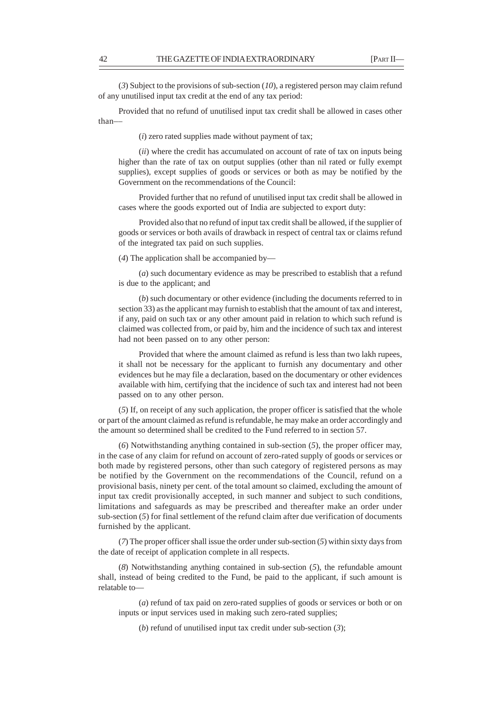(*3*) Subject to the provisions of sub-section (*10*), a registered person may claim refund of any unutilised input tax credit at the end of any tax period:

Provided that no refund of unutilised input tax credit shall be allowed in cases other than––

(*i*) zero rated supplies made without payment of tax;

(*ii*) where the credit has accumulated on account of rate of tax on inputs being higher than the rate of tax on output supplies (other than nil rated or fully exempt supplies), except supplies of goods or services or both as may be notified by the Government on the recommendations of the Council:

Provided further that no refund of unutilised input tax credit shall be allowed in cases where the goods exported out of India are subjected to export duty:

Provided also that no refund of input tax credit shall be allowed, if the supplier of goods or services or both avails of drawback in respect of central tax or claims refund of the integrated tax paid on such supplies.

(*4*) The application shall be accompanied by—

(*a*) such documentary evidence as may be prescribed to establish that a refund is due to the applicant; and

(*b*) such documentary or other evidence (including the documents referred to in section 33) as the applicant may furnish to establish that the amount of tax and interest, if any, paid on such tax or any other amount paid in relation to which such refund is claimed was collected from, or paid by, him and the incidence of such tax and interest had not been passed on to any other person:

Provided that where the amount claimed as refund is less than two lakh rupees, it shall not be necessary for the applicant to furnish any documentary and other evidences but he may file a declaration, based on the documentary or other evidences available with him, certifying that the incidence of such tax and interest had not been passed on to any other person.

(*5*) If, on receipt of any such application, the proper officer is satisfied that the whole or part of the amount claimed as refund is refundable, he may make an order accordingly and the amount so determined shall be credited to the Fund referred to in section 57.

(*6*) Notwithstanding anything contained in sub-section (*5*), the proper officer may, in the case of any claim for refund on account of zero-rated supply of goods or services or both made by registered persons, other than such category of registered persons as may be notified by the Government on the recommendations of the Council, refund on a provisional basis, ninety per cent. of the total amount so claimed, excluding the amount of input tax credit provisionally accepted, in such manner and subject to such conditions, limitations and safeguards as may be prescribed and thereafter make an order under sub-section (*5*) for final settlement of the refund claim after due verification of documents furnished by the applicant.

(*7*) The proper officer shall issue the order under sub-section (*5*) within sixty days from the date of receipt of application complete in all respects.

(*8*) Notwithstanding anything contained in sub-section (*5*), the refundable amount shall, instead of being credited to the Fund, be paid to the applicant, if such amount is relatable to—

(*a*) refund of tax paid on zero-rated supplies of goods or services or both or on inputs or input services used in making such zero-rated supplies;

(*b*) refund of unutilised input tax credit under sub-section (*3*);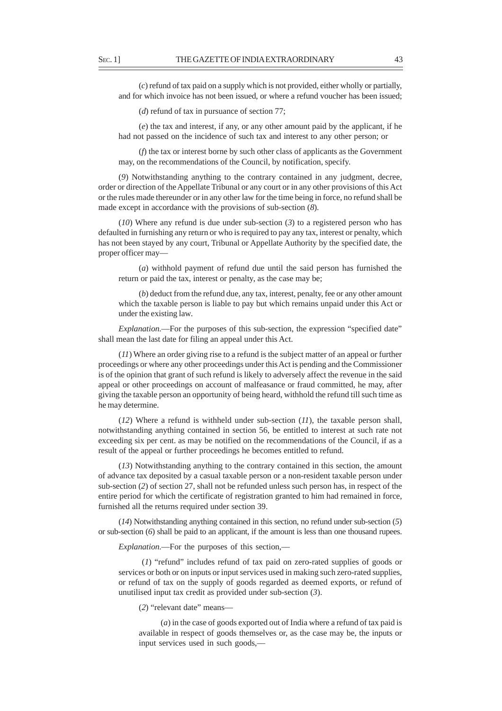(*c*) refund of tax paid on a supply which is not provided, either wholly or partially, and for which invoice has not been issued, or where a refund voucher has been issued;

(*d*) refund of tax in pursuance of section 77;

(*e*) the tax and interest, if any, or any other amount paid by the applicant, if he had not passed on the incidence of such tax and interest to any other person; or

(*f*) the tax or interest borne by such other class of applicants as the Government may, on the recommendations of the Council, by notification, specify.

(*9*) Notwithstanding anything to the contrary contained in any judgment, decree, order or direction of the Appellate Tribunal or any court or in any other provisions of this Act or the rules made thereunder or in any other law for the time being in force, no refund shall be made except in accordance with the provisions of sub-section (*8*).

(*10*) Where any refund is due under sub-section (*3*) to a registered person who has defaulted in furnishing any return or who is required to pay any tax, interest or penalty, which has not been stayed by any court, Tribunal or Appellate Authority by the specified date, the proper officer may—

(*a*) withhold payment of refund due until the said person has furnished the return or paid the tax, interest or penalty, as the case may be;

(*b*) deduct from the refund due, any tax, interest, penalty, fee or any other amount which the taxable person is liable to pay but which remains unpaid under this Act or under the existing law*.*

*Explanation*.––For the purposes of this sub-section, the expression "specified date" shall mean the last date for filing an appeal under this Act.

(*11*) Where an order giving rise to a refund is the subject matter of an appeal or further proceedings or where any other proceedings under this Act is pending and the Commissioner is of the opinion that grant of such refund is likely to adversely affect the revenue in the said appeal or other proceedings on account of malfeasance or fraud committed, he may, after giving the taxable person an opportunity of being heard, withhold the refund till such time as he may determine.

(*12*) Where a refund is withheld under sub-section (*11*), the taxable person shall, notwithstanding anything contained in section 56, be entitled to interest at such rate not exceeding six per cent. as may be notified on the recommendations of the Council, if as a result of the appeal or further proceedings he becomes entitled to refund.

(*13*) Notwithstanding anything to the contrary contained in this section, the amount of advance tax deposited by a casual taxable person or a non-resident taxable person under sub-section (*2*) of section 27, shall not be refunded unless such person has, in respect of the entire period for which the certificate of registration granted to him had remained in force, furnished all the returns required under section 39.

(*14*) Notwithstanding anything contained in this section, no refund under sub-section (*5*) or sub-section (*6*) shall be paid to an applicant, if the amount is less than one thousand rupees.

*Explanation*.—For the purposes of this section,––

 (*1*) "refund" includes refund of tax paid on zero-rated supplies of goods or services or both or on inputs or input services used in making such zero-rated supplies, or refund of tax on the supply of goods regarded as deemed exports, or refund of unutilised input tax credit as provided under sub-section (*3*).

(*2*) "relevant date" means—

 (*a*) in the case of goods exported out of India where a refund of tax paid is available in respect of goods themselves or, as the case may be, the inputs or input services used in such goods,––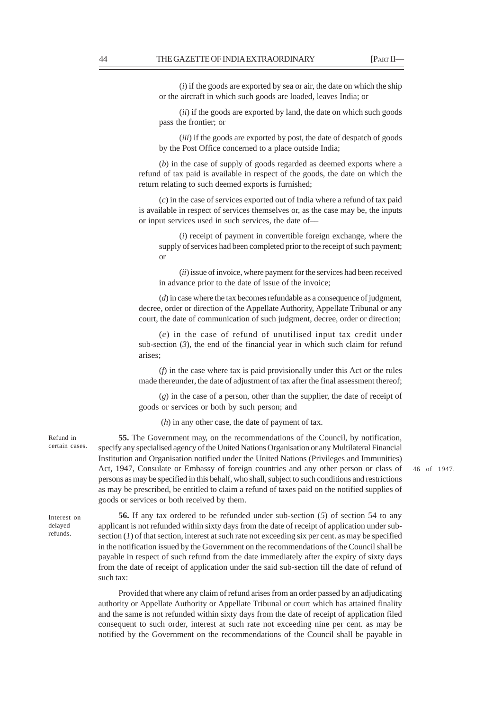(*i*) if the goods are exported by sea or air, the date on which the ship or the aircraft in which such goods are loaded, leaves India; or

(*ii*) if the goods are exported by land, the date on which such goods pass the frontier; or

(*iii*) if the goods are exported by post, the date of despatch of goods by the Post Office concerned to a place outside India;

(*b*) in the case of supply of goods regarded as deemed exports where a refund of tax paid is available in respect of the goods, the date on which the return relating to such deemed exports is furnished;

(*c*) in the case of services exported out of India where a refund of tax paid is available in respect of services themselves or, as the case may be, the inputs or input services used in such services, the date of––

(*i*) receipt of payment in convertible foreign exchange, where the supply of services had been completed prior to the receipt of such payment; or

(*ii*) issue of invoice, where payment for the services had been received in advance prior to the date of issue of the invoice;

(*d*) in case where the tax becomes refundable as a consequence of judgment, decree, order or direction of the Appellate Authority, Appellate Tribunal or any court, the date of communication of such judgment, decree, order or direction;

(*e*) in the case of refund of unutilised input tax credit under sub-section (*3*), the end of the financial year in which such claim for refund arises;

(*f*) in the case where tax is paid provisionally under this Act or the rules made thereunder, the date of adjustment of tax after the final assessment thereof;

(*g*) in the case of a person, other than the supplier, the date of receipt of goods or services or both by such person; and

(*h*) in any other case, the date of payment of tax.

**55.** The Government may, on the recommendations of the Council, by notification, specify any specialised agency of the United Nations Organisation or any Multilateral Financial Institution and Organisation notified under the United Nations (Privileges and Immunities) Act, 1947, Consulate or Embassy of foreign countries and any other person or class of persons as may be specified in this behalf, who shall, subject to such conditions and restrictions as may be prescribed, be entitled to claim a refund of taxes paid on the notified supplies of goods or services or both received by them.

46 of 1947.

Interest on delayed refunds.

Refund in certain cases.

> **56.** If any tax ordered to be refunded under sub-section (*5*) of section 54 to any applicant is not refunded within sixty days from the date of receipt of application under subsection  $(1)$  of that section, interest at such rate not exceeding six per cent. as may be specified in the notification issued by the Government on the recommendations of the Council shall be payable in respect of such refund from the date immediately after the expiry of sixty days from the date of receipt of application under the said sub-section till the date of refund of such tax:

> Provided that where any claim of refund arises from an order passed by an adjudicating authority or Appellate Authority or Appellate Tribunal or court which has attained finality and the same is not refunded within sixty days from the date of receipt of application filed consequent to such order, interest at such rate not exceeding nine per cent. as may be notified by the Government on the recommendations of the Council shall be payable in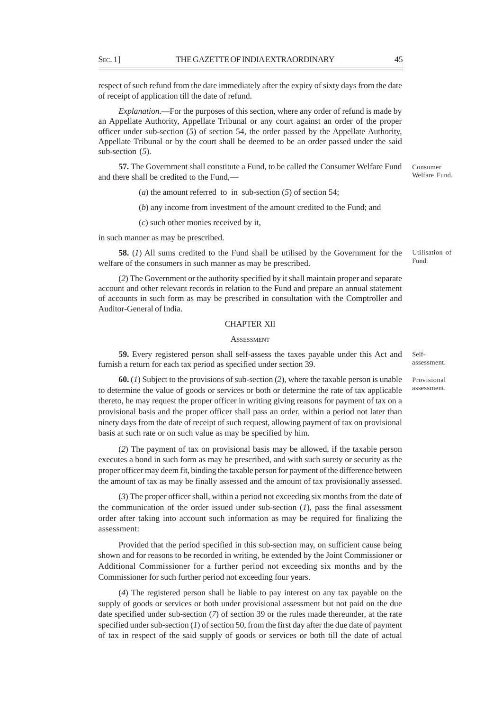respect of such refund from the date immediately after the expiry of sixty days from the date of receipt of application till the date of refund.

*Explanation*.––For the purposes of this section, where any order of refund is made by an Appellate Authority, Appellate Tribunal or any court against an order of the proper officer under sub-section (*5*) of section 54, the order passed by the Appellate Authority, Appellate Tribunal or by the court shall be deemed to be an order passed under the said sub-section (*5*).

**57.** The Government shall constitute a Fund, to be called the Consumer Welfare Fund and there shall be credited to the Fund,—

(*a*) the amount referred to in sub-section  $(5)$  of section 54;

(*b*) any income from investment of the amount credited to the Fund; and

(*c*) such other monies received by it,

in such manner as may be prescribed.

**58.** (*1*) All sums credited to the Fund shall be utilised by the Government for the welfare of the consumers in such manner as may be prescribed.

(*2*) The Government or the authority specified by it shall maintain proper and separate account and other relevant records in relation to the Fund and prepare an annual statement of accounts in such form as may be prescribed in consultation with the Comptroller and Auditor-General of India.

#### CHAPTER XII

# **ASSESSMENT**

**59.** Every registered person shall self-assess the taxes payable under this Act and furnish a return for each tax period as specified under section 39.

**60.** (*1*) Subject to the provisions of sub-section (*2*), where the taxable person is unable to determine the value of goods or services or both or determine the rate of tax applicable thereto, he may request the proper officer in writing giving reasons for payment of tax on a provisional basis and the proper officer shall pass an order, within a period not later than ninety days from the date of receipt of such request, allowing payment of tax on provisional basis at such rate or on such value as may be specified by him.

(*2*) The payment of tax on provisional basis may be allowed, if the taxable person executes a bond in such form as may be prescribed, and with such surety or security as the proper officer may deem fit, binding the taxable person for payment of the difference between the amount of tax as may be finally assessed and the amount of tax provisionally assessed.

(*3*) The proper officer shall, within a period not exceeding six months from the date of the communication of the order issued under sub-section  $(I)$ , pass the final assessment order after taking into account such information as may be required for finalizing the assessment:

Provided that the period specified in this sub-section may, on sufficient cause being shown and for reasons to be recorded in writing, be extended by the Joint Commissioner or Additional Commissioner for a further period not exceeding six months and by the Commissioner for such further period not exceeding four years.

(*4*) The registered person shall be liable to pay interest on any tax payable on the supply of goods or services or both under provisional assessment but not paid on the due date specified under sub-section (*7*) of section 39 or the rules made thereunder, at the rate specified under sub-section (*1*) of section 50, from the first day after the due date of payment of tax in respect of the said supply of goods or services or both till the date of actual

# Self-

assessment.

Provisional assessment.

Utilisation of Fund.

Consumer Welfare Fund.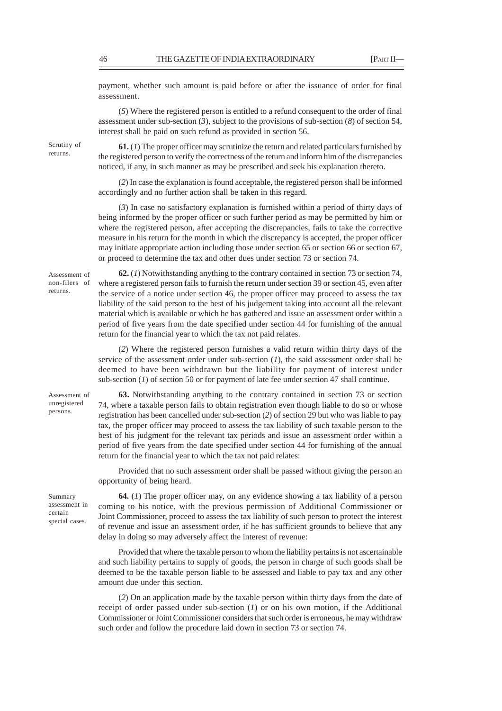payment, whether such amount is paid before or after the issuance of order for final assessment.

(*5*) Where the registered person is entitled to a refund consequent to the order of final assessment under sub-section (*3*), subject to the provisions of sub-section (*8*) of section 54, interest shall be paid on such refund as provided in section 56.

Scrutiny of returns.

**61.** (*1*) The proper officer may scrutinize the return and related particulars furnished by the registered person to verify the correctness of the return and inform him of the discrepancies noticed, if any, in such manner as may be prescribed and seek his explanation thereto.

(*2*) In case the explanation is found acceptable, the registered person shall be informed accordingly and no further action shall be taken in this regard.

(*3*) In case no satisfactory explanation is furnished within a period of thirty days of being informed by the proper officer or such further period as may be permitted by him or where the registered person, after accepting the discrepancies, fails to take the corrective measure in his return for the month in which the discrepancy is accepted, the proper officer may initiate appropriate action including those under section 65 or section 66 or section 67, or proceed to determine the tax and other dues under section 73 or section 74.

Assessment of non-filers of returns.

**62.** (*1*) Notwithstanding anything to the contrary contained in section 73 or section 74, where a registered person fails to furnish the return under section 39 or section 45, even after the service of a notice under section 46, the proper officer may proceed to assess the tax liability of the said person to the best of his judgement taking into account all the relevant material which is available or which he has gathered and issue an assessment order within a period of five years from the date specified under section 44 for furnishing of the annual return for the financial year to which the tax not paid relates.

(*2*) Where the registered person furnishes a valid return within thirty days of the service of the assessment order under sub-section (*1*), the said assessment order shall be deemed to have been withdrawn but the liability for payment of interest under sub-section (*1*) of section 50 or for payment of late fee under section 47 shall continue.

Assessment of unregistered persons.

**63.** Notwithstanding anything to the contrary contained in section 73 or section 74, where a taxable person fails to obtain registration even though liable to do so or whose registration has been cancelled under sub-section (*2*) of section 29 but who was liable to pay tax, the proper officer may proceed to assess the tax liability of such taxable person to the best of his judgment for the relevant tax periods and issue an assessment order within a period of five years from the date specified under section 44 for furnishing of the annual return for the financial year to which the tax not paid relates:

Provided that no such assessment order shall be passed without giving the person an opportunity of being heard.

Summary assessment in certain special cases.

**64.** (*1*) The proper officer may, on any evidence showing a tax liability of a person coming to his notice, with the previous permission of Additional Commissioner or Joint Commissioner, proceed to assess the tax liability of such person to protect the interest of revenue and issue an assessment order, if he has sufficient grounds to believe that any delay in doing so may adversely affect the interest of revenue:

Provided that where the taxable person to whom the liability pertains is not ascertainable and such liability pertains to supply of goods, the person in charge of such goods shall be deemed to be the taxable person liable to be assessed and liable to pay tax and any other amount due under this section.

(*2*) On an application made by the taxable person within thirty days from the date of receipt of order passed under sub-section (*1*) or on his own motion, if the Additional Commissioner or Joint Commissioner considers that such order is erroneous, he may withdraw such order and follow the procedure laid down in section 73 or section 74.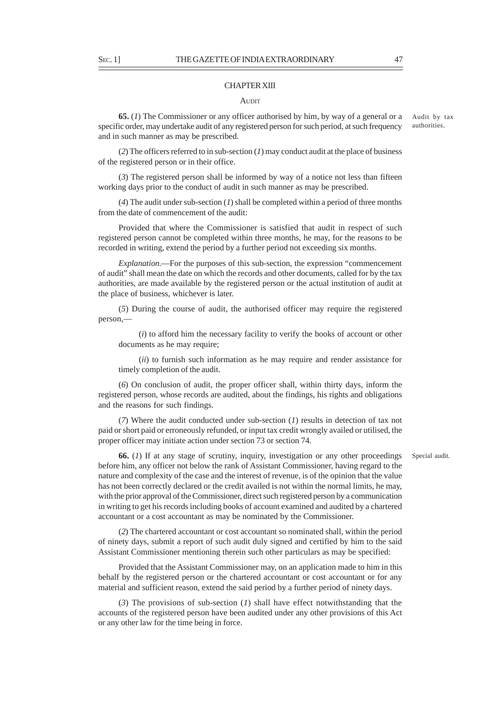#### CHAPTER XIII

#### **AUDIT**

**65.** (*1*) The Commissioner or any officer authorised by him, by way of a general or a specific order, may undertake audit of any registered person for such period, at such frequency and in such manner as may be prescribed.

(*2*) The officers referred to in sub-section (*1*) may conduct audit at the place of business of the registered person or in their office.

(*3*) The registered person shall be informed by way of a notice not less than fifteen working days prior to the conduct of audit in such manner as may be prescribed.

(*4*) The audit under sub-section (*1*) shall be completed within a period of three months from the date of commencement of the audit:

Provided that where the Commissioner is satisfied that audit in respect of such registered person cannot be completed within three months, he may, for the reasons to be recorded in writing, extend the period by a further period not exceeding six months.

*Explanation*.––For the purposes of this sub-section, the expression "commencement of audit" shall mean the date on which the records and other documents, called for by the tax authorities, are made available by the registered person or the actual institution of audit at the place of business, whichever is later.

(*5*) During the course of audit, the authorised officer may require the registered person,—

(*i*) to afford him the necessary facility to verify the books of account or other documents as he may require;

(*ii*) to furnish such information as he may require and render assistance for timely completion of the audit.

(*6*) On conclusion of audit, the proper officer shall, within thirty days, inform the registered person, whose records are audited, about the findings, his rights and obligations and the reasons for such findings.

(*7*) Where the audit conducted under sub-section (*1*) results in detection of tax not paid or short paid or erroneously refunded, or input tax credit wrongly availed or utilised, the proper officer may initiate action under section 73 or section 74.

**66.** (*1*) If at any stage of scrutiny, inquiry, investigation or any other proceedings before him, any officer not below the rank of Assistant Commissioner, having regard to the nature and complexity of the case and the interest of revenue, is of the opinion that the value has not been correctly declared or the credit availed is not within the normal limits, he may, with the prior approval of the Commissioner, direct such registered person by a communication in writing to get his records including books of account examined and audited by a chartered accountant or a cost accountant as may be nominated by the Commissioner.

(*2*) The chartered accountant or cost accountant so nominated shall, within the period of ninety days, submit a report of such audit duly signed and certified by him to the said Assistant Commissioner mentioning therein such other particulars as may be specified:

Provided that the Assistant Commissioner may, on an application made to him in this behalf by the registered person or the chartered accountant or cost accountant or for any material and sufficient reason, extend the said period by a further period of ninety days.

(*3*) The provisions of sub-section (*1*) shall have effect notwithstanding that the accounts of the registered person have been audited under any other provisions of this Act or any other law for the time being in force.

Special audit.

Audit by tax authorities.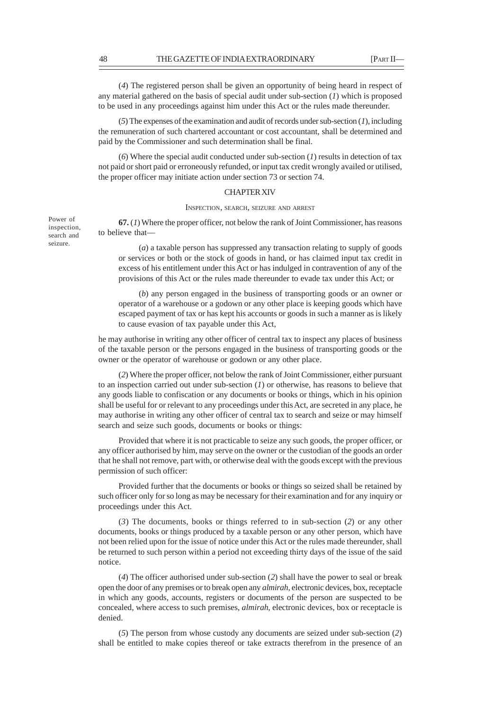(*4*) The registered person shall be given an opportunity of being heard in respect of any material gathered on the basis of special audit under sub-section (*1*) which is proposed to be used in any proceedings against him under this Act or the rules made thereunder.

(*5*) The expenses of the examination and audit of records under sub-section (*1*), including the remuneration of such chartered accountant or cost accountant, shall be determined and paid by the Commissioner and such determination shall be final.

(*6*) Where the special audit conducted under sub-section (*1*) results in detection of tax not paid or short paid or erroneously refunded, or input tax credit wrongly availed or utilised, the proper officer may initiate action under section 73 or section 74.

# CHAPTER XIV

INSPECTION, SEARCH, SEIZURE AND ARREST

**67.** (*1*) Where the proper officer, not below the rank of Joint Commissioner, has reasons to believe that––

(*a*) a taxable person has suppressed any transaction relating to supply of goods or services or both or the stock of goods in hand, or has claimed input tax credit in excess of his entitlement under this Act or has indulged in contravention of any of the provisions of this Act or the rules made thereunder to evade tax under this Act; or

(*b*) any person engaged in the business of transporting goods or an owner or operator of a warehouse or a godown or any other place is keeping goods which have escaped payment of tax or has kept his accounts or goods in such a manner as is likely to cause evasion of tax payable under this Act,

he may authorise in writing any other officer of central tax to inspect any places of business of the taxable person or the persons engaged in the business of transporting goods or the owner or the operator of warehouse or godown or any other place.

(*2*) Where the proper officer, not below the rank of Joint Commissioner, either pursuant to an inspection carried out under sub-section (*1*) or otherwise, has reasons to believe that any goods liable to confiscation or any documents or books or things, which in his opinion shall be useful for or relevant to any proceedings under this Act, are secreted in any place, he may authorise in writing any other officer of central tax to search and seize or may himself search and seize such goods, documents or books or things:

Provided that where it is not practicable to seize any such goods, the proper officer, or any officer authorised by him, may serve on the owner or the custodian of the goods an order that he shall not remove, part with, or otherwise deal with the goods except with the previous permission of such officer:

Provided further that the documents or books or things so seized shall be retained by such officer only for so long as may be necessary for their examination and for any inquiry or proceedings under this Act.

(*3*) The documents, books or things referred to in sub-section (*2*) or any other documents, books or things produced by a taxable person or any other person, which have not been relied upon for the issue of notice under this Act or the rules made thereunder, shall be returned to such person within a period not exceeding thirty days of the issue of the said notice.

(*4*) The officer authorised under sub-section (*2*) shall have the power to seal or break open the door of any premises or to break open any *almirah*, electronic devices, box, receptacle in which any goods, accounts, registers or documents of the person are suspected to be concealed, where access to such premises, *almirah*, electronic devices, box or receptacle is denied.

(*5*) The person from whose custody any documents are seized under sub-section (*2*) shall be entitled to make copies thereof or take extracts therefrom in the presence of an

Power of inspection, search and seizure.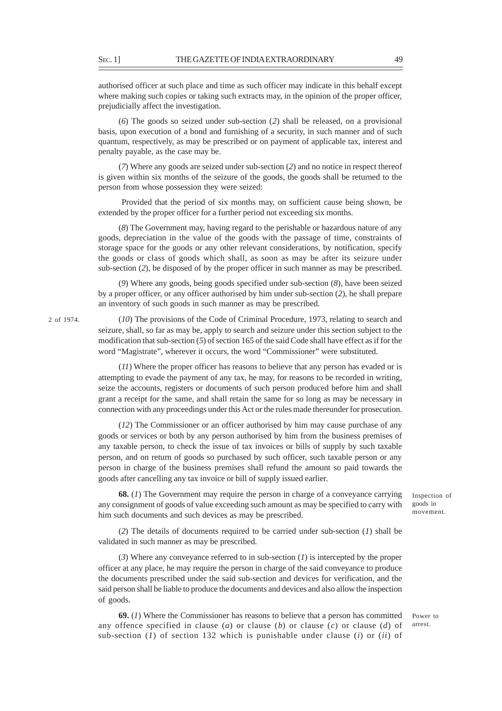authorised officer at such place and time as such officer may indicate in this behalf except where making such copies or taking such extracts may, in the opinion of the proper officer, prejudicially affect the investigation.

(*6*) The goods so seized under sub-section (*2*) shall be released, on a provisional basis, upon execution of a bond and furnishing of a security, in such manner and of such quantum, respectively, as may be prescribed or on payment of applicable tax, interest and penalty payable, as the case may be.

(*7*) Where any goods are seized under sub-section (*2*) and no notice in respect thereof is given within six months of the seizure of the goods, the goods shall be returned to the person from whose possession they were seized:

 Provided that the period of six months may, on sufficient cause being shown, be extended by the proper officer for a further period not exceeding six months.

(*8*) The Government may, having regard to the perishable or hazardous nature of any goods, depreciation in the value of the goods with the passage of time, constraints of storage space for the goods or any other relevant considerations, by notification, specify the goods or class of goods which shall, as soon as may be after its seizure under sub-section (*2*), be disposed of by the proper officer in such manner as may be prescribed.

(*9*) Where any goods, being goods specified under sub-section (*8*), have been seized by a proper officer, or any officer authorised by him under sub-section (*2*), he shall prepare an inventory of such goods in such manner as may be prescribed.

(*10*) The provisions of the Code of Criminal Procedure, 1973, relating to search and seizure, shall, so far as may be, apply to search and seizure under this section subject to the modification that sub-section (*5*) of section 165 of the said Code shall have effect as if for the word "Magistrate", wherever it occurs, the word "Commissioner" were substituted.

(*11*) Where the proper officer has reasons to believe that any person has evaded or is attempting to evade the payment of any tax, he may, for reasons to be recorded in writing, seize the accounts, registers or documents of such person produced before him and shall grant a receipt for the same, and shall retain the same for so long as may be necessary in connection with any proceedings under this Act or the rules made thereunder for prosecution.

(*12*) The Commissioner or an officer authorised by him may cause purchase of any goods or services or both by any person authorised by him from the business premises of any taxable person, to check the issue of tax invoices or bills of supply by such taxable person, and on return of goods so purchased by such officer, such taxable person or any person in charge of the business premises shall refund the amount so paid towards the goods after cancelling any tax invoice or bill of supply issued earlier.

**68.** (*1*) The Government may require the person in charge of a conveyance carrying any consignment of goods of value exceeding such amount as may be specified to carry with him such documents and such devices as may be prescribed.

(*2*) The details of documents required to be carried under sub-section (*1*) shall be validated in such manner as may be prescribed.

(*3*) Where any conveyance referred to in sub-section (*1*) is intercepted by the proper officer at any place, he may require the person in charge of the said conveyance to produce the documents prescribed under the said sub-section and devices for verification, and the said person shall be liable to produce the documents and devices and also allow the inspection of goods.

**69.** (*1*) Where the Commissioner has reasons to believe that a person has committed any offence specified in clause (*a*) or clause (*b*) or clause (*c*) or clause (*d*) of sub-section (*1*) of section 132 which is punishable under clause (*i*) or (*ii*) of Inspection of goods in movement.

Power to arrest.

2 of 1974.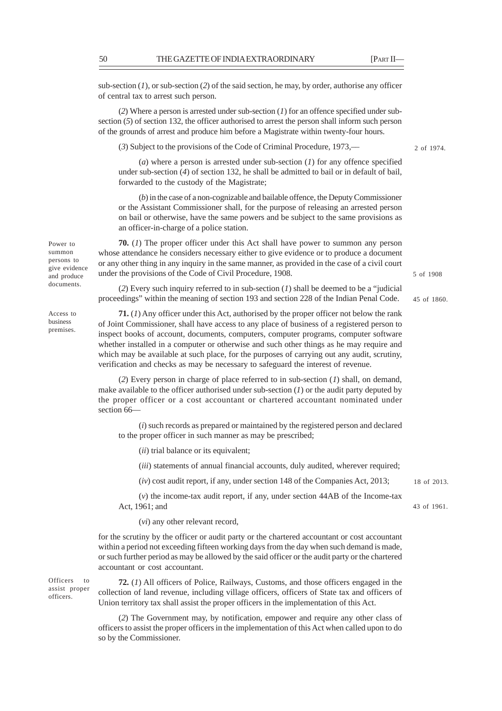sub-section  $(1)$ , or sub-section  $(2)$  of the said section, he may, by order, authorise any officer of central tax to arrest such person.

(*2*) Where a person is arrested under sub-section (*1*) for an offence specified under subsection (*5*) of section 132, the officer authorised to arrest the person shall inform such person of the grounds of arrest and produce him before a Magistrate within twenty-four hours.

(*3*) Subject to the provisions of the Code of Criminal Procedure, 1973,––

(*a*) where a person is arrested under sub-section (*1*) for any offence specified under sub-section (*4*) of section 132, he shall be admitted to bail or in default of bail, forwarded to the custody of the Magistrate;

(*b*) in the case of a non-cognizable and bailable offence, the Deputy Commissioner or the Assistant Commissioner shall, for the purpose of releasing an arrested person on bail or otherwise, have the same powers and be subject to the same provisions as an officer-in-charge of a police station.

**70.** (*1*) The proper officer under this Act shall have power to summon any person whose attendance he considers necessary either to give evidence or to produce a document or any other thing in any inquiry in the same manner, as provided in the case of a civil court under the provisions of the Code of Civil Procedure, 1908.

(*2*) Every such inquiry referred to in sub-section (*1*) shall be deemed to be a "judicial proceedings" within the meaning of section 193 and section 228 of the Indian Penal Code.

**71.** (*1*) Any officer under this Act, authorised by the proper officer not below the rank of Joint Commissioner, shall have access to any place of business of a registered person to inspect books of account, documents, computers, computer programs, computer software whether installed in a computer or otherwise and such other things as he may require and which may be available at such place, for the purposes of carrying out any audit, scrutiny, verification and checks as may be necessary to safeguard the interest of revenue.

(*2*) Every person in charge of place referred to in sub-section (*1*) shall, on demand, make available to the officer authorised under sub-section (*1*) or the audit party deputed by the proper officer or a cost accountant or chartered accountant nominated under section 66—

(*i*) such records as prepared or maintained by the registered person and declared to the proper officer in such manner as may be prescribed;

(*ii*) trial balance or its equivalent;

(*iii*) statements of annual financial accounts, duly audited, wherever required;

(*iv*) cost audit report, if any, under section 148 of the Companies Act, 2013;

(*v*) the income-tax audit report, if any, under section 44AB of the Income-tax Act, 1961; and

(*vi*) any other relevant record,

for the scrutiny by the officer or audit party or the chartered accountant or cost accountant within a period not exceeding fifteen working days from the day when such demand is made, or such further period as may be allowed by the said officer or the audit party or the chartered accountant or cost accountant.

Officers to assist proper officers.

**72.** (*1*) All officers of Police, Railways, Customs, and those officers engaged in the collection of land revenue, including village officers, officers of State tax and officers of Union territory tax shall assist the proper officers in the implementation of this Act.

(*2*) The Government may, by notification, empower and require any other class of officers to assist the proper officers in the implementation of this Act when called upon to do so by the Commissioner.

Power to summon persons to give evidence and produce documents.

Access to business premises.

2 of 1974.

45 of 1860.

5 of 1908

18 of 2013.

43 of 1961.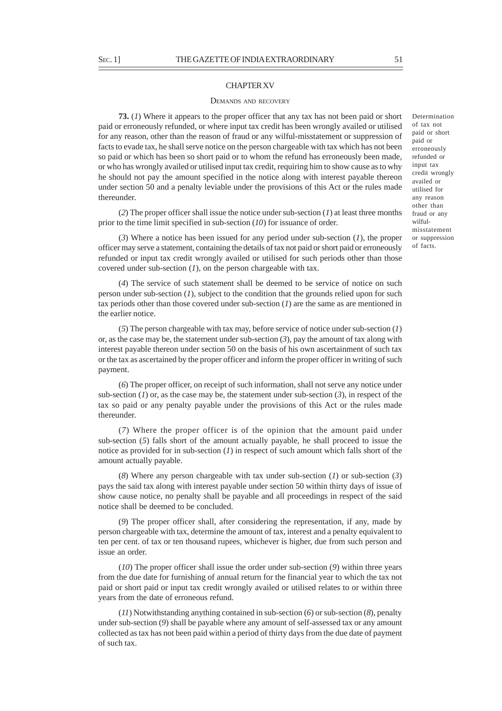#### CHAPTER XV

#### DEMANDS AND RECOVERY

**73.** (*1*) Where it appears to the proper officer that any tax has not been paid or short paid or erroneously refunded, or where input tax credit has been wrongly availed or utilised for any reason, other than the reason of fraud or any wilful-misstatement or suppression of facts to evade tax, he shall serve notice on the person chargeable with tax which has not been so paid or which has been so short paid or to whom the refund has erroneously been made, or who has wrongly availed or utilised input tax credit, requiring him to show cause as to why he should not pay the amount specified in the notice along with interest payable thereon under section 50 and a penalty leviable under the provisions of this Act or the rules made thereunder.

(*2*) The proper officer shall issue the notice under sub-section (*1*) at least three months prior to the time limit specified in sub-section (*10*) for issuance of order.

(*3*) Where a notice has been issued for any period under sub-section (*1*), the proper officer may serve a statement, containing the details of tax not paid or short paid or erroneously refunded or input tax credit wrongly availed or utilised for such periods other than those covered under sub-section (*1*), on the person chargeable with tax.

(*4*) The service of such statement shall be deemed to be service of notice on such person under sub-section (*1*), subject to the condition that the grounds relied upon for such tax periods other than those covered under sub-section (*1*) are the same as are mentioned in the earlier notice.

(*5*) The person chargeable with tax may, before service of notice under sub-section (*1*) or, as the case may be, the statement under sub-section (*3*), pay the amount of tax along with interest payable thereon under section 50 on the basis of his own ascertainment of such tax or the tax as ascertained by the proper officer and inform the proper officer in writing of such payment.

(*6*) The proper officer, on receipt of such information, shall not serve any notice under sub-section (*1*) or, as the case may be, the statement under sub-section (*3*), in respect of the tax so paid or any penalty payable under the provisions of this Act or the rules made thereunder.

(*7*) Where the proper officer is of the opinion that the amount paid under sub-section (*5*) falls short of the amount actually payable, he shall proceed to issue the notice as provided for in sub-section (*1*) in respect of such amount which falls short of the amount actually payable.

(*8*) Where any person chargeable with tax under sub-section (*1*) or sub-section (*3*) pays the said tax along with interest payable under section 50 within thirty days of issue of show cause notice, no penalty shall be payable and all proceedings in respect of the said notice shall be deemed to be concluded.

(*9*) The proper officer shall, after considering the representation, if any, made by person chargeable with tax, determine the amount of tax, interest and a penalty equivalent to ten per cent. of tax or ten thousand rupees, whichever is higher, due from such person and issue an order.

(*10*) The proper officer shall issue the order under sub-section (*9*) within three years from the due date for furnishing of annual return for the financial year to which the tax not paid or short paid or input tax credit wrongly availed or utilised relates to or within three years from the date of erroneous refund.

(*11*) Notwithstanding anything contained in sub-section (*6*) or sub-section (*8*), penalty under sub-section (*9*) shall be payable where any amount of self-assessed tax or any amount collected as tax has not been paid within a period of thirty days from the due date of payment of such tax.

Determination of tax not paid or short paid or erroneously refunded or input tax credit wrongly availed or utilised for any reason other than fraud or any wilfulmisstatement or suppression of facts.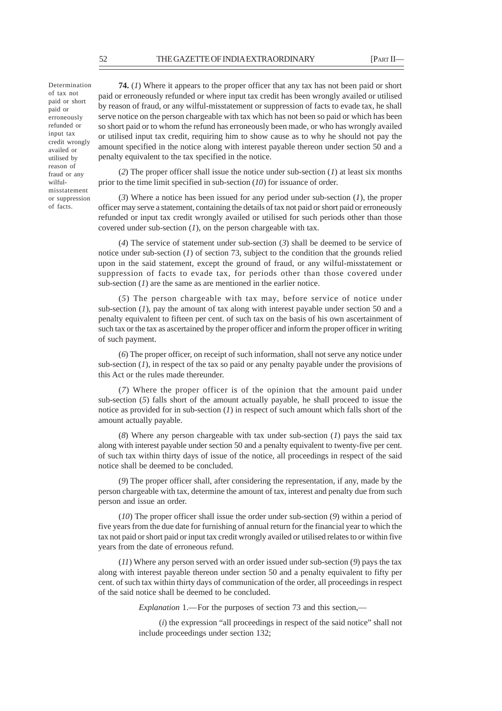Determination of tax not paid or short paid or erroneously refunded or input tax credit wrongly availed or utilised by reason of fraud or any wilfulmisstatement or suppression of facts.

**74.** (*1*) Where it appears to the proper officer that any tax has not been paid or short paid or erroneously refunded or where input tax credit has been wrongly availed or utilised by reason of fraud, or any wilful-misstatement or suppression of facts to evade tax, he shall serve notice on the person chargeable with tax which has not been so paid or which has been so short paid or to whom the refund has erroneously been made, or who has wrongly availed or utilised input tax credit, requiring him to show cause as to why he should not pay the amount specified in the notice along with interest payable thereon under section 50 and a penalty equivalent to the tax specified in the notice.

(*2*) The proper officer shall issue the notice under sub-section (*1*) at least six months prior to the time limit specified in sub-section (*10*) for issuance of order.

(*3*) Where a notice has been issued for any period under sub-section (*1*), the proper officer may serve a statement, containing the details of tax not paid or short paid or erroneously refunded or input tax credit wrongly availed or utilised for such periods other than those covered under sub-section (*1*), on the person chargeable with tax.

(*4*) The service of statement under sub-section (*3*) shall be deemed to be service of notice under sub-section (*1*) of section 73, subject to the condition that the grounds relied upon in the said statement, except the ground of fraud, or any wilful-misstatement or suppression of facts to evade tax, for periods other than those covered under sub-section (*1*) are the same as are mentioned in the earlier notice.

(*5*) The person chargeable with tax may, before service of notice under sub-section (*1*), pay the amount of tax along with interest payable under section 50 and a penalty equivalent to fifteen per cent. of such tax on the basis of his own ascertainment of such tax or the tax as ascertained by the proper officer and inform the proper officer in writing of such payment.

(*6*) The proper officer, on receipt of such information, shall not serve any notice under sub-section (*1*), in respect of the tax so paid or any penalty payable under the provisions of this Act or the rules made thereunder.

(*7*) Where the proper officer is of the opinion that the amount paid under sub-section (*5*) falls short of the amount actually payable, he shall proceed to issue the notice as provided for in sub-section (*1*) in respect of such amount which falls short of the amount actually payable.

(*8*) Where any person chargeable with tax under sub-section (*1*) pays the said tax along with interest payable under section 50 and a penalty equivalent to twenty-five per cent. of such tax within thirty days of issue of the notice, all proceedings in respect of the said notice shall be deemed to be concluded.

(*9*) The proper officer shall, after considering the representation, if any, made by the person chargeable with tax, determine the amount of tax, interest and penalty due from such person and issue an order.

(*10*) The proper officer shall issue the order under sub-section (*9*) within a period of five years from the due date for furnishing of annual return for the financial year to which the tax not paid or short paid or input tax credit wrongly availed or utilised relates to or within five years from the date of erroneous refund.

(*11*) Where any person served with an order issued under sub-section (*9*) pays the tax along with interest payable thereon under section 50 and a penalty equivalent to fifty per cent. of such tax within thirty days of communication of the order, all proceedings in respect of the said notice shall be deemed to be concluded.

*Explanation* 1.—For the purposes of section 73 and this section,—

(*i*) the expression "all proceedings in respect of the said notice" shall not include proceedings under section 132;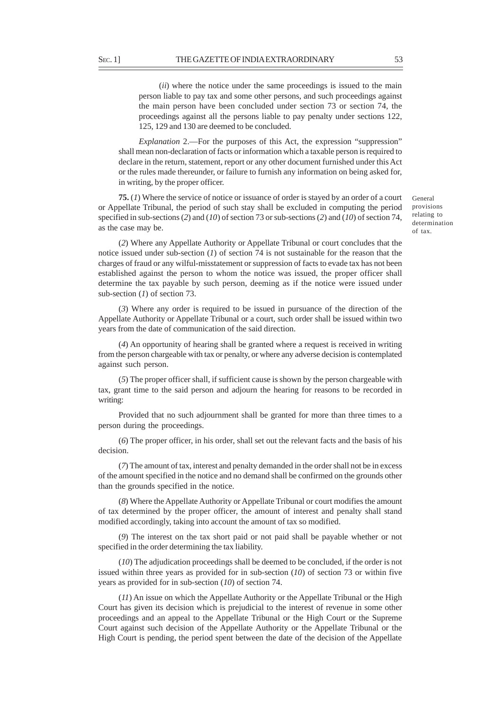(*ii*) where the notice under the same proceedings is issued to the main person liable to pay tax and some other persons, and such proceedings against the main person have been concluded under section 73 or section 74, the proceedings against all the persons liable to pay penalty under sections 122, 125, 129 and 130 are deemed to be concluded.

*Explanation* 2.—For the purposes of this Act, the expression "suppression" shall mean non-declaration of facts or information which a taxable person is required to declare in the return, statement, report or any other document furnished under this Act or the rules made thereunder, or failure to furnish any information on being asked for, in writing, by the proper officer.

**75.** (*1*) Where the service of notice or issuance of order is stayed by an order of a court or Appellate Tribunal, the period of such stay shall be excluded in computing the period specified in sub-sections (*2*) and (*10*) of section 73 or sub-sections (*2*) and (*10*) of section 74, as the case may be.

(*2*) Where any Appellate Authority or Appellate Tribunal or court concludes that the notice issued under sub-section (*1*) of section 74 is not sustainable for the reason that the charges of fraud or any wilful-misstatement or suppression of facts to evade tax has not been established against the person to whom the notice was issued, the proper officer shall determine the tax payable by such person, deeming as if the notice were issued under sub-section (*1*) of section 73.

(*3*) Where any order is required to be issued in pursuance of the direction of the Appellate Authority or Appellate Tribunal or a court, such order shall be issued within two years from the date of communication of the said direction.

(*4*) An opportunity of hearing shall be granted where a request is received in writing from the person chargeable with tax or penalty, or where any adverse decision is contemplated against such person.

(*5*) The proper officer shall, if sufficient cause is shown by the person chargeable with tax, grant time to the said person and adjourn the hearing for reasons to be recorded in writing:

Provided that no such adjournment shall be granted for more than three times to a person during the proceedings.

(*6*) The proper officer, in his order, shall set out the relevant facts and the basis of his decision.

(*7*) The amount of tax, interest and penalty demanded in the order shall not be in excess of the amount specified in the notice and no demand shall be confirmed on the grounds other than the grounds specified in the notice.

(*8*) Where the Appellate Authority or Appellate Tribunal or court modifies the amount of tax determined by the proper officer, the amount of interest and penalty shall stand modified accordingly, taking into account the amount of tax so modified.

(*9*) The interest on the tax short paid or not paid shall be payable whether or not specified in the order determining the tax liability.

(*10*) The adjudication proceedings shall be deemed to be concluded, if the order is not issued within three years as provided for in sub-section (*10*) of section 73 or within five years as provided for in sub-section (*10*) of section 74.

(*11*) An issue on which the Appellate Authority or the Appellate Tribunal or the High Court has given its decision which is prejudicial to the interest of revenue in some other proceedings and an appeal to the Appellate Tribunal or the High Court or the Supreme Court against such decision of the Appellate Authority or the Appellate Tribunal or the High Court is pending, the period spent between the date of the decision of the Appellate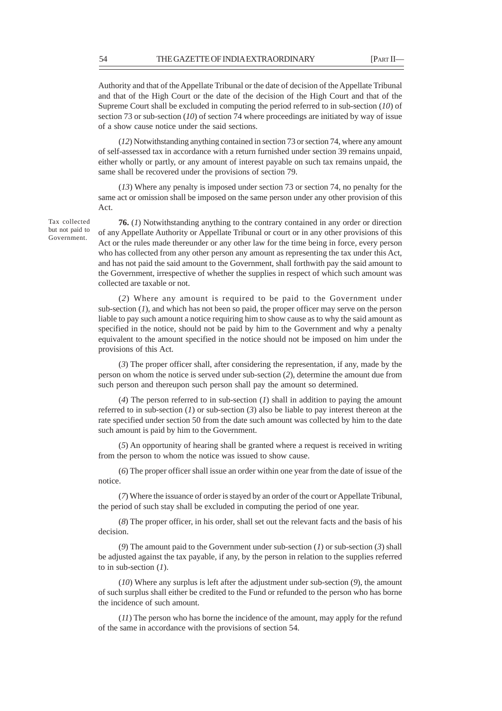Authority and that of the Appellate Tribunal or the date of decision of the Appellate Tribunal and that of the High Court or the date of the decision of the High Court and that of the Supreme Court shall be excluded in computing the period referred to in sub-section (*10*) of section 73 or sub-section (*10*) of section 74 where proceedings are initiated by way of issue of a show cause notice under the said sections.

(*12*) Notwithstanding anything contained in section 73 or section 74, where any amount of self-assessed tax in accordance with a return furnished under section 39 remains unpaid, either wholly or partly, or any amount of interest payable on such tax remains unpaid, the same shall be recovered under the provisions of section 79.

(*13*) Where any penalty is imposed under section 73 or section 74, no penalty for the same act or omission shall be imposed on the same person under any other provision of this Act.

Tax collected but not paid to Government.

**76.** (*1*) Notwithstanding anything to the contrary contained in any order or direction of any Appellate Authority or Appellate Tribunal or court or in any other provisions of this Act or the rules made thereunder or any other law for the time being in force, every person who has collected from any other person any amount as representing the tax under this Act, and has not paid the said amount to the Government, shall forthwith pay the said amount to the Government, irrespective of whether the supplies in respect of which such amount was collected are taxable or not.

(*2*) Where any amount is required to be paid to the Government under sub-section (*1*), and which has not been so paid, the proper officer may serve on the person liable to pay such amount a notice requiring him to show cause as to why the said amount as specified in the notice, should not be paid by him to the Government and why a penalty equivalent to the amount specified in the notice should not be imposed on him under the provisions of this Act.

(*3*) The proper officer shall, after considering the representation, if any, made by the person on whom the notice is served under sub-section (*2*), determine the amount due from such person and thereupon such person shall pay the amount so determined.

(*4*) The person referred to in sub-section (*1*) shall in addition to paying the amount referred to in sub-section (*1*) or sub-section (*3*) also be liable to pay interest thereon at the rate specified under section 50 from the date such amount was collected by him to the date such amount is paid by him to the Government.

(*5*) An opportunity of hearing shall be granted where a request is received in writing from the person to whom the notice was issued to show cause.

(*6*) The proper officer shall issue an order within one year from the date of issue of the notice.

(*7*) Where the issuance of order is stayed by an order of the court or Appellate Tribunal, the period of such stay shall be excluded in computing the period of one year.

(*8*) The proper officer, in his order, shall set out the relevant facts and the basis of his decision.

(*9*) The amount paid to the Government under sub-section (*1*) or sub-section (*3*) shall be adjusted against the tax payable, if any, by the person in relation to the supplies referred to in sub-section (*1*).

(*10*) Where any surplus is left after the adjustment under sub-section (*9*), the amount of such surplus shall either be credited to the Fund or refunded to the person who has borne the incidence of such amount.

(*11*) The person who has borne the incidence of the amount, may apply for the refund of the same in accordance with the provisions of section 54.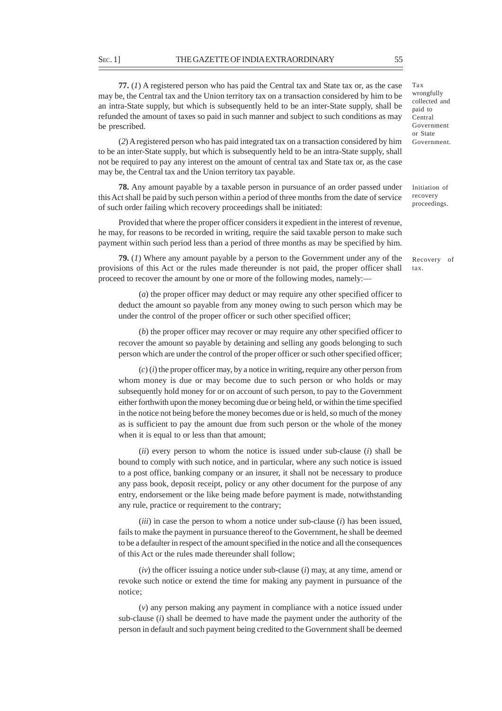**77.** (*1*) A registered person who has paid the Central tax and State tax or, as the case may be*,* the Central tax and the Union territory tax on a transaction considered by him to be an intra-State supply, but which is subsequently held to be an inter-State supply, shall be refunded the amount of taxes so paid in such manner and subject to such conditions as may be prescribed.

(*2*) A registered person who has paid integrated tax on a transaction considered by him to be an inter-State supply, but which is subsequently held to be an intra-State supply, shall not be required to pay any interest on the amount of central tax and State tax or, as the case may be*,* the Central tax and the Union territory tax payable.

**78.** Any amount payable by a taxable person in pursuance of an order passed under this Act shall be paid by such person within a period of three months from the date of service of such order failing which recovery proceedings shall be initiated:

Provided that where the proper officer considers it expedient in the interest of revenue, he may, for reasons to be recorded in writing, require the said taxable person to make such payment within such period less than a period of three months as may be specified by him.

**79.** (*1*) Where any amount payable by a person to the Government under any of the provisions of this Act or the rules made thereunder is not paid, the proper officer shall proceed to recover the amount by one or more of the following modes, namely:––

(*a*) the proper officer may deduct or may require any other specified officer to deduct the amount so payable from any money owing to such person which may be under the control of the proper officer or such other specified officer;

(*b*) the proper officer may recover or may require any other specified officer to recover the amount so payable by detaining and selling any goods belonging to such person which are under the control of the proper officer or such other specified officer;

(*c*) (*i*) the proper officer may, by a notice in writing, require any other person from whom money is due or may become due to such person or who holds or may subsequently hold money for or on account of such person, to pay to the Government either forthwith upon the money becoming due or being held, or within the time specified in the notice not being before the money becomes due or is held, so much of the money as is sufficient to pay the amount due from such person or the whole of the money when it is equal to or less than that amount;

(*ii*) every person to whom the notice is issued under sub-clause (*i*) shall be bound to comply with such notice, and in particular, where any such notice is issued to a post office, banking company or an insurer, it shall not be necessary to produce any pass book, deposit receipt, policy or any other document for the purpose of any entry, endorsement or the like being made before payment is made, notwithstanding any rule, practice or requirement to the contrary;

(*iii*) in case the person to whom a notice under sub-clause (*i*) has been issued, fails to make the payment in pursuance thereof to the Government, he shall be deemed to be a defaulter in respect of the amount specified in the notice and all the consequences of this Act or the rules made thereunder shall follow;

(*iv*) the officer issuing a notice under sub-clause (*i*) may, at any time, amend or revoke such notice or extend the time for making any payment in pursuance of the notice;

(*v*) any person making any payment in compliance with a notice issued under sub-clause (*i*) shall be deemed to have made the payment under the authority of the person in default and such payment being credited to the Government shall be deemed Tax wrongfully collected and paid to Central Government or State Government.

Initiation of recovery proceedings.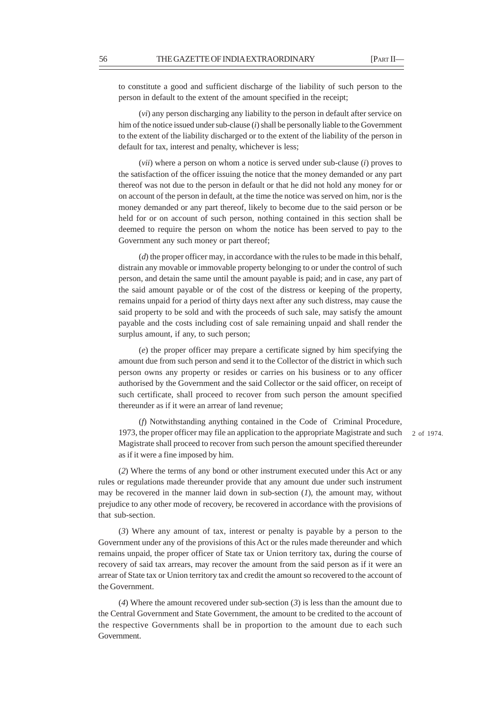to constitute a good and sufficient discharge of the liability of such person to the person in default to the extent of the amount specified in the receipt;

(*vi*) any person discharging any liability to the person in default after service on him of the notice issued under sub-clause (*i*) shall be personally liable to the Government to the extent of the liability discharged or to the extent of the liability of the person in default for tax, interest and penalty, whichever is less;

(*vii*) where a person on whom a notice is served under sub-clause (*i*) proves to the satisfaction of the officer issuing the notice that the money demanded or any part thereof was not due to the person in default or that he did not hold any money for or on account of the person in default, at the time the notice was served on him, nor is the money demanded or any part thereof, likely to become due to the said person or be held for or on account of such person, nothing contained in this section shall be deemed to require the person on whom the notice has been served to pay to the Government any such money or part thereof;

(*d*) the proper officer may, in accordance with the rules to be made in this behalf, distrain any movable or immovable property belonging to or under the control of such person, and detain the same until the amount payable is paid; and in case, any part of the said amount payable or of the cost of the distress or keeping of the property, remains unpaid for a period of thirty days next after any such distress, may cause the said property to be sold and with the proceeds of such sale, may satisfy the amount payable and the costs including cost of sale remaining unpaid and shall render the surplus amount, if any, to such person;

(*e*) the proper officer may prepare a certificate signed by him specifying the amount due from such person and send it to the Collector of the district in which such person owns any property or resides or carries on his business or to any officer authorised by the Government and the said Collector or the said officer, on receipt of such certificate, shall proceed to recover from such person the amount specified thereunder as if it were an arrear of land revenue;

(*f*) Notwithstanding anything contained in the Code of Criminal Procedure, 1973, the proper officer may file an application to the appropriate Magistrate and such Magistrate shall proceed to recover from such person the amount specified thereunder as if it were a fine imposed by him.

2 of 1974.

(*2*) Where the terms of any bond or other instrument executed under this Act or any rules or regulations made thereunder provide that any amount due under such instrument may be recovered in the manner laid down in sub-section (*1*), the amount may, without prejudice to any other mode of recovery, be recovered in accordance with the provisions of that sub-section.

(*3*) Where any amount of tax, interest or penalty is payable by a person to the Government under any of the provisions of this Act or the rules made thereunder and which remains unpaid, the proper officer of State tax or Union territory tax, during the course of recovery of said tax arrears, may recover the amount from the said person as if it were an arrear of State tax or Union territory tax and credit the amount so recovered to the account of the Government.

(*4*) Where the amount recovered under sub-section (*3*) is less than the amount due to the Central Government and State Government, the amount to be credited to the account of the respective Governments shall be in proportion to the amount due to each such Government.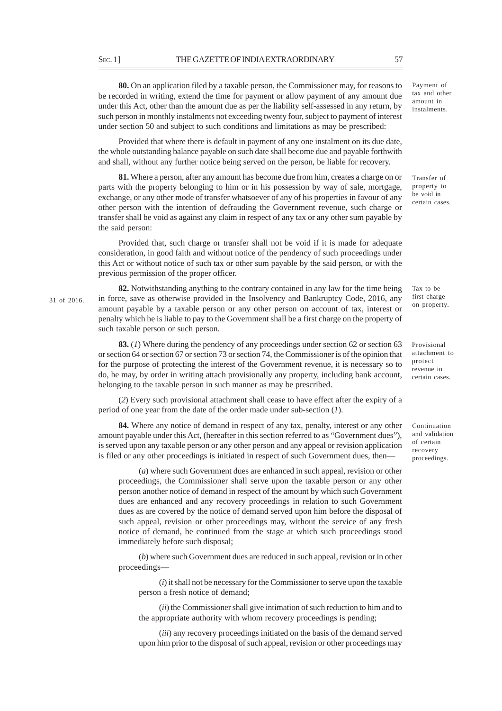**80.** On an application filed by a taxable person, the Commissioner may, for reasons to be recorded in writing, extend the time for payment or allow payment of any amount due under this Act, other than the amount due as per the liability self-assessed in any return, by such person in monthly instalments not exceeding twenty four, subject to payment of interest under section 50 and subject to such conditions and limitations as may be prescribed:

Provided that where there is default in payment of any one instalment on its due date, the whole outstanding balance payable on such date shall become due and payable forthwith and shall, without any further notice being served on the person, be liable for recovery.

**81.** Where a person, after any amount has become due from him, creates a charge on or parts with the property belonging to him or in his possession by way of sale, mortgage, exchange, or any other mode of transfer whatsoever of any of his properties in favour of any other person with the intention of defrauding the Government revenue, such charge or transfer shall be void as against any claim in respect of any tax or any other sum payable by the said person:

Provided that, such charge or transfer shall not be void if it is made for adequate consideration, in good faith and without notice of the pendency of such proceedings under this Act or without notice of such tax or other sum payable by the said person, or with the previous permission of the proper officer.

**82.** Notwithstanding anything to the contrary contained in any law for the time being in force, save as otherwise provided in the Insolvency and Bankruptcy Code, 2016, any amount payable by a taxable person or any other person on account of tax, interest or penalty which he is liable to pay to the Government shall be a first charge on the property of such taxable person or such person.

**83.** (*1*) Where during the pendency of any proceedings under section 62 or section 63 or section 64 or section 67 or section 73 or section 74, the Commissioner is of the opinion that for the purpose of protecting the interest of the Government revenue, it is necessary so to do, he may, by order in writing attach provisionally any property, including bank account, belonging to the taxable person in such manner as may be prescribed.

(*2*) Every such provisional attachment shall cease to have effect after the expiry of a period of one year from the date of the order made under sub-section (*1*).

**84.** Where any notice of demand in respect of any tax, penalty, interest or any other amount payable under this Act, (hereafter in this section referred to as "Government dues"), is served upon any taxable person or any other person and any appeal or revision application is filed or any other proceedings is initiated in respect of such Government dues, then––

(*a*) where such Government dues are enhanced in such appeal, revision or other proceedings, the Commissioner shall serve upon the taxable person or any other person another notice of demand in respect of the amount by which such Government dues are enhanced and any recovery proceedings in relation to such Government dues as are covered by the notice of demand served upon him before the disposal of such appeal, revision or other proceedings may, without the service of any fresh notice of demand, be continued from the stage at which such proceedings stood immediately before such disposal;

(*b*) where such Government dues are reduced in such appeal, revision or in other proceedings––

(*i*) it shall not be necessary for the Commissioner to serve upon the taxable person a fresh notice of demand;

(*ii*) the Commissioner shall give intimation of such reduction to him and to the appropriate authority with whom recovery proceedings is pending;

(*iii*) any recovery proceedings initiated on the basis of the demand served upon him prior to the disposal of such appeal, revision or other proceedings may Payment of tax and other amount in instalments.

Transfer of property to be void in certain cases.

Tax to be first charge on property.

Provisional attachment to protect revenue in certain cases.

Continuation and validation of certain recovery proceedings.

31 of 2016.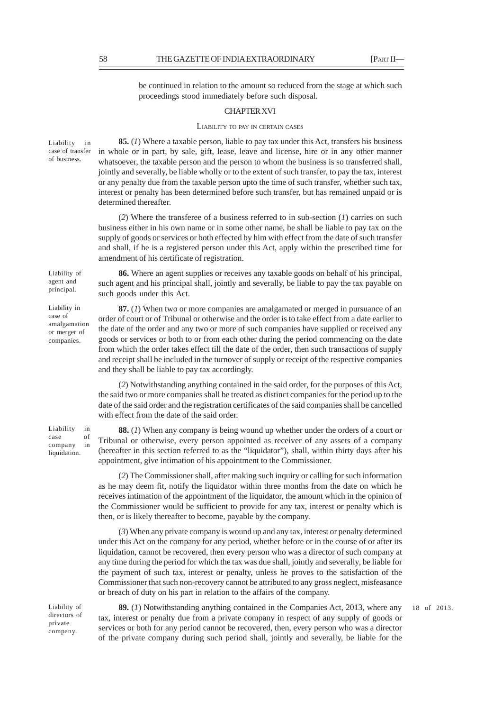be continued in relation to the amount so reduced from the stage at which such proceedings stood immediately before such disposal.

# CHAPTER XVI

# LIABILITY TO PAY IN CERTAIN CASES

Liability in case of transfer of business.

Liability of agent and principal.

Liability in case of amalgamation or merger of companies.

Liability in case of company in liquidation.

**85.** (*1*) Where a taxable person, liable to pay tax under this Act, transfers his business in whole or in part, by sale, gift, lease, leave and license, hire or in any other manner whatsoever, the taxable person and the person to whom the business is so transferred shall, jointly and severally, be liable wholly or to the extent of such transfer, to pay the tax, interest or any penalty due from the taxable person upto the time of such transfer, whether such tax, interest or penalty has been determined before such transfer, but has remained unpaid or is determined thereafter.

(*2*) Where the transferee of a business referred to in sub-section (*1*) carries on such business either in his own name or in some other name, he shall be liable to pay tax on the supply of goods or services or both effected by him with effect from the date of such transfer and shall, if he is a registered person under this Act, apply within the prescribed time for amendment of his certificate of registration.

**86.** Where an agent supplies or receives any taxable goods on behalf of his principal, such agent and his principal shall, jointly and severally, be liable to pay the tax payable on such goods under this Act.

**87.** (*1*) When two or more companies are amalgamated or merged in pursuance of an order of court or of Tribunal or otherwise and the order is to take effect from a date earlier to the date of the order and any two or more of such companies have supplied or received any goods or services or both to or from each other during the period commencing on the date from which the order takes effect till the date of the order, then such transactions of supply and receipt shall be included in the turnover of supply or receipt of the respective companies and they shall be liable to pay tax accordingly.

(*2*) Notwithstanding anything contained in the said order, for the purposes of this Act, the said two or more companies shall be treated as distinct companies for the period up to the date of the said order and the registration certificates of the said companies shall be cancelled with effect from the date of the said order.

**88.** (*1*) When any company is being wound up whether under the orders of a court or Tribunal or otherwise, every person appointed as receiver of any assets of a company (hereafter in this section referred to as the "liquidator"), shall, within thirty days after his appointment, give intimation of his appointment to the Commissioner.

(*2*) The Commissioner shall, after making such inquiry or calling for such information as he may deem fit, notify the liquidator within three months from the date on which he receives intimation of the appointment of the liquidator, the amount which in the opinion of the Commissioner would be sufficient to provide for any tax, interest or penalty which is then, or is likely thereafter to become, payable by the company.

(*3*) When any private company is wound up and any tax, interest or penalty determined under this Act on the company for any period, whether before or in the course of or after its liquidation, cannot be recovered, then every person who was a director of such company at any time during the period for which the tax was due shall, jointly and severally, be liable for the payment of such tax, interest or penalty, unless he proves to the satisfaction of the Commissioner that such non-recovery cannot be attributed to any gross neglect, misfeasance or breach of duty on his part in relation to the affairs of the company.

directors of private company.

Liability of **89.** (1) Notwithstanding anything contained in the Companies Act, 2013, where any 18 of 2013. tax, interest or penalty due from a private company in respect of any supply of goods or services or both for any period cannot be recovered, then, every person who was a director of the private company during such period shall, jointly and severally, be liable for the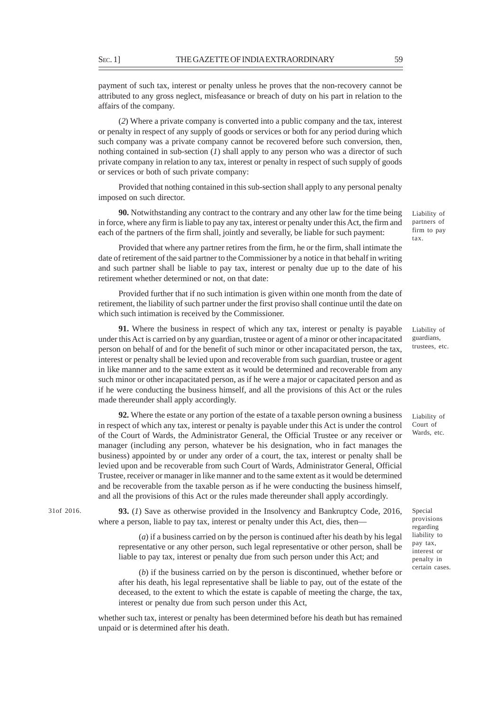payment of such tax, interest or penalty unless he proves that the non-recovery cannot be attributed to any gross neglect, misfeasance or breach of duty on his part in relation to the affairs of the company.

(*2*) Where a private company is converted into a public company and the tax, interest or penalty in respect of any supply of goods or services or both for any period during which such company was a private company cannot be recovered before such conversion, then, nothing contained in sub-section (*1*) shall apply to any person who was a director of such private company in relation to any tax, interest or penalty in respect of such supply of goods or services or both of such private company:

Provided that nothing contained in this sub-section shall apply to any personal penalty imposed on such director.

**90.** Notwithstanding any contract to the contrary and any other law for the time being in force, where any firm is liable to pay any tax, interest or penalty under this Act, the firm and each of the partners of the firm shall, jointly and severally, be liable for such payment:

Provided that where any partner retires from the firm, he or the firm, shall intimate the date of retirement of the said partner to the Commissioner by a notice in that behalf in writing and such partner shall be liable to pay tax, interest or penalty due up to the date of his retirement whether determined or not, on that date:

Provided further that if no such intimation is given within one month from the date of retirement, the liability of such partner under the first proviso shall continue until the date on which such intimation is received by the Commissioner.

**91.** Where the business in respect of which any tax, interest or penalty is payable under this Act is carried on by any guardian, trustee or agent of a minor or other incapacitated person on behalf of and for the benefit of such minor or other incapacitated person, the tax, interest or penalty shall be levied upon and recoverable from such guardian, trustee or agent in like manner and to the same extent as it would be determined and recoverable from any such minor or other incapacitated person, as if he were a major or capacitated person and as if he were conducting the business himself, and all the provisions of this Act or the rules made thereunder shall apply accordingly.

**92.** Where the estate or any portion of the estate of a taxable person owning a business in respect of which any tax, interest or penalty is payable under this Act is under the control of the Court of Wards, the Administrator General, the Official Trustee or any receiver or manager (including any person, whatever be his designation, who in fact manages the business) appointed by or under any order of a court, the tax, interest or penalty shall be levied upon and be recoverable from such Court of Wards, Administrator General, Official Trustee, receiver or manager in like manner and to the same extent as it would be determined and be recoverable from the taxable person as if he were conducting the business himself, and all the provisions of this Act or the rules made thereunder shall apply accordingly.

**93.** (*1*) Save as otherwise provided in the Insolvency and Bankruptcy Code, 2016, 31of 2016. Special where a person, liable to pay tax, interest or penalty under this Act, dies, then––

> (*a*) if a business carried on by the person is continued after his death by his legal representative or any other person, such legal representative or other person, shall be liable to pay tax, interest or penalty due from such person under this Act; and

> (*b*) if the business carried on by the person is discontinued, whether before or after his death, his legal representative shall be liable to pay, out of the estate of the deceased, to the extent to which the estate is capable of meeting the charge, the tax, interest or penalty due from such person under this Act,

whether such tax, interest or penalty has been determined before his death but has remained unpaid or is determined after his death.

Liability of Court of Wards, etc.

provisions regarding liability to pay tax, interest or penalty in certain cases.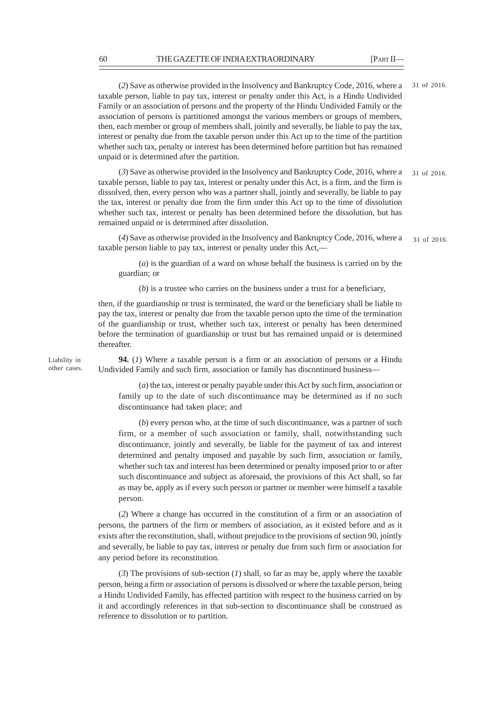(*2*) Save as otherwise provided in the Insolvency and Bankruptcy Code, 2016, where a taxable person, liable to pay tax, interest or penalty under this Act, is a Hindu Undivided Family or an association of persons and the property of the Hindu Undivided Family or the association of persons is partitioned amongst the various members or groups of members, then, each member or group of members shall, jointly and severally, be liable to pay the tax, interest or penalty due from the taxable person under this Act up to the time of the partition whether such tax, penalty or interest has been determined before partition but has remained unpaid or is determined after the partition. 31 of 2016.

(*3*) Save as otherwise provided in the Insolvency and Bankruptcy Code, 2016, where a taxable person, liable to pay tax, interest or penalty under this Act, is a firm, and the firm is dissolved, then, every person who was a partner shall, jointly and severally, be liable to pay the tax, interest or penalty due from the firm under this Act up to the time of dissolution whether such tax, interest or penalty has been determined before the dissolution, but has remained unpaid or is determined after dissolution. 31 of 2016.

(*4*) Save as otherwise provided in the Insolvency and Bankruptcy Code, 2016, where a taxable person liable to pay tax, interest or penalty under this Act,–– 31 of 2016.

(*a*) is the guardian of a ward on whose behalf the business is carried on by the guardian; or

(*b*) is a trustee who carries on the business under a trust for a beneficiary,

then, if the guardianship or trust is terminated, the ward or the beneficiary shall be liable to pay the tax, interest or penalty due from the taxable person upto the time of the termination of the guardianship or trust, whether such tax, interest or penalty has been determined before the termination of guardianship or trust but has remained unpaid or is determined thereafter.

Liability in other cases.

**94.** (*1*) Where a taxable person is a firm or an association of persons or a Hindu Undivided Family and such firm, association or family has discontinued business––

(*a*) the tax, interest or penalty payable under this Act by such firm, association or family up to the date of such discontinuance may be determined as if no such discontinuance had taken place; and

(*b*) every person who, at the time of such discontinuance, was a partner of such firm, or a member of such association or family, shall, notwithstanding such discontinuance, jointly and severally, be liable for the payment of tax and interest determined and penalty imposed and payable by such firm, association or family, whether such tax and interest has been determined or penalty imposed prior to or after such discontinuance and subject as aforesaid, the provisions of this Act shall, so far as may be, apply as if every such person or partner or member were himself a taxable person.

(*2*) Where a change has occurred in the constitution of a firm or an association of persons, the partners of the firm or members of association, as it existed before and as it exists after the reconstitution, shall, without prejudice to the provisions of section 90, jointly and severally, be liable to pay tax, interest or penalty due from such firm or association for any period before its reconstitution.

(*3*) The provisions of sub-section (*1*) shall, so far as may be, apply where the taxable person, being a firm or association of persons is dissolved or where the taxable person, being a Hindu Undivided Family, has effected partition with respect to the business carried on by it and accordingly references in that sub-section to discontinuance shall be construed as reference to dissolution or to partition.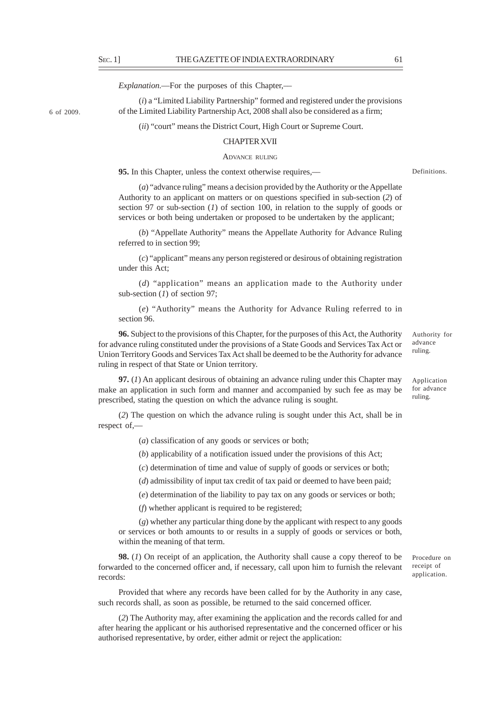6 of 2009.

*Explanation*.––For the purposes of this Chapter,––

(*i*) a "Limited Liability Partnership" formed and registered under the provisions of the Limited Liability Partnership Act, 2008 shall also be considered as a firm;

(*ii*) "court" means the District Court, High Court or Supreme Court.

### CHAPTER XVII

#### ADVANCE RULING

**95.** In this Chapter, unless the context otherwise requires,—

(*a*) "advance ruling" means a decision provided by the Authority or the Appellate Authority to an applicant on matters or on questions specified in sub-section (*2*) of section 97 or sub-section (*1*) of section 100, in relation to the supply of goods or services or both being undertaken or proposed to be undertaken by the applicant;

(*b*) "Appellate Authority" means the Appellate Authority for Advance Ruling referred to in section 99;

(*c*) "applicant" means any person registered or desirous of obtaining registration under this Act;

(*d*) "application" means an application made to the Authority under sub-section (*1*) of section 97;

(*e*) "Authority" means the Authority for Advance Ruling referred to in section 96.

**96.** Subject to the provisions of this Chapter, for the purposes of this Act, the Authority for advance ruling constituted under the provisions of a State Goods and Services Tax Act or Union Territory Goods and Services Tax Act shall be deemed to be the Authority for advance ruling in respect of that State or Union territory.

**97.** (*1*) An applicant desirous of obtaining an advance ruling under this Chapter may make an application in such form and manner and accompanied by such fee as may be prescribed, stating the question on which the advance ruling is sought.

(*2*) The question on which the advance ruling is sought under this Act, shall be in respect of,––

(*a*) classification of any goods or services or both;

(*b*) applicability of a notification issued under the provisions of this Act;

(*c*) determination of time and value of supply of goods or services or both;

(*d*) admissibility of input tax credit of tax paid or deemed to have been paid;

(*e*) determination of the liability to pay tax on any goods or services or both;

(*f*) whether applicant is required to be registered;

(*g*) whether any particular thing done by the applicant with respect to any goods or services or both amounts to or results in a supply of goods or services or both, within the meaning of that term.

**98.** (*1*) On receipt of an application, the Authority shall cause a copy thereof to be forwarded to the concerned officer and, if necessary, call upon him to furnish the relevant records:

Provided that where any records have been called for by the Authority in any case, such records shall, as soon as possible, be returned to the said concerned officer.

(*2*) The Authority may, after examining the application and the records called for and after hearing the applicant or his authorised representative and the concerned officer or his authorised representative, by order, either admit or reject the application:

Procedure on receipt of application.

Authority for advance ruling.

Definitions.

Application for advance ruling.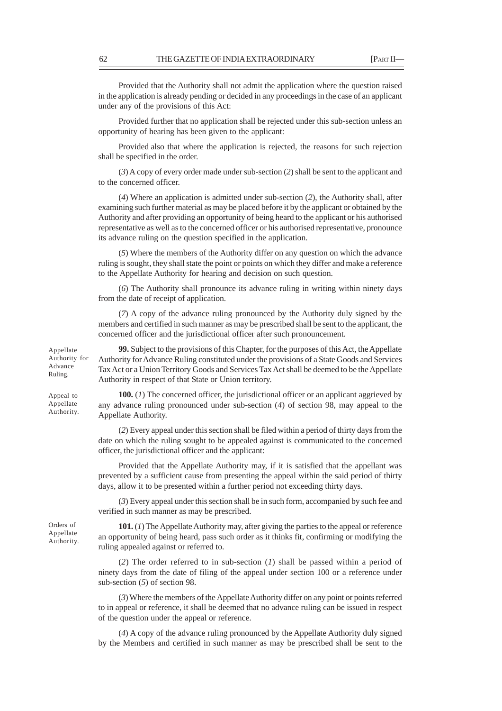Provided that the Authority shall not admit the application where the question raised in the application is already pending or decided in any proceedings in the case of an applicant under any of the provisions of this Act:

Provided further that no application shall be rejected under this sub-section unless an opportunity of hearing has been given to the applicant:

Provided also that where the application is rejected, the reasons for such rejection shall be specified in the order.

(*3*) A copy of every order made under sub-section (*2*) shall be sent to the applicant and to the concerned officer.

(*4*) Where an application is admitted under sub-section (*2*), the Authority shall, after examining such further material as may be placed before it by the applicant or obtained by the Authority and after providing an opportunity of being heard to the applicant or his authorised representative as well as to the concerned officer or his authorised representative, pronounce its advance ruling on the question specified in the application.

(*5*) Where the members of the Authority differ on any question on which the advance ruling is sought, they shall state the point or points on which they differ and make a reference to the Appellate Authority for hearing and decision on such question.

(*6*) The Authority shall pronounce its advance ruling in writing within ninety days from the date of receipt of application.

(*7*) A copy of the advance ruling pronounced by the Authority duly signed by the members and certified in such manner as may be prescribed shall be sent to the applicant, the concerned officer and the jurisdictional officer after such pronouncement.

**99.** Subject to the provisions of this Chapter, for the purposes of this Act, the Appellate Authority for Advance Ruling constituted under the provisions of a State Goods and Services Tax Act or a Union Territory Goods and Services Tax Act shall be deemed to be the Appellate Authority in respect of that State or Union territory.

**100.** (*1*) The concerned officer, the jurisdictional officer or an applicant aggrieved by any advance ruling pronounced under sub-section (*4*) of section 98, may appeal to the Appellate Authority.

(*2*) Every appeal under this section shall be filed within a period of thirty days from the date on which the ruling sought to be appealed against is communicated to the concerned officer, the jurisdictional officer and the applicant:

Provided that the Appellate Authority may, if it is satisfied that the appellant was prevented by a sufficient cause from presenting the appeal within the said period of thirty days, allow it to be presented within a further period not exceeding thirty days.

(*3*) Every appeal under this section shall be in such form, accompanied by such fee and verified in such manner as may be prescribed.

**101.** (*1*) The Appellate Authority may, after giving the parties to the appeal or reference an opportunity of being heard, pass such order as it thinks fit, confirming or modifying the ruling appealed against or referred to.

(*2*) The order referred to in sub-section (*1*) shall be passed within a period of ninety days from the date of filing of the appeal under section 100 or a reference under sub-section (*5*) of section 98.

(*3*) Where the members of the Appellate Authority differ on any point or points referred to in appeal or reference, it shall be deemed that no advance ruling can be issued in respect of the question under the appeal or reference.

(*4*) A copy of the advance ruling pronounced by the Appellate Authority duly signed by the Members and certified in such manner as may be prescribed shall be sent to the

Appellate Authority for Advance Ruling.

Appeal to Appellate Authority.

Orders of Appellate Authority.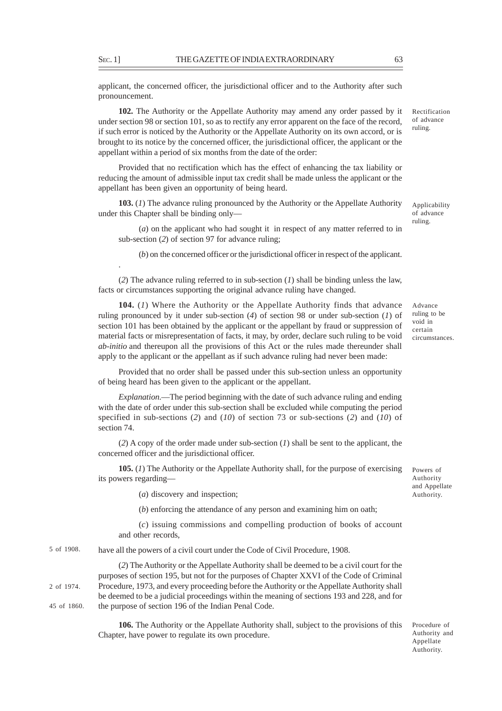applicant, the concerned officer, the jurisdictional officer and to the Authority after such pronouncement.

**102.** The Authority or the Appellate Authority may amend any order passed by it under section 98 or section 101, so as to rectify any error apparent on the face of the record, if such error is noticed by the Authority or the Appellate Authority on its own accord, or is brought to its notice by the concerned officer, the jurisdictional officer, the applicant or the appellant within a period of six months from the date of the order:

Provided that no rectification which has the effect of enhancing the tax liability or reducing the amount of admissible input tax credit shall be made unless the applicant or the appellant has been given an opportunity of being heard.

**103.** (*1*) The advance ruling pronounced by the Authority or the Appellate Authority under this Chapter shall be binding only—

(*a*) on the applicant who had sought it in respect of any matter referred to in sub-section (*2*) of section 97 for advance ruling;

(*b*) on the concerned officer or the jurisdictional officer in respect of the applicant.

(*2*) The advance ruling referred to in sub-section (*1*) shall be binding unless the law, facts or circumstances supporting the original advance ruling have changed.

**104.** (*1*) Where the Authority or the Appellate Authority finds that advance ruling pronounced by it under sub-section (*4*) of section 98 or under sub-section (*1*) of section 101 has been obtained by the applicant or the appellant by fraud or suppression of material facts or misrepresentation of facts, it may, by order, declare such ruling to be void *ab-initio* and thereupon all the provisions of this Act or the rules made thereunder shall apply to the applicant or the appellant as if such advance ruling had never been made:

Provided that no order shall be passed under this sub-section unless an opportunity of being heard has been given to the applicant or the appellant.

*Explanation*.––The period beginning with the date of such advance ruling and ending with the date of order under this sub-section shall be excluded while computing the period specified in sub-sections (*2*) and (*10*) of section 73 or sub-sections (*2*) and (*10*) of section 74.

(*2*) A copy of the order made under sub-section (*1*) shall be sent to the applicant, the concerned officer and the jurisdictional officer.

**105.** (*1*) The Authority or the Appellate Authority shall, for the purpose of exercising its powers regarding—

Powers of Authority and Appellate Authority.

(*a*) discovery and inspection;

(*b*) enforcing the attendance of any person and examining him on oath;

(*c*) issuing commissions and compelling production of books of account and other records,

have all the powers of a civil court under the Code of Civil Procedure, 1908. 5 of 1908.

(*2*) The Authority or the Appellate Authority shall be deemed to be a civil court for the purposes of section 195, but not for the purposes of Chapter XXVI of the Code of Criminal Procedure, 1973, and every proceeding before the Authority or the Appellate Authority shall be deemed to be a judicial proceedings within the meaning of sections 193 and 228, and for the purpose of section 196 of the Indian Penal Code. 2 of 1974. 45 of 1860.

> **106.** The Authority or the Appellate Authority shall, subject to the provisions of this Chapter, have power to regulate its own procedure.

Procedure of Authority and Appellate Authority.

.

Applicability of advance ruling.

Advance ruling to be void in certain circumstances.

Rectification of advance ruling.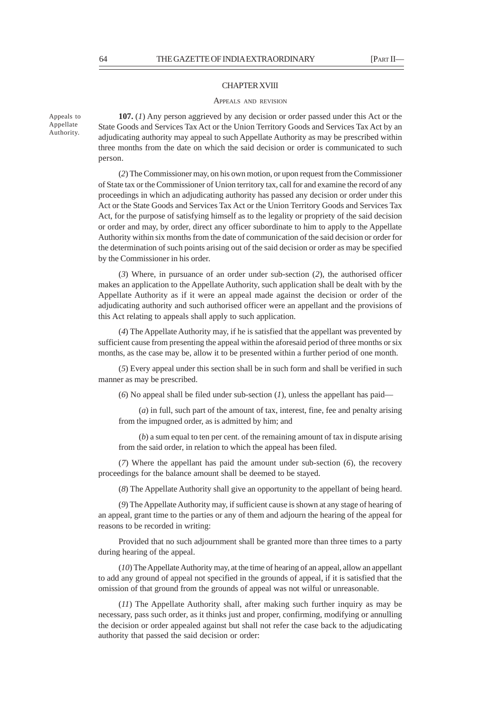Appeals to Appellate Authority.

#### CHAPTER XVIII

#### APPEALS AND REVISION

**107.** (*1*) Any person aggrieved by any decision or order passed under this Act or the State Goods and Services Tax Act or the Union Territory Goods and Services Tax Act by an adjudicating authority may appeal to such Appellate Authority as may be prescribed within three months from the date on which the said decision or order is communicated to such person.

(*2*) The Commissioner may, on his own motion, or upon request from the Commissioner of State tax or the Commissioner of Union territory tax, call for and examine the record of any proceedings in which an adjudicating authority has passed any decision or order under this Act or the State Goods and Services Tax Act or the Union Territory Goods and Services Tax Act, for the purpose of satisfying himself as to the legality or propriety of the said decision or order and may, by order, direct any officer subordinate to him to apply to the Appellate Authority within six months from the date of communication of the said decision or order for the determination of such points arising out of the said decision or order as may be specified by the Commissioner in his order.

(*3*) Where, in pursuance of an order under sub-section (*2*), the authorised officer makes an application to the Appellate Authority, such application shall be dealt with by the Appellate Authority as if it were an appeal made against the decision or order of the adjudicating authority and such authorised officer were an appellant and the provisions of this Act relating to appeals shall apply to such application.

(*4*) The Appellate Authority may, if he is satisfied that the appellant was prevented by sufficient cause from presenting the appeal within the aforesaid period of three months or six months, as the case may be, allow it to be presented within a further period of one month.

(*5*) Every appeal under this section shall be in such form and shall be verified in such manner as may be prescribed.

(*6*) No appeal shall be filed under sub-section (*1*), unless the appellant has paid—

(*a*) in full, such part of the amount of tax, interest, fine, fee and penalty arising from the impugned order, as is admitted by him; and

(*b*) a sum equal to ten per cent. of the remaining amount of tax in dispute arising from the said order, in relation to which the appeal has been filed.

(*7*) Where the appellant has paid the amount under sub-section (*6*), the recovery proceedings for the balance amount shall be deemed to be stayed.

(*8*) The Appellate Authority shall give an opportunity to the appellant of being heard.

(*9*) The Appellate Authority may, if sufficient cause is shown at any stage of hearing of an appeal, grant time to the parties or any of them and adjourn the hearing of the appeal for reasons to be recorded in writing:

Provided that no such adjournment shall be granted more than three times to a party during hearing of the appeal.

(*10*) The Appellate Authority may, at the time of hearing of an appeal, allow an appellant to add any ground of appeal not specified in the grounds of appeal, if it is satisfied that the omission of that ground from the grounds of appeal was not wilful or unreasonable.

(*11*) The Appellate Authority shall, after making such further inquiry as may be necessary, pass such order, as it thinks just and proper, confirming, modifying or annulling the decision or order appealed against but shall not refer the case back to the adjudicating authority that passed the said decision or order: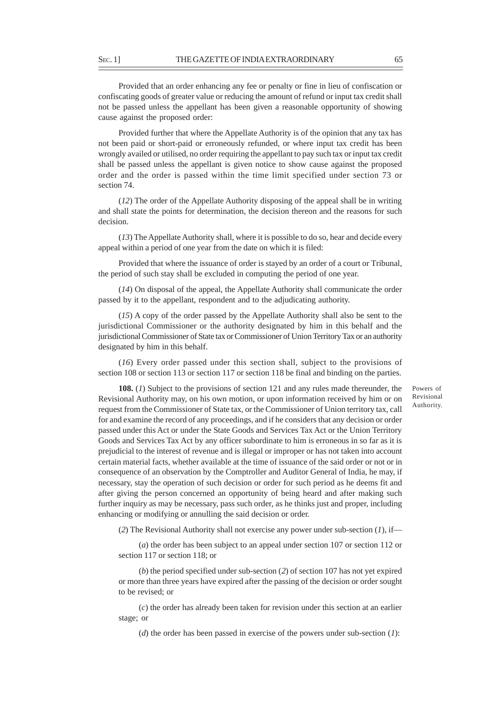Provided that an order enhancing any fee or penalty or fine in lieu of confiscation or confiscating goods of greater value or reducing the amount of refund or input tax credit shall not be passed unless the appellant has been given a reasonable opportunity of showing cause against the proposed order:

Provided further that where the Appellate Authority is of the opinion that any tax has not been paid or short-paid or erroneously refunded, or where input tax credit has been wrongly availed or utilised, no order requiring the appellant to pay such tax or input tax credit shall be passed unless the appellant is given notice to show cause against the proposed order and the order is passed within the time limit specified under section 73 or section 74.

(*12*) The order of the Appellate Authority disposing of the appeal shall be in writing and shall state the points for determination, the decision thereon and the reasons for such decision.

(*13*) The Appellate Authority shall, where it is possible to do so, hear and decide every appeal within a period of one year from the date on which it is filed:

Provided that where the issuance of order is stayed by an order of a court or Tribunal, the period of such stay shall be excluded in computing the period of one year.

(*14*) On disposal of the appeal, the Appellate Authority shall communicate the order passed by it to the appellant, respondent and to the adjudicating authority.

(*15*) A copy of the order passed by the Appellate Authority shall also be sent to the jurisdictional Commissioner or the authority designated by him in this behalf and the jurisdictional Commissioner of State tax or Commissioner of Union Territory Tax or an authority designated by him in this behalf.

(*16*) Every order passed under this section shall, subject to the provisions of section 108 or section 113 or section 117 or section 118 be final and binding on the parties.

**108.** (*1*) Subject to the provisions of section 121 and any rules made thereunder, the Revisional Authority may, on his own motion, or upon information received by him or on request from the Commissioner of State tax, or the Commissioner of Union territory tax, call for and examine the record of any proceedings, and if he considers that any decision or order passed under this Act or under the State Goods and Services Tax Act or the Union Territory Goods and Services Tax Act by any officer subordinate to him is erroneous in so far as it is prejudicial to the interest of revenue and is illegal or improper or has not taken into account certain material facts, whether available at the time of issuance of the said order or not or in consequence of an observation by the Comptroller and Auditor General of India, he may, if necessary, stay the operation of such decision or order for such period as he deems fit and after giving the person concerned an opportunity of being heard and after making such further inquiry as may be necessary, pass such order, as he thinks just and proper, including enhancing or modifying or annulling the said decision or order.

(*2*) The Revisional Authority shall not exercise any power under sub-section (*1*), if—

(*a*) the order has been subject to an appeal under section 107 or section 112 or section 117 or section 118; or

(*b*) the period specified under sub-section (*2*) of section 107 has not yet expired or more than three years have expired after the passing of the decision or order sought to be revised; or

(*c*) the order has already been taken for revision under this section at an earlier stage; or

(*d*) the order has been passed in exercise of the powers under sub-section (*1*):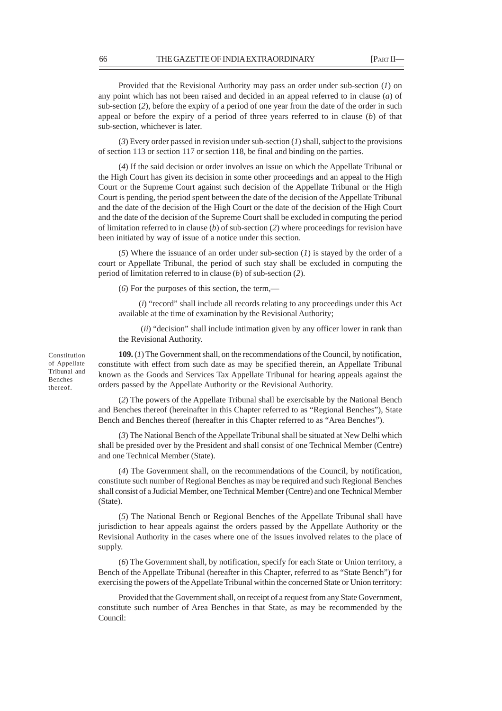Provided that the Revisional Authority may pass an order under sub-section (*1*) on any point which has not been raised and decided in an appeal referred to in clause (*a*) of sub-section (*2*), before the expiry of a period of one year from the date of the order in such appeal or before the expiry of a period of three years referred to in clause (*b*) of that sub-section, whichever is later.

(*3*) Every order passed in revision under sub-section (*1*) shall, subject to the provisions of section 113 or section 117 or section 118, be final and binding on the parties.

(*4*) If the said decision or order involves an issue on which the Appellate Tribunal or the High Court has given its decision in some other proceedings and an appeal to the High Court or the Supreme Court against such decision of the Appellate Tribunal or the High Court is pending, the period spent between the date of the decision of the Appellate Tribunal and the date of the decision of the High Court or the date of the decision of the High Court and the date of the decision of the Supreme Court shall be excluded in computing the period of limitation referred to in clause (*b*) of sub-section (*2*) where proceedings for revision have been initiated by way of issue of a notice under this section.

(*5*) Where the issuance of an order under sub-section (*1*) is stayed by the order of a court or Appellate Tribunal, the period of such stay shall be excluded in computing the period of limitation referred to in clause (*b*) of sub-section (*2*).

(*6*) For the purposes of this section, the term,––

(*i*) "record" shall include all records relating to any proceedings under this Act available at the time of examination by the Revisional Authority;

 (*ii*) "decision" shall include intimation given by any officer lower in rank than the Revisional Authority.

**109.** (*1*) The Government shall, on the recommendations of the Council, by notification, constitute with effect from such date as may be specified therein, an Appellate Tribunal known as the Goods and Services Tax Appellate Tribunal for hearing appeals against the orders passed by the Appellate Authority or the Revisional Authority.

(*2*) The powers of the Appellate Tribunal shall be exercisable by the National Bench and Benches thereof (hereinafter in this Chapter referred to as "Regional Benches"), State Bench and Benches thereof (hereafter in this Chapter referred to as "Area Benches").

(*3*) The National Bench of the Appellate Tribunal shall be situated at New Delhi which shall be presided over by the President and shall consist of one Technical Member (Centre) and one Technical Member (State).

(*4*) The Government shall, on the recommendations of the Council, by notification, constitute such number of Regional Benches as may be required and such Regional Benches shall consist of a Judicial Member, one Technical Member (Centre) and one Technical Member (State).

(*5*) The National Bench or Regional Benches of the Appellate Tribunal shall have jurisdiction to hear appeals against the orders passed by the Appellate Authority or the Revisional Authority in the cases where one of the issues involved relates to the place of supply.

(*6*) The Government shall, by notification, specify for each State or Union territory, a Bench of the Appellate Tribunal (hereafter in this Chapter, referred to as "State Bench") for exercising the powers of the Appellate Tribunal within the concerned State or Union territory:

Provided that the Government shall, on receipt of a request from any State Government, constitute such number of Area Benches in that State, as may be recommended by the Council:

Constitution of Appellate Tribunal and Benches thereof.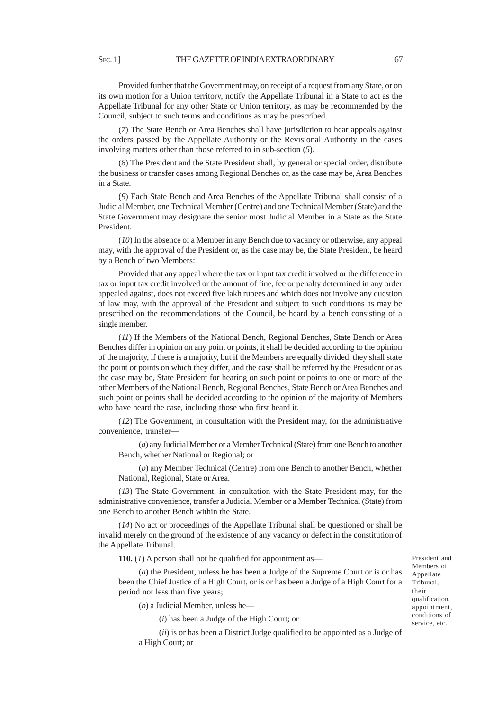Provided further that the Government may, on receipt of a request from any State, or on its own motion for a Union territory, notify the Appellate Tribunal in a State to act as the Appellate Tribunal for any other State or Union territory, as may be recommended by the Council, subject to such terms and conditions as may be prescribed.

(*7*) The State Bench or Area Benches shall have jurisdiction to hear appeals against the orders passed by the Appellate Authority or the Revisional Authority in the cases involving matters other than those referred to in sub-section (*5*).

(*8*) The President and the State President shall, by general or special order, distribute the business or transfer cases among Regional Benches or, as the case may be, Area Benches in a State.

(*9*) Each State Bench and Area Benches of the Appellate Tribunal shall consist of a Judicial Member, one Technical Member (Centre) and one Technical Member (State) and the State Government may designate the senior most Judicial Member in a State as the State President.

(*10*) In the absence of a Member in any Bench due to vacancy or otherwise, any appeal may, with the approval of the President or, as the case may be, the State President, be heard by a Bench of two Members:

Provided that any appeal where the tax or input tax credit involved or the difference in tax or input tax credit involved or the amount of fine, fee or penalty determined in any order appealed against, does not exceed five lakh rupees and which does not involve any question of law may, with the approval of the President and subject to such conditions as may be prescribed on the recommendations of the Council, be heard by a bench consisting of a single member.

(*11*) If the Members of the National Bench, Regional Benches, State Bench or Area Benches differ in opinion on any point or points, it shall be decided according to the opinion of the majority, if there is a majority, but if the Members are equally divided, they shall state the point or points on which they differ, and the case shall be referred by the President or as the case may be, State President for hearing on such point or points to one or more of the other Members of the National Bench, Regional Benches, State Bench or Area Benches and such point or points shall be decided according to the opinion of the majority of Members who have heard the case, including those who first heard it.

(*12*) The Government, in consultation with the President may, for the administrative convenience, transfer—

(*a*) any Judicial Member or a Member Technical (State) from one Bench to another Bench, whether National or Regional; or

(*b*) any Member Technical (Centre) from one Bench to another Bench, whether National, Regional, State or Area.

(*13*) The State Government, in consultation with the State President may, for the administrative convenience, transfer a Judicial Member or a Member Technical (State) from one Bench to another Bench within the State.

(*14*) No act or proceedings of the Appellate Tribunal shall be questioned or shall be invalid merely on the ground of the existence of any vacancy or defect in the constitution of the Appellate Tribunal.

**110.** (*1*) A person shall not be qualified for appointment as—

(*a*) the President, unless he has been a Judge of the Supreme Court or is or has been the Chief Justice of a High Court, or is or has been a Judge of a High Court for a period not less than five years;

(*b*) a Judicial Member, unless he—

(*i*) has been a Judge of the High Court; or

(*ii*) is or has been a District Judge qualified to be appointed as a Judge of a High Court; or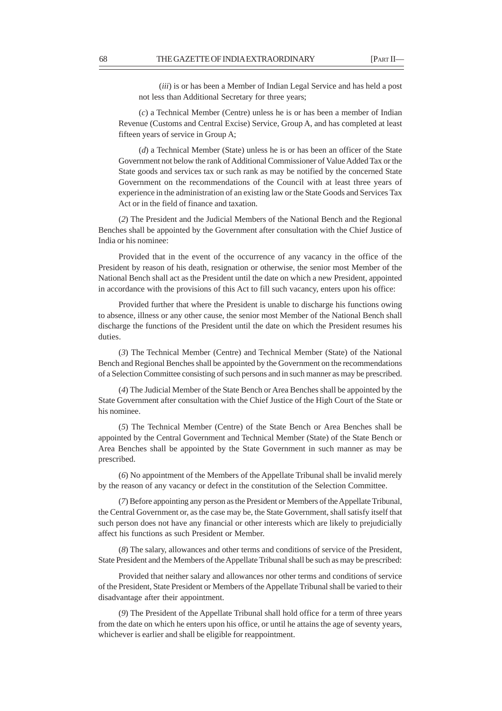(*iii*) is or has been a Member of Indian Legal Service and has held a post not less than Additional Secretary for three years;

(*c*) a Technical Member (Centre) unless he is or has been a member of Indian Revenue (Customs and Central Excise) Service, Group A, and has completed at least fifteen years of service in Group A;

(*d*) a Technical Member (State) unless he is or has been an officer of the State Government not below the rank of Additional Commissioner of Value Added Tax or the State goods and services tax or such rank as may be notified by the concerned State Government on the recommendations of the Council with at least three years of experience in the administration of an existing law or the State Goods and Services Tax Act or in the field of finance and taxation.

(*2*) The President and the Judicial Members of the National Bench and the Regional Benches shall be appointed by the Government after consultation with the Chief Justice of India or his nominee:

Provided that in the event of the occurrence of any vacancy in the office of the President by reason of his death, resignation or otherwise, the senior most Member of the National Bench shall act as the President until the date on which a new President, appointed in accordance with the provisions of this Act to fill such vacancy, enters upon his office:

Provided further that where the President is unable to discharge his functions owing to absence, illness or any other cause, the senior most Member of the National Bench shall discharge the functions of the President until the date on which the President resumes his duties.

(*3*) The Technical Member (Centre) and Technical Member (State) of the National Bench and Regional Benches shall be appointed by the Government on the recommendations of a Selection Committee consisting of such persons and in such manner as may be prescribed.

(*4*) The Judicial Member of the State Bench or Area Benches shall be appointed by the State Government after consultation with the Chief Justice of the High Court of the State or his nominee.

(*5*) The Technical Member (Centre) of the State Bench or Area Benches shall be appointed by the Central Government and Technical Member (State) of the State Bench or Area Benches shall be appointed by the State Government in such manner as may be prescribed.

(*6*) No appointment of the Members of the Appellate Tribunal shall be invalid merely by the reason of any vacancy or defect in the constitution of the Selection Committee.

(*7*) Before appointing any person as the President or Members of the Appellate Tribunal, the Central Government or, as the case may be, the State Government, shall satisfy itself that such person does not have any financial or other interests which are likely to prejudicially affect his functions as such President or Member.

(*8*) The salary, allowances and other terms and conditions of service of the President, State President and the Members of the Appellate Tribunal shall be such as may be prescribed:

Provided that neither salary and allowances nor other terms and conditions of service of the President, State President or Members of the Appellate Tribunal shall be varied to their disadvantage after their appointment.

(*9*) The President of the Appellate Tribunal shall hold office for a term of three years from the date on which he enters upon his office, or until he attains the age of seventy years, whichever is earlier and shall be eligible for reappointment.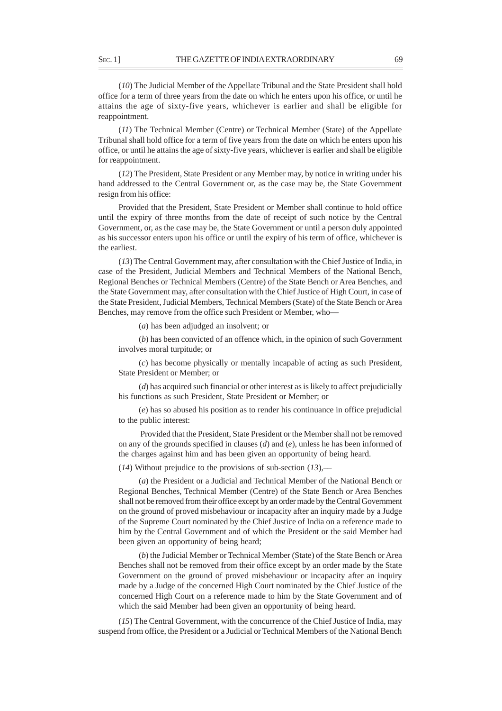(*10*) The Judicial Member of the Appellate Tribunal and the State President shall hold office for a term of three years from the date on which he enters upon his office, or until he attains the age of sixty-five years, whichever is earlier and shall be eligible for reappointment.

(*11*) The Technical Member (Centre) or Technical Member (State) of the Appellate Tribunal shall hold office for a term of five years from the date on which he enters upon his office, or until he attains the age of sixty-five years, whichever is earlier and shall be eligible for reappointment.

(*12*) The President, State President or any Member may, by notice in writing under his hand addressed to the Central Government or, as the case may be, the State Government resign from his office:

Provided that the President, State President or Member shall continue to hold office until the expiry of three months from the date of receipt of such notice by the Central Government, or, as the case may be, the State Government or until a person duly appointed as his successor enters upon his office or until the expiry of his term of office, whichever is the earliest.

(*13*) The Central Government may, after consultation with the Chief Justice of India, in case of the President, Judicial Members and Technical Members of the National Bench, Regional Benches or Technical Members (Centre) of the State Bench or Area Benches, and the State Government may, after consultation with the Chief Justice of High Court, in case of the State President, Judicial Members, Technical Members (State) of the State Bench or Area Benches, may remove from the office such President or Member, who—

(*a*) has been adjudged an insolvent; or

(*b*) has been convicted of an offence which, in the opinion of such Government involves moral turpitude; or

(*c*) has become physically or mentally incapable of acting as such President, State President or Member; or

(*d*) has acquired such financial or other interest as is likely to affect prejudicially his functions as such President, State President or Member; or

(*e*) has so abused his position as to render his continuance in office prejudicial to the public interest:

 Provided that the President, State President or the Member shall not be removed on any of the grounds specified in clauses (*d*) and (*e*), unless he has been informed of the charges against him and has been given an opportunity of being heard.

(*14*) Without prejudice to the provisions of sub-section (*13*),––

(*a*) the President or a Judicial and Technical Member of the National Bench or Regional Benches, Technical Member (Centre) of the State Bench or Area Benches shall not be removed from their office except by an order made by the Central Government on the ground of proved misbehaviour or incapacity after an inquiry made by a Judge of the Supreme Court nominated by the Chief Justice of India on a reference made to him by the Central Government and of which the President or the said Member had been given an opportunity of being heard;

(*b*) the Judicial Member or Technical Member (State) of the State Bench or Area Benches shall not be removed from their office except by an order made by the State Government on the ground of proved misbehaviour or incapacity after an inquiry made by a Judge of the concerned High Court nominated by the Chief Justice of the concerned High Court on a reference made to him by the State Government and of which the said Member had been given an opportunity of being heard.

(*15*) The Central Government, with the concurrence of the Chief Justice of India, may suspend from office, the President or a Judicial or Technical Members of the National Bench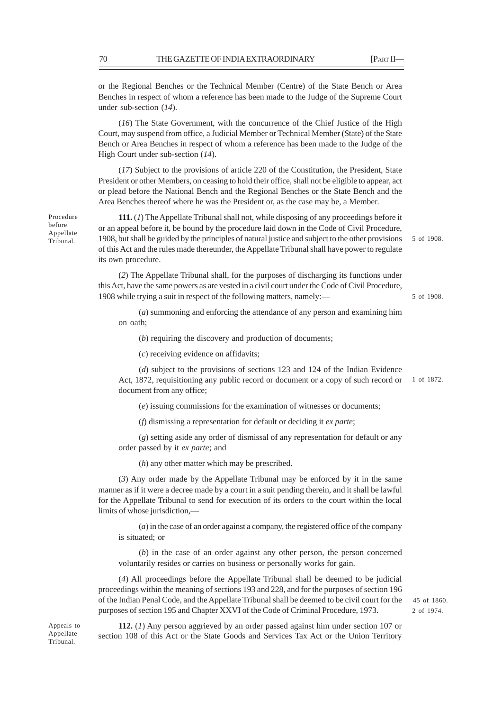or the Regional Benches or the Technical Member (Centre) of the State Bench or Area Benches in respect of whom a reference has been made to the Judge of the Supreme Court under sub-section (*14*).

(*16*) The State Government, with the concurrence of the Chief Justice of the High Court, may suspend from office, a Judicial Member or Technical Member (State) of the State Bench or Area Benches in respect of whom a reference has been made to the Judge of the High Court under sub-section (*14*).

(*17*) Subject to the provisions of article 220 of the Constitution, the President, State President or other Members, on ceasing to hold their office, shall not be eligible to appear, act or plead before the National Bench and the Regional Benches or the State Bench and the Area Benches thereof where he was the President or, as the case may be, a Member.

**111.** (*1*) The Appellate Tribunal shall not, while disposing of any proceedings before it or an appeal before it, be bound by the procedure laid down in the Code of Civil Procedure, 1908, but shall be guided by the principles of natural justice and subject to the other provisions of this Act and the rules made thereunder, the Appellate Tribunal shall have power to regulate its own procedure.

5 of 1908.

5 of 1908.

(*2*) The Appellate Tribunal shall, for the purposes of discharging its functions under this Act, have the same powers as are vested in a civil court under the Code of Civil Procedure, 1908 while trying a suit in respect of the following matters, namely:—

(*a*) summoning and enforcing the attendance of any person and examining him on oath;

(*b*) requiring the discovery and production of documents;

(*c*) receiving evidence on affidavits;

(*d*) subject to the provisions of sections 123 and 124 of the Indian Evidence Act, 1872, requisitioning any public record or document or a copy of such record or 1 of 1872. document from any office;

(*e*) issuing commissions for the examination of witnesses or documents;

(*f*) dismissing a representation for default or deciding it *ex parte*;

(*g*) setting aside any order of dismissal of any representation for default or any order passed by it *ex parte*; and

(*h*) any other matter which may be prescribed.

(*3*) Any order made by the Appellate Tribunal may be enforced by it in the same manner as if it were a decree made by a court in a suit pending therein, and it shall be lawful for the Appellate Tribunal to send for execution of its orders to the court within the local limits of whose jurisdiction,-

(*a*) in the case of an order against a company, the registered office of the company is situated; or

(*b*) in the case of an order against any other person, the person concerned voluntarily resides or carries on business or personally works for gain.

(*4*) All proceedings before the Appellate Tribunal shall be deemed to be judicial proceedings within the meaning of sections 193 and 228, and for the purposes of section 196 of the Indian Penal Code, and the Appellate Tribunal shall be deemed to be civil court for the purposes of section 195 and Chapter XXVI of the Code of Criminal Procedure, 1973.

2 of 1974. 45 of 1860.

Appeals to Appellate Tribunal.

**112.** (*1*) Any person aggrieved by an order passed against him under section 107 or section 108 of this Act or the State Goods and Services Tax Act or the Union Territory

Procedure before Appellate Tribunal.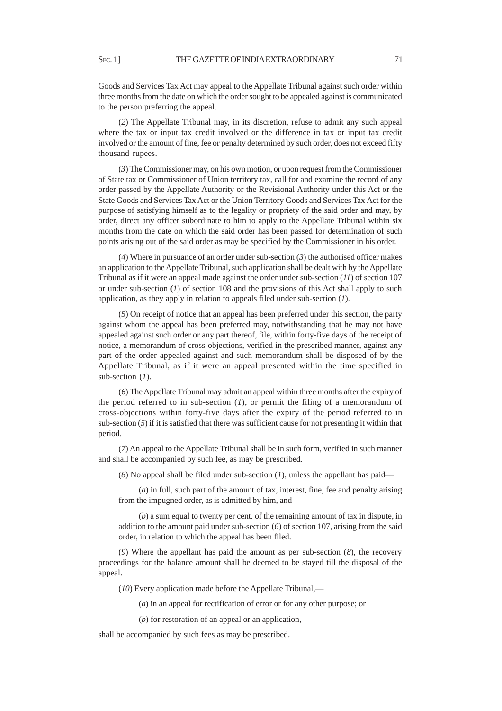Goods and Services Tax Act may appeal to the Appellate Tribunal against such order within three months from the date on which the order sought to be appealed against is communicated to the person preferring the appeal.

(*2*) The Appellate Tribunal may, in its discretion, refuse to admit any such appeal where the tax or input tax credit involved or the difference in tax or input tax credit involved or the amount of fine, fee or penalty determined by such order, does not exceed fifty thousand rupees.

(*3*) The Commissioner may, on his own motion, or upon request from the Commissioner of State tax or Commissioner of Union territory tax, call for and examine the record of any order passed by the Appellate Authority or the Revisional Authority under this Act or the State Goods and Services Tax Act or the Union Territory Goods and Services Tax Act for the purpose of satisfying himself as to the legality or propriety of the said order and may, by order, direct any officer subordinate to him to apply to the Appellate Tribunal within six months from the date on which the said order has been passed for determination of such points arising out of the said order as may be specified by the Commissioner in his order.

(*4*) Where in pursuance of an order under sub-section (*3*) the authorised officer makes an application to the Appellate Tribunal, such application shall be dealt with by the Appellate Tribunal as if it were an appeal made against the order under sub-section (*11*) of section 107 or under sub-section (*1*) of section 108 and the provisions of this Act shall apply to such application, as they apply in relation to appeals filed under sub-section (*1*).

(*5*) On receipt of notice that an appeal has been preferred under this section, the party against whom the appeal has been preferred may, notwithstanding that he may not have appealed against such order or any part thereof, file, within forty-five days of the receipt of notice, a memorandum of cross-objections, verified in the prescribed manner, against any part of the order appealed against and such memorandum shall be disposed of by the Appellate Tribunal, as if it were an appeal presented within the time specified in sub-section (*1*).

(*6*) The Appellate Tribunal may admit an appeal within three months after the expiry of the period referred to in sub-section  $(I)$ , or permit the filing of a memorandum of cross-objections within forty-five days after the expiry of the period referred to in sub-section  $(5)$  if it is satisfied that there was sufficient cause for not presenting it within that period.

(*7*) An appeal to the Appellate Tribunal shall be in such form, verified in such manner and shall be accompanied by such fee, as may be prescribed.

(*8*) No appeal shall be filed under sub-section (*1*), unless the appellant has paid––

(*a*) in full, such part of the amount of tax, interest, fine, fee and penalty arising from the impugned order, as is admitted by him, and

(*b*) a sum equal to twenty per cent. of the remaining amount of tax in dispute, in addition to the amount paid under sub-section (*6*) of section 107, arising from the said order, in relation to which the appeal has been filed.

(*9*) Where the appellant has paid the amount as per sub-section (*8*), the recovery proceedings for the balance amount shall be deemed to be stayed till the disposal of the appeal.

(*10*) Every application made before the Appellate Tribunal,—

(*a*) in an appeal for rectification of error or for any other purpose; or

(*b*) for restoration of an appeal or an application,

shall be accompanied by such fees as may be prescribed.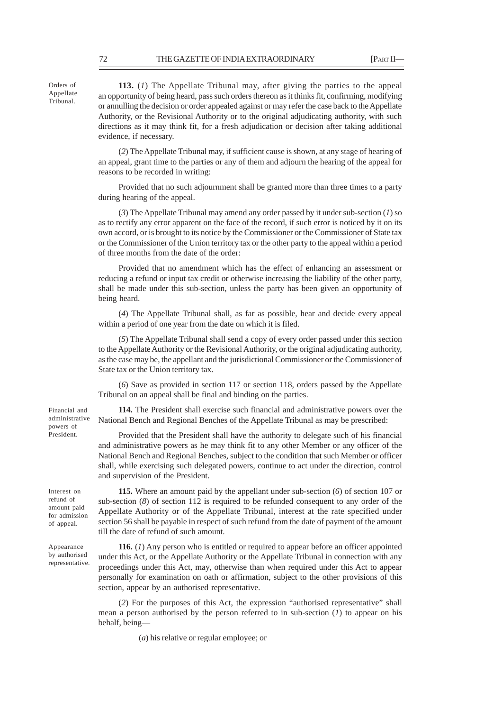**113.** (*1*) The Appellate Tribunal may, after giving the parties to the appeal an opportunity of being heard, pass such orders thereon as it thinks fit, confirming, modifying or annulling the decision or order appealed against or may refer the case back to the Appellate Authority, or the Revisional Authority or to the original adjudicating authority, with such directions as it may think fit, for a fresh adjudication or decision after taking additional evidence, if necessary.

(*2*) The Appellate Tribunal may, if sufficient cause is shown, at any stage of hearing of an appeal, grant time to the parties or any of them and adjourn the hearing of the appeal for reasons to be recorded in writing:

Provided that no such adjournment shall be granted more than three times to a party during hearing of the appeal.

(*3*) The Appellate Tribunal may amend any order passed by it under sub-section (*1*) so as to rectify any error apparent on the face of the record, if such error is noticed by it on its own accord, or is brought to its notice by the Commissioner or the Commissioner of State tax or the Commissioner of the Union territory tax or the other party to the appeal within a period of three months from the date of the order:

Provided that no amendment which has the effect of enhancing an assessment or reducing a refund or input tax credit or otherwise increasing the liability of the other party, shall be made under this sub-section, unless the party has been given an opportunity of being heard.

(*4*) The Appellate Tribunal shall, as far as possible, hear and decide every appeal within a period of one year from the date on which it is filed.

(*5*) The Appellate Tribunal shall send a copy of every order passed under this section to the Appellate Authority or the Revisional Authority, or the original adjudicating authority, as the case may be, the appellant and the jurisdictional Commissioner or the Commissioner of State tax or the Union territory tax.

(*6*) Save as provided in section 117 or section 118, orders passed by the Appellate Tribunal on an appeal shall be final and binding on the parties.

**114.** The President shall exercise such financial and administrative powers over the National Bench and Regional Benches of the Appellate Tribunal as may be prescribed:

Provided that the President shall have the authority to delegate such of his financial and administrative powers as he may think fit to any other Member or any officer of the National Bench and Regional Benches, subject to the condition that such Member or officer shall, while exercising such delegated powers, continue to act under the direction, control and supervision of the President.

Interest on refund of amount paid for admission of appeal.

Financial and administrative powers of President.

Appearance by authorised representative.

**115.** Where an amount paid by the appellant under sub-section (*6*) of section 107 or sub-section (*8*) of section 112 is required to be refunded consequent to any order of the Appellate Authority or of the Appellate Tribunal, interest at the rate specified under section 56 shall be payable in respect of such refund from the date of payment of the amount till the date of refund of such amount.

**116.** (*1*) Any person who is entitled or required to appear before an officer appointed under this Act, or the Appellate Authority or the Appellate Tribunal in connection with any proceedings under this Act, may, otherwise than when required under this Act to appear personally for examination on oath or affirmation, subject to the other provisions of this section, appear by an authorised representative.

(*2*) For the purposes of this Act, the expression "authorised representative" shall mean a person authorised by the person referred to in sub-section (*1*) to appear on his behalf, being—

(*a*) his relative or regular employee; or

Orders of Appellate Tribunal.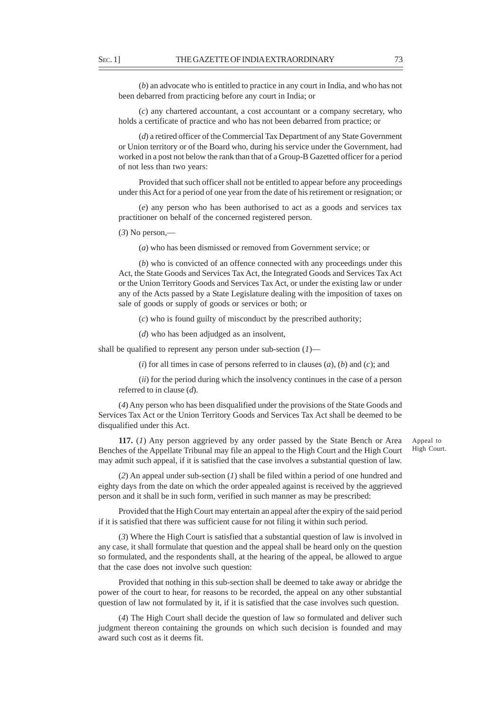(*b*) an advocate who is entitled to practice in any court in India, and who has not been debarred from practicing before any court in India; or

(*c*) any chartered accountant, a cost accountant or a company secretary, who holds a certificate of practice and who has not been debarred from practice; or

(*d*) a retired officer of the Commercial Tax Department of any State Government or Union territory or of the Board who, during his service under the Government, had worked in a post not below the rank than that of a Group-B Gazetted officer for a period of not less than two years:

Provided that such officer shall not be entitled to appear before any proceedings under this Act for a period of one year from the date of his retirement or resignation; or

(*e*) any person who has been authorised to act as a goods and services tax practitioner on behalf of the concerned registered person.

(*3*) No person,—

(*a*) who has been dismissed or removed from Government service; or

(*b*) who is convicted of an offence connected with any proceedings under this Act, the State Goods and Services Tax Act, the Integrated Goods and Services Tax Act or the Union Territory Goods and Services Tax Act, or under the existing law or under any of the Acts passed by a State Legislature dealing with the imposition of taxes on sale of goods or supply of goods or services or both; or

(*c*) who is found guilty of misconduct by the prescribed authority;

(*d*) who has been adjudged as an insolvent,

shall be qualified to represent any person under sub-section (*1*)—

(*i*) for all times in case of persons referred to in clauses (*a*), (*b*) and (*c*); and

(*ii*) for the period during which the insolvency continues in the case of a person referred to in clause (*d*).

(*4*) Any person who has been disqualified under the provisions of the State Goods and Services Tax Act or the Union Territory Goods and Services Tax Act shall be deemed to be disqualified under this Act.

**117.** (*1*) Any person aggrieved by any order passed by the State Bench or Area Benches of the Appellate Tribunal may file an appeal to the High Court and the High Court may admit such appeal, if it is satisfied that the case involves a substantial question of law.

Appeal to High Court.

(*2*) An appeal under sub-section (*1*) shall be filed within a period of one hundred and eighty days from the date on which the order appealed against is received by the aggrieved person and it shall be in such form, verified in such manner as may be prescribed:

Provided that the High Court may entertain an appeal after the expiry of the said period if it is satisfied that there was sufficient cause for not filing it within such period.

(*3*) Where the High Court is satisfied that a substantial question of law is involved in any case, it shall formulate that question and the appeal shall be heard only on the question so formulated, and the respondents shall, at the hearing of the appeal, be allowed to argue that the case does not involve such question:

Provided that nothing in this sub-section shall be deemed to take away or abridge the power of the court to hear, for reasons to be recorded, the appeal on any other substantial question of law not formulated by it, if it is satisfied that the case involves such question.

(*4*) The High Court shall decide the question of law so formulated and deliver such judgment thereon containing the grounds on which such decision is founded and may award such cost as it deems fit.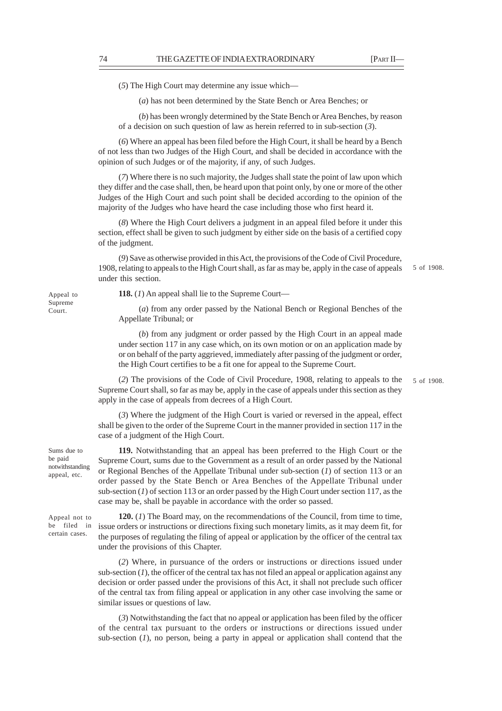(*5*) The High Court may determine any issue which––

(*a*) has not been determined by the State Bench or Area Benches; or

(*b*) has been wrongly determined by the State Bench or Area Benches, by reason of a decision on such question of law as herein referred to in sub-section (*3*).

(*6*) Where an appeal has been filed before the High Court, it shall be heard by a Bench of not less than two Judges of the High Court, and shall be decided in accordance with the opinion of such Judges or of the majority, if any, of such Judges.

(*7*) Where there is no such majority, the Judges shall state the point of law upon which they differ and the case shall, then, be heard upon that point only, by one or more of the other Judges of the High Court and such point shall be decided according to the opinion of the majority of the Judges who have heard the case including those who first heard it.

(*8*) Where the High Court delivers a judgment in an appeal filed before it under this section, effect shall be given to such judgment by either side on the basis of a certified copy of the judgment.

(*9*) Save as otherwise provided in this Act, the provisions of the Code of Civil Procedure, 1908, relating to appeals to the High Court shall, as far as may be, apply in the case of appeals under this section. 5 of 1908.

**118.** (*1*) An appeal shall lie to the Supreme Court—

(*a*) from any order passed by the National Bench or Regional Benches of the Appellate Tribunal; or

(*b*) from any judgment or order passed by the High Court in an appeal made under section 117 in any case which, on its own motion or on an application made by or on behalf of the party aggrieved, immediately after passing of the judgment or order, the High Court certifies to be a fit one for appeal to the Supreme Court.

(*2*) The provisions of the Code of Civil Procedure, 1908, relating to appeals to the Supreme Court shall, so far as may be, apply in the case of appeals under this section as they apply in the case of appeals from decrees of a High Court.

5 of 1908.

(*3*) Where the judgment of the High Court is varied or reversed in the appeal, effect shall be given to the order of the Supreme Court in the manner provided in section 117 in the case of a judgment of the High Court.

**119.** Notwithstanding that an appeal has been preferred to the High Court or the Supreme Court, sums due to the Government as a result of an order passed by the National or Regional Benches of the Appellate Tribunal under sub-section (*1*) of section 113 or an order passed by the State Bench or Area Benches of the Appellate Tribunal under sub-section (*1*) of section 113 or an order passed by the High Court under section 117, as the case may be, shall be payable in accordance with the order so passed.

**120.** (*1*) The Board may, on the recommendations of the Council, from time to time, issue orders or instructions or directions fixing such monetary limits, as it may deem fit, for the purposes of regulating the filing of appeal or application by the officer of the central tax under the provisions of this Chapter.

(*2*) Where, in pursuance of the orders or instructions or directions issued under sub-section  $(1)$ , the officer of the central tax has not filed an appeal or application against any decision or order passed under the provisions of this Act, it shall not preclude such officer of the central tax from filing appeal or application in any other case involving the same or similar issues or questions of law.

(*3*) Notwithstanding the fact that no appeal or application has been filed by the officer of the central tax pursuant to the orders or instructions or directions issued under sub-section (*1*), no person, being a party in appeal or application shall contend that the

Appeal to Supreme Court.

Sums due to be paid notwithstanding appeal, etc.

Appeal not to be filed in certain cases.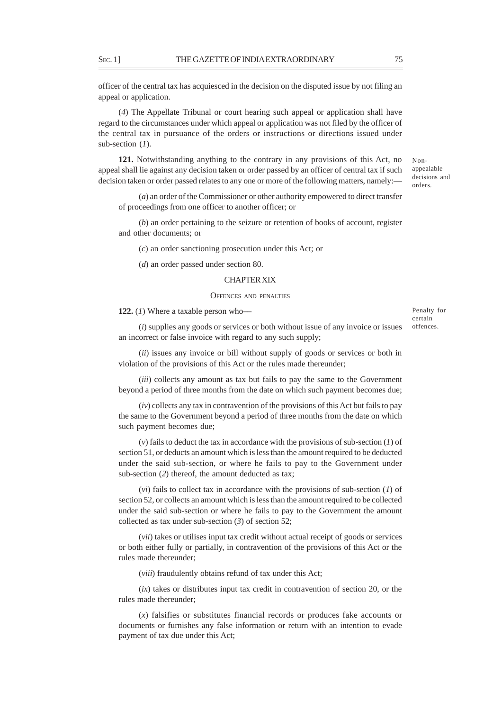officer of the central tax has acquiesced in the decision on the disputed issue by not filing an appeal or application.

(*4*) The Appellate Tribunal or court hearing such appeal or application shall have regard to the circumstances under which appeal or application was not filed by the officer of the central tax in pursuance of the orders or instructions or directions issued under sub-section (*1*).

**121.** Notwithstanding anything to the contrary in any provisions of this Act, no appeal shall lie against any decision taken or order passed by an officer of central tax if such decision taken or order passed relates to any one or more of the following matters, namely:—

(*a*) an order of the Commissioner or other authority empowered to direct transfer of proceedings from one officer to another officer; or

(*b*) an order pertaining to the seizure or retention of books of account, register and other documents; or

(*c*) an order sanctioning prosecution under this Act; or

(*d*) an order passed under section 80.

### CHAPTER XIX

#### OFFENCES AND PENALTIES

**122.** (*1*) Where a taxable person who––

(*i*) supplies any goods or services or both without issue of any invoice or issues an incorrect or false invoice with regard to any such supply;

(*ii*) issues any invoice or bill without supply of goods or services or both in violation of the provisions of this Act or the rules made thereunder;

(*iii*) collects any amount as tax but fails to pay the same to the Government beyond a period of three months from the date on which such payment becomes due;

(*iv*) collects any tax in contravention of the provisions of this Act but fails to pay the same to the Government beyond a period of three months from the date on which such payment becomes due;

(*v*) fails to deduct the tax in accordance with the provisions of sub-section (*1*) of section 51, or deducts an amount which is less than the amount required to be deducted under the said sub-section, or where he fails to pay to the Government under sub-section (*2*) thereof, the amount deducted as tax;

(*vi*) fails to collect tax in accordance with the provisions of sub-section (*1*) of section 52, or collects an amount which is less than the amount required to be collected under the said sub-section or where he fails to pay to the Government the amount collected as tax under sub-section (*3*) of section 52;

(*vii*) takes or utilises input tax credit without actual receipt of goods or services or both either fully or partially, in contravention of the provisions of this Act or the rules made thereunder;

(*viii*) fraudulently obtains refund of tax under this Act;

(*ix*) takes or distributes input tax credit in contravention of section 20, or the rules made thereunder;

(*x*) falsifies or substitutes financial records or produces fake accounts or documents or furnishes any false information or return with an intention to evade payment of tax due under this Act;

appealable decisions and orders.

Non-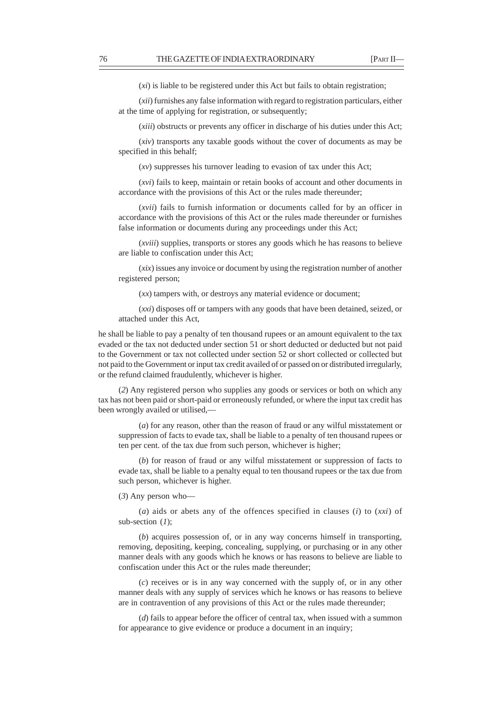(*xi*) is liable to be registered under this Act but fails to obtain registration;

(*xii*) furnishes any false information with regard to registration particulars, either at the time of applying for registration, or subsequently;

(*xiii*) obstructs or prevents any officer in discharge of his duties under this Act;

(*xiv*) transports any taxable goods without the cover of documents as may be specified in this behalf;

(*xv*) suppresses his turnover leading to evasion of tax under this Act;

(*xvi*) fails to keep, maintain or retain books of account and other documents in accordance with the provisions of this Act or the rules made thereunder;

(*xvii*) fails to furnish information or documents called for by an officer in accordance with the provisions of this Act or the rules made thereunder or furnishes false information or documents during any proceedings under this Act;

(*xviii*) supplies, transports or stores any goods which he has reasons to believe are liable to confiscation under this Act;

(*xix*) issues any invoice or document by using the registration number of another registered person;

(*xx*) tampers with, or destroys any material evidence or document;

(*xxi*) disposes off or tampers with any goods that have been detained, seized, or attached under this Act,

he shall be liable to pay a penalty of ten thousand rupees or an amount equivalent to the tax evaded or the tax not deducted under section 51 or short deducted or deducted but not paid to the Government or tax not collected under section 52 or short collected or collected but not paid to the Government or input tax credit availed of or passed on or distributed irregularly, or the refund claimed fraudulently, whichever is higher.

(*2*) Any registered person who supplies any goods or services or both on which any tax has not been paid or short-paid or erroneously refunded, or where the input tax credit has been wrongly availed or utilised,—

(*a*) for any reason, other than the reason of fraud or any wilful misstatement or suppression of facts to evade tax, shall be liable to a penalty of ten thousand rupees or ten per cent. of the tax due from such person, whichever is higher;

(*b*) for reason of fraud or any wilful misstatement or suppression of facts to evade tax, shall be liable to a penalty equal to ten thousand rupees or the tax due from such person, whichever is higher.

(*3*) Any person who––

(*a*) aids or abets any of the offences specified in clauses (*i*) to (*xxi*) of sub-section (*1*);

(*b*) acquires possession of, or in any way concerns himself in transporting, removing, depositing, keeping, concealing, supplying, or purchasing or in any other manner deals with any goods which he knows or has reasons to believe are liable to confiscation under this Act or the rules made thereunder;

(*c*) receives or is in any way concerned with the supply of, or in any other manner deals with any supply of services which he knows or has reasons to believe are in contravention of any provisions of this Act or the rules made thereunder;

(*d*) fails to appear before the officer of central tax, when issued with a summon for appearance to give evidence or produce a document in an inquiry;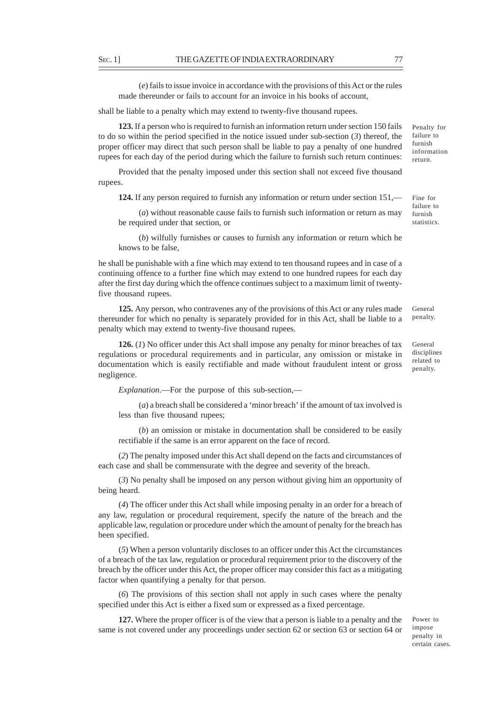(*e*) fails to issue invoice in accordance with the provisions of this Act or the rules made thereunder or fails to account for an invoice in his books of account,

shall be liable to a penalty which may extend to twenty-five thousand rupees.

**123.** If a person who is required to furnish an information return under section 150 fails to do so within the period specified in the notice issued under sub-section (*3*) thereof, the proper officer may direct that such person shall be liable to pay a penalty of one hundred rupees for each day of the period during which the failure to furnish such return continues:

Provided that the penalty imposed under this section shall not exceed five thousand rupees.

**124.** If any person required to furnish any information or return under section 151,—

(*a*) without reasonable cause fails to furnish such information or return as may be required under that section, or

(*b*) wilfully furnishes or causes to furnish any information or return which he knows to be false,

he shall be punishable with a fine which may extend to ten thousand rupees and in case of a continuing offence to a further fine which may extend to one hundred rupees for each day after the first day during which the offence continues subject to a maximum limit of twentyfive thousand rupees.

**125.** Any person, who contravenes any of the provisions of this Act or any rules made thereunder for which no penalty is separately provided for in this Act, shall be liable to a penalty which may extend to twenty-five thousand rupees.

**126.** (*1*) No officer under this Act shall impose any penalty for minor breaches of tax regulations or procedural requirements and in particular, any omission or mistake in documentation which is easily rectifiable and made without fraudulent intent or gross negligence.

*Explanation*.––For the purpose of this sub-section,––

(*a*) a breach shall be considered a 'minor breach' if the amount of tax involved is less than five thousand rupees;

(*b*) an omission or mistake in documentation shall be considered to be easily rectifiable if the same is an error apparent on the face of record.

(*2*) The penalty imposed under this Act shall depend on the facts and circumstances of each case and shall be commensurate with the degree and severity of the breach.

(*3*) No penalty shall be imposed on any person without giving him an opportunity of being heard.

(*4*) The officer under this Act shall while imposing penalty in an order for a breach of any law, regulation or procedural requirement, specify the nature of the breach and the applicable law, regulation or procedure under which the amount of penalty for the breach has been specified.

(*5*) When a person voluntarily discloses to an officer under this Act the circumstances of a breach of the tax law, regulation or procedural requirement prior to the discovery of the breach by the officer under this Act, the proper officer may consider this fact as a mitigating factor when quantifying a penalty for that person.

(*6*) The provisions of this section shall not apply in such cases where the penalty specified under this Act is either a fixed sum or expressed as a fixed percentage.

**127.** Where the proper officer is of the view that a person is liable to a penalty and the same is not covered under any proceedings under section 62 or section 63 or section 64 or

Power to impose penalty in certain cases.

Penalty for failure to furnish information return.

Fine for failure to furnish statistics.

penalty.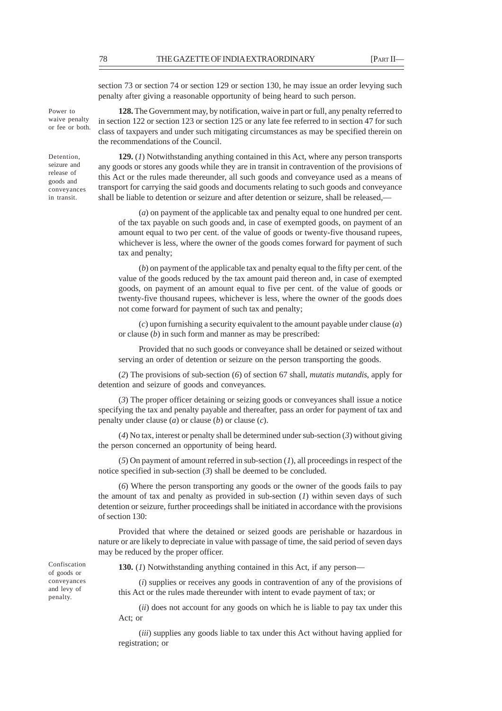section 73 or section 74 or section 129 or section 130, he may issue an order levying such penalty after giving a reasonable opportunity of being heard to such person.

**128.** The Government may, by notification, waive in part or full, any penalty referred to in section 122 or section 123 or section 125 or any late fee referred to in section 47 for such class of taxpayers and under such mitigating circumstances as may be specified therein on the recommendations of the Council.

**129.** (*1*) Notwithstanding anything contained in this Act, where any person transports any goods or stores any goods while they are in transit in contravention of the provisions of this Act or the rules made thereunder, all such goods and conveyance used as a means of transport for carrying the said goods and documents relating to such goods and conveyance shall be liable to detention or seizure and after detention or seizure, shall be released,––

(*a*) on payment of the applicable tax and penalty equal to one hundred per cent. of the tax payable on such goods and, in case of exempted goods, on payment of an amount equal to two per cent. of the value of goods or twenty-five thousand rupees, whichever is less, where the owner of the goods comes forward for payment of such tax and penalty;

(*b*) on payment of the applicable tax and penalty equal to the fifty per cent. of the value of the goods reduced by the tax amount paid thereon and, in case of exempted goods, on payment of an amount equal to five per cent. of the value of goods or twenty-five thousand rupees, whichever is less, where the owner of the goods does not come forward for payment of such tax and penalty;

(*c*) upon furnishing a security equivalent to the amount payable under clause (*a*) or clause (*b*) in such form and manner as may be prescribed:

Provided that no such goods or conveyance shall be detained or seized without serving an order of detention or seizure on the person transporting the goods.

(*2*) The provisions of sub-section (*6*) of section 67 shall, *mutatis mutandis*, apply for detention and seizure of goods and conveyances.

(*3*) The proper officer detaining or seizing goods or conveyances shall issue a notice specifying the tax and penalty payable and thereafter, pass an order for payment of tax and penalty under clause (*a*) or clause (*b*) or clause (*c*).

(*4*) No tax, interest or penalty shall be determined under sub-section (*3*) without giving the person concerned an opportunity of being heard.

(*5*) On payment of amount referred in sub-section (*1*), all proceedings in respect of the notice specified in sub-section (*3*) shall be deemed to be concluded.

(*6*) Where the person transporting any goods or the owner of the goods fails to pay the amount of tax and penalty as provided in sub-section (*1*) within seven days of such detention or seizure, further proceedings shall be initiated in accordance with the provisions of section 130:

Provided that where the detained or seized goods are perishable or hazardous in nature or are likely to depreciate in value with passage of time, the said period of seven days may be reduced by the proper officer.

**130.** (*1*) Notwithstanding anything contained in this Act, if any person—

(*i*) supplies or receives any goods in contravention of any of the provisions of this Act or the rules made thereunder with intent to evade payment of tax; or

(*ii*) does not account for any goods on which he is liable to pay tax under this Act; or

(*iii*) supplies any goods liable to tax under this Act without having applied for registration; or

Confiscation of goods or conveyances and levy of penalty.

waive penalty or fee or both.

Power to

Detention, seizure and release of goods and conveyances in transit.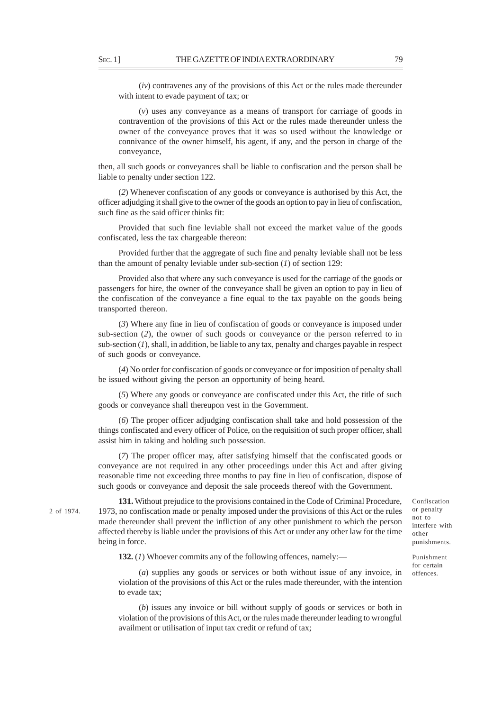(*iv*) contravenes any of the provisions of this Act or the rules made thereunder with intent to evade payment of tax; or

(*v*) uses any conveyance as a means of transport for carriage of goods in contravention of the provisions of this Act or the rules made thereunder unless the owner of the conveyance proves that it was so used without the knowledge or connivance of the owner himself, his agent, if any, and the person in charge of the conveyance,

then, all such goods or conveyances shall be liable to confiscation and the person shall be liable to penalty under section 122.

(*2*) Whenever confiscation of any goods or conveyance is authorised by this Act, the officer adjudging it shall give to the owner of the goods an option to pay in lieu of confiscation, such fine as the said officer thinks fit:

Provided that such fine leviable shall not exceed the market value of the goods confiscated, less the tax chargeable thereon:

Provided further that the aggregate of such fine and penalty leviable shall not be less than the amount of penalty leviable under sub-section (*1*) of section 129:

Provided also that where any such conveyance is used for the carriage of the goods or passengers for hire, the owner of the conveyance shall be given an option to pay in lieu of the confiscation of the conveyance a fine equal to the tax payable on the goods being transported thereon.

(*3*) Where any fine in lieu of confiscation of goods or conveyance is imposed under sub-section (*2*), the owner of such goods or conveyance or the person referred to in sub-section  $(I)$ , shall, in addition, be liable to any tax, penalty and charges payable in respect of such goods or conveyance.

(*4*) No order for confiscation of goods or conveyance or for imposition of penalty shall be issued without giving the person an opportunity of being heard.

(*5*) Where any goods or conveyance are confiscated under this Act, the title of such goods or conveyance shall thereupon vest in the Government.

(*6*) The proper officer adjudging confiscation shall take and hold possession of the things confiscated and every officer of Police, on the requisition of such proper officer, shall assist him in taking and holding such possession.

(*7*) The proper officer may, after satisfying himself that the confiscated goods or conveyance are not required in any other proceedings under this Act and after giving reasonable time not exceeding three months to pay fine in lieu of confiscation, dispose of such goods or conveyance and deposit the sale proceeds thereof with the Government.

2 of 1974.

**131.** Without prejudice to the provisions contained in the Code of Criminal Procedure, 1973, no confiscation made or penalty imposed under the provisions of this Act or the rules made thereunder shall prevent the infliction of any other punishment to which the person affected thereby is liable under the provisions of this Act or under any other law for the time being in force.

**132.** (*1*) Whoever commits any of the following offences, namely:—

(*a*) supplies any goods or services or both without issue of any invoice, in violation of the provisions of this Act or the rules made thereunder, with the intention to evade tax;

(*b*) issues any invoice or bill without supply of goods or services or both in violation of the provisions of this Act, or the rules made thereunder leading to wrongful availment or utilisation of input tax credit or refund of tax;

Confiscation or penalty not to interfere with other punishments.

Punishment for certain offences.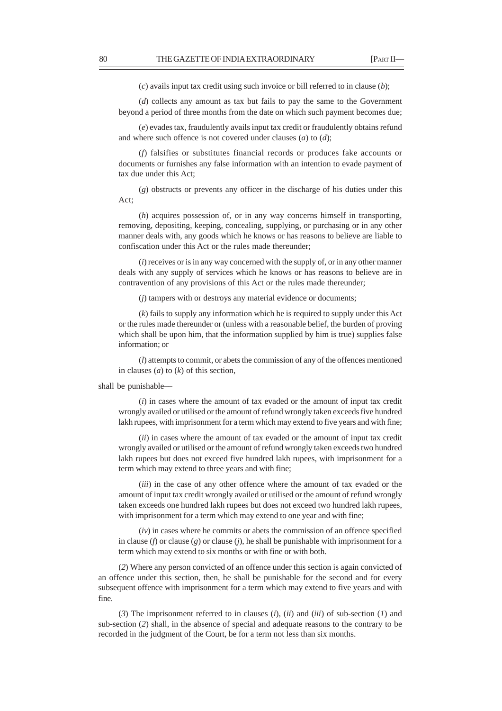(*c*) avails input tax credit using such invoice or bill referred to in clause (*b*);

(*d*) collects any amount as tax but fails to pay the same to the Government beyond a period of three months from the date on which such payment becomes due;

(*e*) evades tax, fraudulently avails input tax credit or fraudulently obtains refund and where such offence is not covered under clauses (*a*) to (*d*);

(*f*) falsifies or substitutes financial records or produces fake accounts or documents or furnishes any false information with an intention to evade payment of tax due under this Act;

(*g*) obstructs or prevents any officer in the discharge of his duties under this Act;

(*h*) acquires possession of, or in any way concerns himself in transporting, removing, depositing, keeping, concealing, supplying, or purchasing or in any other manner deals with, any goods which he knows or has reasons to believe are liable to confiscation under this Act or the rules made thereunder;

(*i*) receives or is in any way concerned with the supply of, or in any other manner deals with any supply of services which he knows or has reasons to believe are in contravention of any provisions of this Act or the rules made thereunder;

(*j*) tampers with or destroys any material evidence or documents;

(*k*) fails to supply any information which he is required to supply under this Act or the rules made thereunder or (unless with a reasonable belief, the burden of proving which shall be upon him, that the information supplied by him is true) supplies false information; or

(*l*) attempts to commit, or abets the commission of any of the offences mentioned in clauses (*a*) to (*k*) of this section,

shall be punishable––

(*i*) in cases where the amount of tax evaded or the amount of input tax credit wrongly availed or utilised or the amount of refund wrongly taken exceeds five hundred lakh rupees, with imprisonment for a term which may extend to five years and with fine;

(*ii*) in cases where the amount of tax evaded or the amount of input tax credit wrongly availed or utilised or the amount of refund wrongly taken exceeds two hundred lakh rupees but does not exceed five hundred lakh rupees, with imprisonment for a term which may extend to three years and with fine;

(*iii*) in the case of any other offence where the amount of tax evaded or the amount of input tax credit wrongly availed or utilised or the amount of refund wrongly taken exceeds one hundred lakh rupees but does not exceed two hundred lakh rupees, with imprisonment for a term which may extend to one year and with fine;

(*iv*) in cases where he commits or abets the commission of an offence specified in clause (*f*) or clause (*g*) or clause (*j*), he shall be punishable with imprisonment for a term which may extend to six months or with fine or with both.

(*2*) Where any person convicted of an offence under this section is again convicted of an offence under this section, then, he shall be punishable for the second and for every subsequent offence with imprisonment for a term which may extend to five years and with fine.

(*3*) The imprisonment referred to in clauses (*i*), (*ii*) and (*iii*) of sub-section (*1*) and sub-section (*2*) shall, in the absence of special and adequate reasons to the contrary to be recorded in the judgment of the Court, be for a term not less than six months.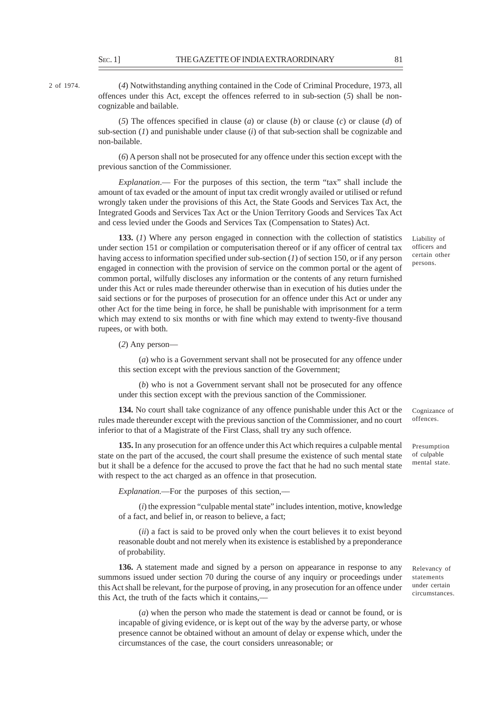2 of 1974.

(*4*) Notwithstanding anything contained in the Code of Criminal Procedure, 1973, all offences under this Act, except the offences referred to in sub-section (*5*) shall be noncognizable and bailable.

(*5*) The offences specified in clause (*a*) or clause (*b*) or clause (*c*) or clause (*d*) of sub-section (*1*) and punishable under clause (*i*) of that sub-section shall be cognizable and non-bailable.

(*6*) A person shall not be prosecuted for any offence under this section except with the previous sanction of the Commissioner.

*Explanation*.— For the purposes of this section, the term "tax" shall include the amount of tax evaded or the amount of input tax credit wrongly availed or utilised or refund wrongly taken under the provisions of this Act, the State Goods and Services Tax Act, the Integrated Goods and Services Tax Act or the Union Territory Goods and Services Tax Act and cess levied under the Goods and Services Tax (Compensation to States) Act.

**133.** (*1*) Where any person engaged in connection with the collection of statistics under section 151 or compilation or computerisation thereof or if any officer of central tax having access to information specified under sub-section (*1*) of section 150, or if any person engaged in connection with the provision of service on the common portal or the agent of common portal, wilfully discloses any information or the contents of any return furnished under this Act or rules made thereunder otherwise than in execution of his duties under the said sections or for the purposes of prosecution for an offence under this Act or under any other Act for the time being in force, he shall be punishable with imprisonment for a term which may extend to six months or with fine which may extend to twenty-five thousand rupees, or with both.

(*2*) Any person—

(*a*) who is a Government servant shall not be prosecuted for any offence under this section except with the previous sanction of the Government;

(*b*) who is not a Government servant shall not be prosecuted for any offence under this section except with the previous sanction of the Commissioner.

**134.** No court shall take cognizance of any offence punishable under this Act or the rules made thereunder except with the previous sanction of the Commissioner, and no court inferior to that of a Magistrate of the First Class, shall try any such offence.

**135.** In any prosecution for an offence under this Act which requires a culpable mental state on the part of the accused, the court shall presume the existence of such mental state but it shall be a defence for the accused to prove the fact that he had no such mental state with respect to the act charged as an offence in that prosecution.

*Explanation*.—For the purposes of this section,––

(*i*) the expression "culpable mental state" includes intention, motive, knowledge of a fact, and belief in, or reason to believe, a fact;

(*ii*) a fact is said to be proved only when the court believes it to exist beyond reasonable doubt and not merely when its existence is established by a preponderance of probability.

**136.** A statement made and signed by a person on appearance in response to any summons issued under section 70 during the course of any inquiry or proceedings under this Act shall be relevant, for the purpose of proving, in any prosecution for an offence under this Act, the truth of the facts which it contains,––

(*a*) when the person who made the statement is dead or cannot be found, or is incapable of giving evidence, or is kept out of the way by the adverse party, or whose presence cannot be obtained without an amount of delay or expense which, under the circumstances of the case, the court considers unreasonable; or

Liability of officers and certain other persons.

Cognizance of offences.

Presumption of culpable mental state.

Relevancy of statements under certain circumstances.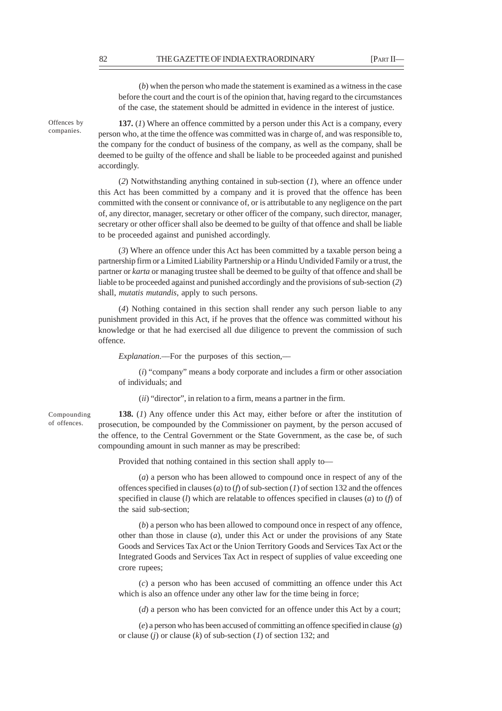(*b*) when the person who made the statement is examined as a witness in the case before the court and the court is of the opinion that, having regard to the circumstances of the case, the statement should be admitted in evidence in the interest of justice.

Offences by companies.

**137.** (*1*) Where an offence committed by a person under this Act is a company, every person who, at the time the offence was committed was in charge of, and was responsible to, the company for the conduct of business of the company, as well as the company, shall be deemed to be guilty of the offence and shall be liable to be proceeded against and punished accordingly.

(*2*) Notwithstanding anything contained in sub-section (*1*), where an offence under this Act has been committed by a company and it is proved that the offence has been committed with the consent or connivance of, or is attributable to any negligence on the part of, any director, manager, secretary or other officer of the company, such director, manager, secretary or other officer shall also be deemed to be guilty of that offence and shall be liable to be proceeded against and punished accordingly.

(*3*) Where an offence under this Act has been committed by a taxable person being a partnership firm or a Limited Liability Partnership or a Hindu Undivided Family or a trust, the partner or *karta* or managing trustee shall be deemed to be guilty of that offence and shall be liable to be proceeded against and punished accordingly and the provisions of sub-section (*2*) shall, *mutatis mutandis*, apply to such persons.

(*4*) Nothing contained in this section shall render any such person liable to any punishment provided in this Act, if he proves that the offence was committed without his knowledge or that he had exercised all due diligence to prevent the commission of such offence.

*Explanation*.—For the purposes of this section,—

(*i*) "company" means a body corporate and includes a firm or other association of individuals; and

(*ii*) "director", in relation to a firm, means a partner in the firm.

Compounding of offences.

**138.** (*1*) Any offence under this Act may, either before or after the institution of prosecution, be compounded by the Commissioner on payment, by the person accused of the offence, to the Central Government or the State Government, as the case be, of such compounding amount in such manner as may be prescribed:

Provided that nothing contained in this section shall apply to—

(*a*) a person who has been allowed to compound once in respect of any of the offences specified in clauses (*a*) to (*f*) of sub-section (*1*) of section 132 and the offences specified in clause (*l*) which are relatable to offences specified in clauses (*a*) to (*f*) of the said sub-section;

(*b*) a person who has been allowed to compound once in respect of any offence, other than those in clause (*a*), under this Act or under the provisions of any State Goods and Services Tax Act or the Union Territory Goods and Services Tax Act or the Integrated Goods and Services Tax Act in respect of supplies of value exceeding one crore rupees;

(*c*) a person who has been accused of committing an offence under this Act which is also an offence under any other law for the time being in force;

(*d*) a person who has been convicted for an offence under this Act by a court;

(*e*) a person who has been accused of committing an offence specified in clause (*g*) or clause (*j*) or clause (*k*) of sub-section (*1*) of section 132; and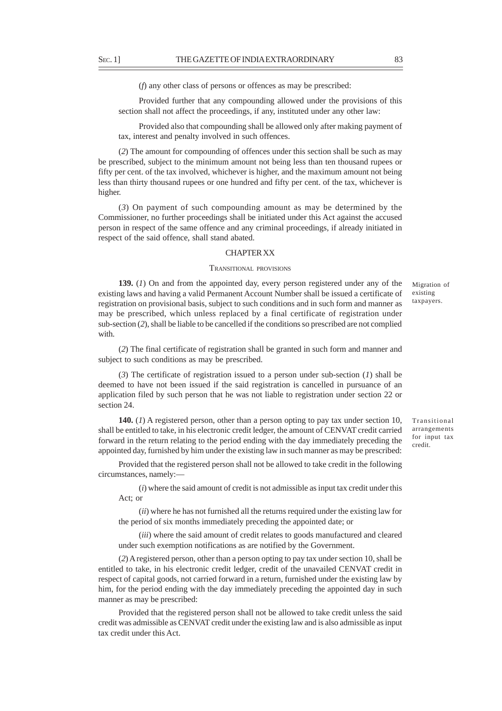(*f*) any other class of persons or offences as may be prescribed:

Provided further that any compounding allowed under the provisions of this section shall not affect the proceedings, if any, instituted under any other law:

Provided also that compounding shall be allowed only after making payment of tax, interest and penalty involved in such offences.

(*2*) The amount for compounding of offences under this section shall be such as may be prescribed, subject to the minimum amount not being less than ten thousand rupees or fifty per cent. of the tax involved, whichever is higher, and the maximum amount not being less than thirty thousand rupees or one hundred and fifty per cent. of the tax, whichever is higher.

(*3*) On payment of such compounding amount as may be determined by the Commissioner, no further proceedings shall be initiated under this Act against the accused person in respect of the same offence and any criminal proceedings, if already initiated in respect of the said offence, shall stand abated.

#### CHAPTER XX

## TRANSITIONAL PROVISIONS

**139.** (*1*) On and from the appointed day, every person registered under any of the existing laws and having a valid Permanent Account Number shall be issued a certificate of registration on provisional basis, subject to such conditions and in such form and manner as may be prescribed, which unless replaced by a final certificate of registration under sub-section (*2*), shall be liable to be cancelled if the conditions so prescribed are not complied with.

(*2*) The final certificate of registration shall be granted in such form and manner and subject to such conditions as may be prescribed.

(*3*) The certificate of registration issued to a person under sub-section (*1*) shall be deemed to have not been issued if the said registration is cancelled in pursuance of an application filed by such person that he was not liable to registration under section 22 or section 24.

**140.** (*1*) A registered person, other than a person opting to pay tax under section 10, shall be entitled to take, in his electronic credit ledger, the amount of CENVAT credit carried forward in the return relating to the period ending with the day immediately preceding the appointed day, furnished by him under the existing law in such manner as may be prescribed:

Provided that the registered person shall not be allowed to take credit in the following circumstances, namely:—

(*i*) where the said amount of credit is not admissible as input tax credit under this Act; or

(*ii*) where he has not furnished all the returns required under the existing law for the period of six months immediately preceding the appointed date; or

(*iii*) where the said amount of credit relates to goods manufactured and cleared under such exemption notifications as are notified by the Government.

(*2*) A registered person, other than a person opting to pay tax under section 10, shall be entitled to take, in his electronic credit ledger, credit of the unavailed CENVAT credit in respect of capital goods, not carried forward in a return, furnished under the existing law by him, for the period ending with the day immediately preceding the appointed day in such manner as may be prescribed:

Provided that the registered person shall not be allowed to take credit unless the said credit was admissible as CENVAT credit under the existing law and is also admissible as input tax credit under this Act.

Transitional arrangements for input tax credit.

Migration of existing taxpayers.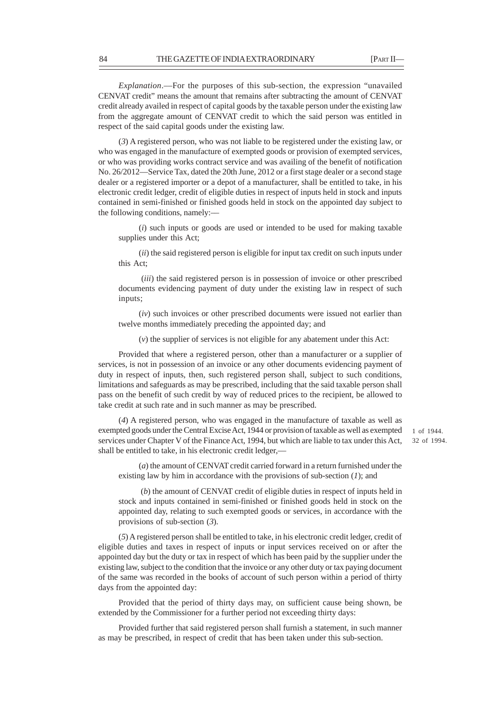32 of 1994.

*Explanation*.––For the purposes of this sub-section, the expression "unavailed CENVAT credit" means the amount that remains after subtracting the amount of CENVAT credit already availed in respect of capital goods by the taxable person under the existing law from the aggregate amount of CENVAT credit to which the said person was entitled in respect of the said capital goods under the existing law.

(*3*) A registered person, who was not liable to be registered under the existing law, or who was engaged in the manufacture of exempted goods or provision of exempted services, or who was providing works contract service and was availing of the benefit of notification No. 26/2012—Service Tax, dated the 20th June, 2012 or a first stage dealer or a second stage dealer or a registered importer or a depot of a manufacturer, shall be entitled to take, in his electronic credit ledger, credit of eligible duties in respect of inputs held in stock and inputs contained in semi-finished or finished goods held in stock on the appointed day subject to the following conditions, namely:––

(*i*) such inputs or goods are used or intended to be used for making taxable supplies under this Act;

(*ii*) the said registered person is eligible for input tax credit on such inputs under this Act;

 (*iii*) the said registered person is in possession of invoice or other prescribed documents evidencing payment of duty under the existing law in respect of such inputs;

(*iv*) such invoices or other prescribed documents were issued not earlier than twelve months immediately preceding the appointed day; and

(*v*) the supplier of services is not eligible for any abatement under this Act:

Provided that where a registered person, other than a manufacturer or a supplier of services, is not in possession of an invoice or any other documents evidencing payment of duty in respect of inputs, then, such registered person shall, subject to such conditions, limitations and safeguards as may be prescribed, including that the said taxable person shall pass on the benefit of such credit by way of reduced prices to the recipient, be allowed to take credit at such rate and in such manner as may be prescribed.

(*4*) A registered person, who was engaged in the manufacture of taxable as well as exempted goods under the Central Excise Act, 1944 or provision of taxable as well as exempted services under Chapter V of the Finance Act, 1994, but which are liable to tax under this Act, shall be entitled to take, in his electronic credit ledger,— 1 of 1944.

(*a*) the amount of CENVAT credit carried forward in a return furnished under the existing law by him in accordance with the provisions of sub-section (*1*); and

 (*b*) the amount of CENVAT credit of eligible duties in respect of inputs held in stock and inputs contained in semi-finished or finished goods held in stock on the appointed day, relating to such exempted goods or services, in accordance with the provisions of sub-section (*3*).

(*5*) A registered person shall be entitled to take, in his electronic credit ledger, credit of eligible duties and taxes in respect of inputs or input services received on or after the appointed day but the duty or tax in respect of which has been paid by the supplier under the existing law, subject to the condition that the invoice or any other duty or tax paying document of the same was recorded in the books of account of such person within a period of thirty days from the appointed day:

Provided that the period of thirty days may, on sufficient cause being shown, be extended by the Commissioner for a further period not exceeding thirty days:

Provided further that said registered person shall furnish a statement, in such manner as may be prescribed, in respect of credit that has been taken under this sub-section.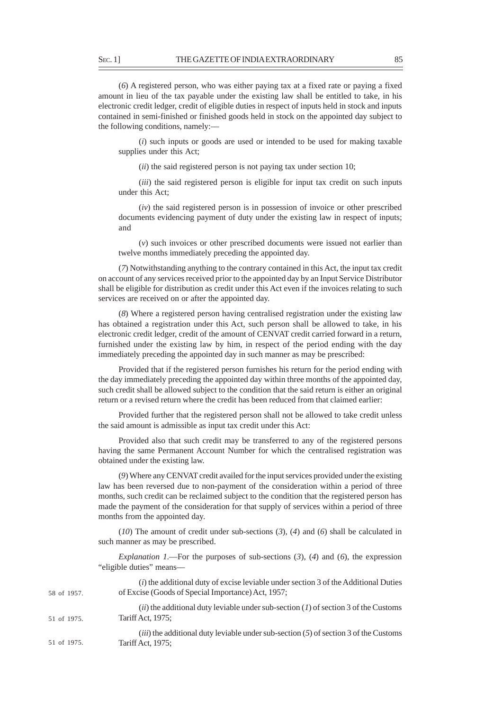(*6*) A registered person, who was either paying tax at a fixed rate or paying a fixed amount in lieu of the tax payable under the existing law shall be entitled to take, in his electronic credit ledger, credit of eligible duties in respect of inputs held in stock and inputs contained in semi-finished or finished goods held in stock on the appointed day subject to the following conditions, namely:––

(*i*) such inputs or goods are used or intended to be used for making taxable supplies under this Act;

(*ii*) the said registered person is not paying tax under section 10;

(*iii*) the said registered person is eligible for input tax credit on such inputs under this Act;

(*iv*) the said registered person is in possession of invoice or other prescribed documents evidencing payment of duty under the existing law in respect of inputs; and

(*v*) such invoices or other prescribed documents were issued not earlier than twelve months immediately preceding the appointed day.

(*7*) Notwithstanding anything to the contrary contained in this Act, the input tax credit on account of any services received prior to the appointed day by an Input Service Distributor shall be eligible for distribution as credit under this Act even if the invoices relating to such services are received on or after the appointed day.

(*8*) Where a registered person having centralised registration under the existing law has obtained a registration under this Act, such person shall be allowed to take, in his electronic credit ledger, credit of the amount of CENVAT credit carried forward in a return, furnished under the existing law by him, in respect of the period ending with the day immediately preceding the appointed day in such manner as may be prescribed:

Provided that if the registered person furnishes his return for the period ending with the day immediately preceding the appointed day within three months of the appointed day, such credit shall be allowed subject to the condition that the said return is either an original return or a revised return where the credit has been reduced from that claimed earlier:

Provided further that the registered person shall not be allowed to take credit unless the said amount is admissible as input tax credit under this Act:

Provided also that such credit may be transferred to any of the registered persons having the same Permanent Account Number for which the centralised registration was obtained under the existing law.

(*9*) Where any CENVAT credit availed for the input services provided under the existing law has been reversed due to non-payment of the consideration within a period of three months, such credit can be reclaimed subject to the condition that the registered person has made the payment of the consideration for that supply of services within a period of three months from the appointed day.

(*10*) The amount of credit under sub-sections (*3*), (*4*) and (*6*) shall be calculated in such manner as may be prescribed.

*Explanation 1*.—For the purposes of sub-sections (*3*), (*4*) and (*6*), the expression "eligible duties" means––

| 58 of 1957. | ( <i>i</i> ) the additional duty of excise leviable under section 3 of the Additional Duties<br>of Excise (Goods of Special Importance) Act, 1957; |
|-------------|----------------------------------------------------------------------------------------------------------------------------------------------------|
| 51 of 1975. | ( <i>ii</i> ) the additional duty leviable under sub-section ( <i>l</i> ) of section 3 of the Customs<br>Tariff Act, 1975;                         |
| 51 of 1975. | <i>(iii)</i> the additional duty leviable under sub-section $(5)$ of section 3 of the Customs<br>Tariff Act, 1975;                                 |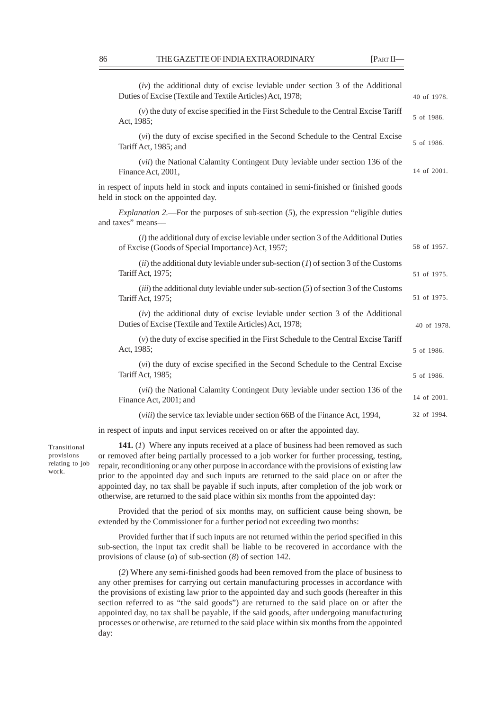|                                                                                                                                   | $(iv)$ the additional duty of excise leviable under section 3 of the Additional<br>Duties of Excise (Textile and Textile Articles) Act, 1978;              | 40 of 1978. |  |
|-----------------------------------------------------------------------------------------------------------------------------------|------------------------------------------------------------------------------------------------------------------------------------------------------------|-------------|--|
|                                                                                                                                   | $(v)$ the duty of excise specified in the First Schedule to the Central Excise Tariff<br>Act, 1985;                                                        | 5 of 1986.  |  |
|                                                                                                                                   | (vi) the duty of excise specified in the Second Schedule to the Central Excise<br>Tariff Act, 1985; and                                                    | 5 of 1986.  |  |
|                                                                                                                                   | ( <i>vii</i> ) the National Calamity Contingent Duty leviable under section 136 of the<br>Finance Act, 2001,                                               | 14 of 2001. |  |
| in respect of inputs held in stock and inputs contained in semi-finished or finished goods<br>held in stock on the appointed day. |                                                                                                                                                            |             |  |
|                                                                                                                                   | <i>Explanation 2.</i> —For the purposes of sub-section $(5)$ , the expression "eligible duties<br>and taxes" means-                                        |             |  |
|                                                                                                                                   | $(i)$ the additional duty of excise leviable under section 3 of the Additional Duties<br>of Excise (Goods of Special Importance) Act, 1957;                | 58 of 1957. |  |
|                                                                                                                                   | $(ii)$ the additional duty leviable under sub-section (1) of section 3 of the Customs<br>Tariff Act, 1975;                                                 | 51 of 1975. |  |
|                                                                                                                                   | $(iii)$ the additional duty leviable under sub-section (5) of section 3 of the Customs<br>Tariff Act, 1975;                                                | 51 of 1975. |  |
|                                                                                                                                   | $(iv)$ the additional duty of excise leviable under section 3 of the Additional<br>Duties of Excise (Textile and Textile Articles) Act, 1978;              | 40 of 1978. |  |
|                                                                                                                                   | $(v)$ the duty of excise specified in the First Schedule to the Central Excise Tariff<br>Act, 1985;                                                        | 5 of 1986.  |  |
|                                                                                                                                   | (vi) the duty of excise specified in the Second Schedule to the Central Excise<br>Tariff Act, 1985;                                                        | 5 of 1986.  |  |
|                                                                                                                                   | ( <i>vii</i> ) the National Calamity Contingent Duty leviable under section 136 of the<br>Finance Act, 2001; and                                           | 14 of 2001. |  |
|                                                                                                                                   | ( <i>viii</i> ) the service tax leviable under section 66B of the Finance Act, 1994,                                                                       | 32 of 1994. |  |
|                                                                                                                                   | $\mathcal{A}$ is $\mathcal{C}$ then a second theory are constructed in the second $\mathcal{C}$ and $\mathcal{C}$ and $\mathcal{C}$ are constructed in the |             |  |

in respect of inputs and input services received on or after the appointed day.

Transitional provisions relating to job work.

**141.** (*1*) Where any inputs received at a place of business had been removed as such or removed after being partially processed to a job worker for further processing, testing, repair, reconditioning or any other purpose in accordance with the provisions of existing law prior to the appointed day and such inputs are returned to the said place on or after the appointed day, no tax shall be payable if such inputs, after completion of the job work or otherwise, are returned to the said place within six months from the appointed day:

Provided that the period of six months may, on sufficient cause being shown, be extended by the Commissioner for a further period not exceeding two months:

Provided further that if such inputs are not returned within the period specified in this sub-section, the input tax credit shall be liable to be recovered in accordance with the provisions of clause (*a*) of sub-section (*8*) of section 142.

(*2*) Where any semi-finished goods had been removed from the place of business to any other premises for carrying out certain manufacturing processes in accordance with the provisions of existing law prior to the appointed day and such goods (hereafter in this section referred to as "the said goods") are returned to the said place on or after the appointed day, no tax shall be payable, if the said goods, after undergoing manufacturing processes or otherwise, are returned to the said place within six months from the appointed day: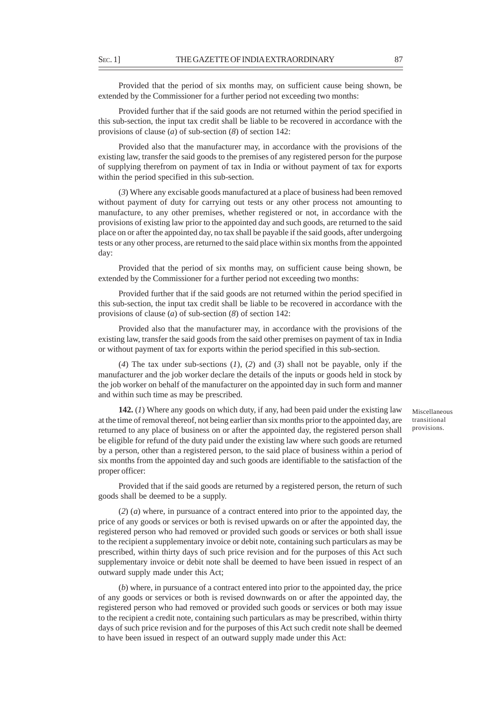Provided that the period of six months may, on sufficient cause being shown, be extended by the Commissioner for a further period not exceeding two months:

Provided further that if the said goods are not returned within the period specified in this sub-section, the input tax credit shall be liable to be recovered in accordance with the provisions of clause (*a*) of sub-section (*8*) of section 142:

Provided also that the manufacturer may, in accordance with the provisions of the existing law, transfer the said goods to the premises of any registered person for the purpose of supplying therefrom on payment of tax in India or without payment of tax for exports within the period specified in this sub-section.

(*3*) Where any excisable goods manufactured at a place of business had been removed without payment of duty for carrying out tests or any other process not amounting to manufacture, to any other premises, whether registered or not, in accordance with the provisions of existing law prior to the appointed day and such goods, are returned to the said place on or after the appointed day, no tax shall be payable if the said goods, after undergoing tests or any other process, are returned to the said place within six months from the appointed day:

Provided that the period of six months may, on sufficient cause being shown, be extended by the Commissioner for a further period not exceeding two months:

Provided further that if the said goods are not returned within the period specified in this sub-section, the input tax credit shall be liable to be recovered in accordance with the provisions of clause (*a*) of sub-section (*8*) of section 142:

Provided also that the manufacturer may, in accordance with the provisions of the existing law, transfer the said goods from the said other premises on payment of tax in India or without payment of tax for exports within the period specified in this sub-section.

(*4*) The tax under sub-sections (*1*), (*2*) and (*3*) shall not be payable, only if the manufacturer and the job worker declare the details of the inputs or goods held in stock by the job worker on behalf of the manufacturer on the appointed day in such form and manner and within such time as may be prescribed.

**142.** (*1*) Where any goods on which duty, if any, had been paid under the existing law at the time of removal thereof, not being earlier than six months prior to the appointed day, are returned to any place of business on or after the appointed day, the registered person shall be eligible for refund of the duty paid under the existing law where such goods are returned by a person, other than a registered person, to the said place of business within a period of six months from the appointed day and such goods are identifiable to the satisfaction of the proper officer:

Provided that if the said goods are returned by a registered person, the return of such goods shall be deemed to be a supply.

(*2*) (*a*) where, in pursuance of a contract entered into prior to the appointed day, the price of any goods or services or both is revised upwards on or after the appointed day, the registered person who had removed or provided such goods or services or both shall issue to the recipient a supplementary invoice or debit note, containing such particulars as may be prescribed, within thirty days of such price revision and for the purposes of this Act such supplementary invoice or debit note shall be deemed to have been issued in respect of an outward supply made under this Act;

(*b*) where, in pursuance of a contract entered into prior to the appointed day, the price of any goods or services or both is revised downwards on or after the appointed day, the registered person who had removed or provided such goods or services or both may issue to the recipient a credit note, containing such particulars as may be prescribed, within thirty days of such price revision and for the purposes of this Act such credit note shall be deemed to have been issued in respect of an outward supply made under this Act:

Miscellaneous transitional provisions.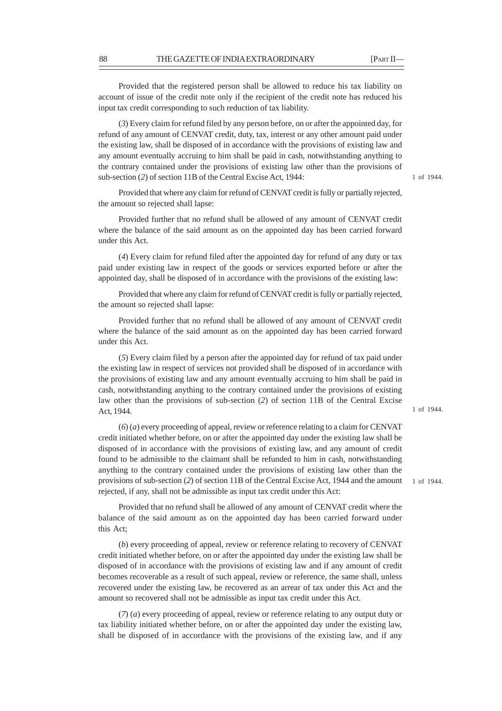Provided that the registered person shall be allowed to reduce his tax liability on account of issue of the credit note only if the recipient of the credit note has reduced his input tax credit corresponding to such reduction of tax liability.

(*3*) Every claim for refund filed by any person before*,* on or after the appointed day, for refund of any amount of CENVAT credit, duty, tax, interest or any other amount paid under the existing law, shall be disposed of in accordance with the provisions of existing law and any amount eventually accruing to him shall be paid in cash, notwithstanding anything to the contrary contained under the provisions of existing law other than the provisions of sub-section (*2*) of section 11B of the Central Excise Act, 1944:

1 of 1944.

1 of 1944.

1 of 1944.

Provided that where any claim for refund of CENVAT credit is fully or partially rejected, the amount so rejected shall lapse:

Provided further that no refund shall be allowed of any amount of CENVAT credit where the balance of the said amount as on the appointed day has been carried forward under this Act.

(*4*) Every claim for refund filed after the appointed day for refund of any duty or tax paid under existing law in respect of the goods or services exported before or after the appointed day, shall be disposed of in accordance with the provisions of the existing law:

Provided that where any claim for refund of CENVAT credit is fully or partially rejected, the amount so rejected shall lapse:

Provided further that no refund shall be allowed of any amount of CENVAT credit where the balance of the said amount as on the appointed day has been carried forward under this Act.

(*5*) Every claim filed by a person after the appointed day for refund of tax paid under the existing law in respect of services not provided shall be disposed of in accordance with the provisions of existing law and any amount eventually accruing to him shall be paid in cash, notwithstanding anything to the contrary contained under the provisions of existing law other than the provisions of sub-section (*2*) of section 11B of the Central Excise Act, 1944.

(*6*) (*a*) every proceeding of appeal, review or reference relating to a claim for CENVAT credit initiated whether before, on or after the appointed day under the existing law shall be disposed of in accordance with the provisions of existing law, and any amount of credit found to be admissible to the claimant shall be refunded to him in cash, notwithstanding anything to the contrary contained under the provisions of existing law other than the provisions of sub-section (*2*) of section 11B of the Central Excise Act, 1944 and the amount rejected, if any, shall not be admissible as input tax credit under this Act:

Provided that no refund shall be allowed of any amount of CENVAT credit where the balance of the said amount as on the appointed day has been carried forward under this Act;

(*b*) every proceeding of appeal, review or reference relating to recovery of CENVAT credit initiated whether before, on or after the appointed day under the existing law shall be disposed of in accordance with the provisions of existing law and if any amount of credit becomes recoverable as a result of such appeal, review or reference, the same shall, unless recovered under the existing law, be recovered as an arrear of tax under this Act and the amount so recovered shall not be admissible as input tax credit under this Act.

(*7*) (*a*) every proceeding of appeal, review or reference relating to any output duty or tax liability initiated whether before, on or after the appointed day under the existing law, shall be disposed of in accordance with the provisions of the existing law, and if any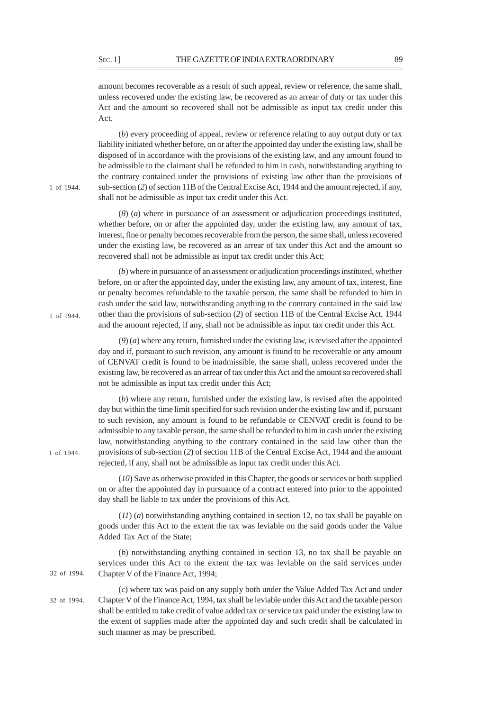amount becomes recoverable as a result of such appeal, review or reference, the same shall, unless recovered under the existing law, be recovered as an arrear of duty or tax under this Act and the amount so recovered shall not be admissible as input tax credit under this Act.

(*b*) every proceeding of appeal, review or reference relating to any output duty or tax liability initiated whether before, on or after the appointed day under the existing law, shall be disposed of in accordance with the provisions of the existing law, and any amount found to be admissible to the claimant shall be refunded to him in cash, notwithstanding anything to the contrary contained under the provisions of existing law other than the provisions of sub-section (*2*) of section 11B of the Central Excise Act, 1944 and the amount rejected, if any, shall not be admissible as input tax credit under this Act.

(*8*) (*a*) where in pursuance of an assessment or adjudication proceedings instituted, whether before, on or after the appointed day, under the existing law, any amount of tax, interest, fine or penalty becomes recoverable from the person, the same shall, unless recovered under the existing law, be recovered as an arrear of tax under this Act and the amount so recovered shall not be admissible as input tax credit under this Act;

(*b*) where in pursuance of an assessment or adjudication proceedings instituted, whether before, on or after the appointed day, under the existing law, any amount of tax, interest, fine or penalty becomes refundable to the taxable person, the same shall be refunded to him in cash under the said law, notwithstanding anything to the contrary contained in the said law other than the provisions of sub-section (*2*) of section 11B of the Central Excise Act, 1944 and the amount rejected, if any, shall not be admissible as input tax credit under this Act.

(*9*) (*a*) where any return, furnished under the existing law, is revised after the appointed day and if, pursuant to such revision, any amount is found to be recoverable or any amount of CENVAT credit is found to be inadmissible, the same shall, unless recovered under the existing law, be recovered as an arrear of tax under this Act and the amount so recovered shall not be admissible as input tax credit under this Act;

(*b*) where any return, furnished under the existing law, is revised after the appointed day but within the time limit specified for such revision under the existing law and if, pursuant to such revision, any amount is found to be refundable or CENVAT credit is found to be admissible to any taxable person, the same shall be refunded to him in cash under the existing law, notwithstanding anything to the contrary contained in the said law other than the provisions of sub-section (*2*) of section 11B of the Central Excise Act, 1944 and the amount rejected, if any, shall not be admissible as input tax credit under this Act.

(*10*) Save as otherwise provided in this Chapter, the goods or services or both supplied on or after the appointed day in pursuance of a contract entered into prior to the appointed day shall be liable to tax under the provisions of this Act.

(*11*) (*a*) notwithstanding anything contained in section 12, no tax shall be payable on goods under this Act to the extent the tax was leviable on the said goods under the Value Added Tax Act of the State;

(*b*) notwithstanding anything contained in section 13, no tax shall be payable on services under this Act to the extent the tax was leviable on the said services under Chapter V of the Finance Act, 1994; 32 of 1994.

> (*c*) where tax was paid on any supply both under the Value Added Tax Act and under Chapter V of the Finance Act, 1994, tax shall be leviable under this Act and the taxable person shall be entitled to take credit of value added tax or service tax paid under the existing law to the extent of supplies made after the appointed day and such credit shall be calculated in such manner as may be prescribed.

1 of 1944.

1 of 1944.

32 of 1994.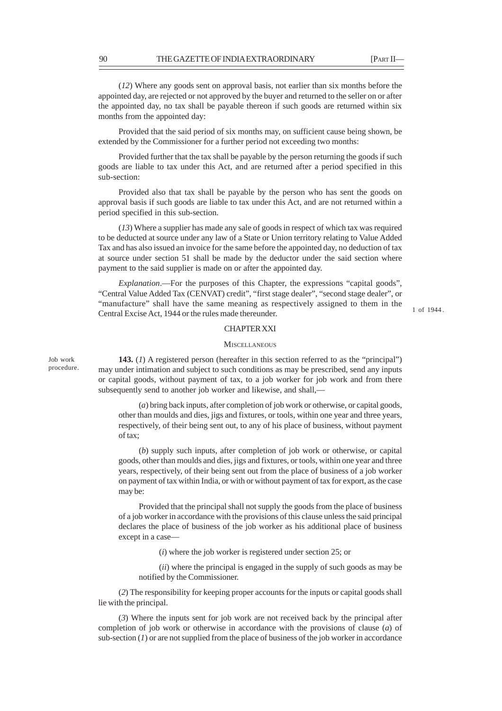(*12*) Where any goods sent on approval basis, not earlier than six months before the appointed day, are rejected or not approved by the buyer and returned to the seller on or after the appointed day, no tax shall be payable thereon if such goods are returned within six months from the appointed day:

Provided that the said period of six months may, on sufficient cause being shown, be extended by the Commissioner for a further period not exceeding two months:

Provided further that the tax shall be payable by the person returning the goods if such goods are liable to tax under this Act, and are returned after a period specified in this sub-section:

Provided also that tax shall be payable by the person who has sent the goods on approval basis if such goods are liable to tax under this Act, and are not returned within a period specified in this sub-section.

(*13*) Where a supplier has made any sale of goods in respect of which tax was required to be deducted at source under any law of a State or Union territory relating to Value Added Tax and has also issued an invoice for the same before the appointed day, no deduction of tax at source under section 51 shall be made by the deductor under the said section where payment to the said supplier is made on or after the appointed day.

*Explanation*.––For the purposes of this Chapter, the expressions "capital goods", "Central Value Added Tax (CENVAT) credit", "first stage dealer", "second stage dealer", or "manufacture" shall have the same meaning as respectively assigned to them in the Central Excise Act, 1944 or the rules made thereunder.

## CHAPTER XXI

### **MISCELLANEOUS**

**143.** (*1*) A registered person (hereafter in this section referred to as the "principal") may under intimation and subject to such conditions as may be prescribed, send any inputs or capital goods, without payment of tax, to a job worker for job work and from there subsequently send to another job worker and likewise, and shall,––

(*a*) bring back inputs, after completion of job work or otherwise, or capital goods, other than moulds and dies, jigs and fixtures, or tools, within one year and three years, respectively, of their being sent out, to any of his place of business, without payment of tax;

(*b*) supply such inputs, after completion of job work or otherwise, or capital goods, other than moulds and dies, jigs and fixtures, or tools, within one year and three years, respectively, of their being sent out from the place of business of a job worker on payment of tax within India, or with or without payment of tax for export, as the case may be:

Provided that the principal shall not supply the goods from the place of business of a job worker in accordance with the provisions of this clause unless the said principal declares the place of business of the job worker as his additional place of business except in a case—

(*i*) where the job worker is registered under section 25; or

(*ii*) where the principal is engaged in the supply of such goods as may be notified by the Commissioner.

(*2*) The responsibility for keeping proper accounts for the inputs or capital goods shall lie with the principal.

(*3*) Where the inputs sent for job work are not received back by the principal after completion of job work or otherwise in accordance with the provisions of clause (*a*) of sub-section  $(I)$  or are not supplied from the place of business of the job worker in accordance

Job work procedure. 1 of 1944 .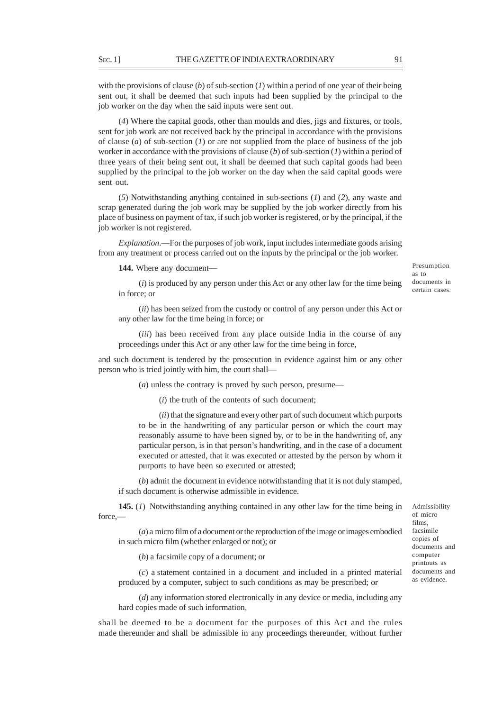with the provisions of clause (*b*) of sub-section (*1*) within a period of one year of their being sent out, it shall be deemed that such inputs had been supplied by the principal to the job worker on the day when the said inputs were sent out.

(*4*) Where the capital goods, other than moulds and dies, jigs and fixtures, or tools, sent for job work are not received back by the principal in accordance with the provisions of clause (*a*) of sub-section (*I*) or are not supplied from the place of business of the job worker in accordance with the provisions of clause (*b*) of sub-section (*1*) within a period of three years of their being sent out, it shall be deemed that such capital goods had been supplied by the principal to the job worker on the day when the said capital goods were sent out.

(*5*) Notwithstanding anything contained in sub-sections (*1*) and (*2*), any waste and scrap generated during the job work may be supplied by the job worker directly from his place of business on payment of tax, if such job worker is registered, or by the principal, if the job worker is not registered.

*Explanation*.––For the purposes of job work, input includes intermediate goods arising from any treatment or process carried out on the inputs by the principal or the job worker.

144. Where any document—

Presumption as to documents in certain cases.

(*i*) is produced by any person under this Act or any other law for the time being in force; or

(*ii*) has been seized from the custody or control of any person under this Act or any other law for the time being in force; or

(*iii*) has been received from any place outside India in the course of any proceedings under this Act or any other law for the time being in force,

and such document is tendered by the prosecution in evidence against him or any other person who is tried jointly with him, the court shall—

(*a*) unless the contrary is proved by such person, presume—

(*i*) the truth of the contents of such document;

(*ii*) that the signature and every other part of such document which purports to be in the handwriting of any particular person or which the court may reasonably assume to have been signed by, or to be in the handwriting of, any particular person, is in that person's handwriting, and in the case of a document executed or attested, that it was executed or attested by the person by whom it purports to have been so executed or attested;

(*b*) admit the document in evidence notwithstanding that it is not duly stamped, if such document is otherwise admissible in evidence.

**145.** (*1*) Notwithstanding anything contained in any other law for the time being in force,—

(*a*) a micro film of a document or the reproduction of the image or images embodied in such micro film (whether enlarged or not); or

(*b*) a facsimile copy of a document; or

(*c*) a statement contained in a document and included in a printed material produced by a computer, subject to such conditions as may be prescribed; or

(*d*) any information stored electronically in any device or media, including any hard copies made of such information,

shall be deemed to be a document for the purposes of this Act and the rules made thereunder and shall be admissible in any proceedings thereunder, without further Admissibility of micro films, facsimile copies of documents and computer printouts as documents and as evidence.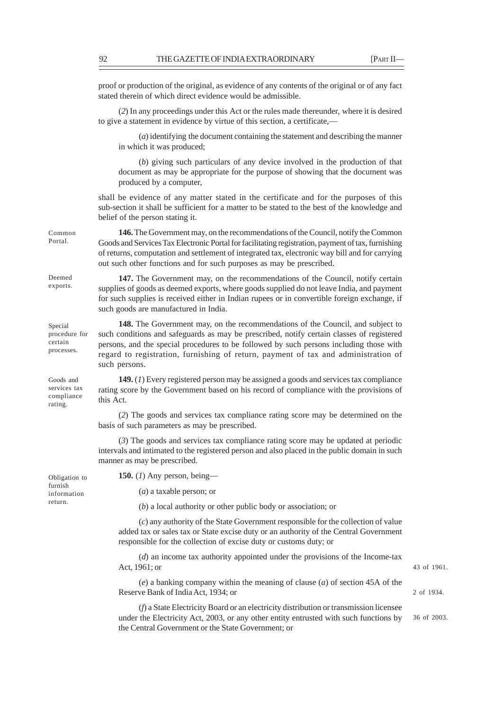proof or production of the original, as evidence of any contents of the original or of any fact stated therein of which direct evidence would be admissible.

(*2*) In any proceedings under this Act or the rules made thereunder, where it is desired to give a statement in evidence by virtue of this section, a certificate,-

(*a*) identifying the document containing the statement and describing the manner in which it was produced;

(*b*) giving such particulars of any device involved in the production of that document as may be appropriate for the purpose of showing that the document was produced by a computer,

shall be evidence of any matter stated in the certificate and for the purposes of this sub-section it shall be sufficient for a matter to be stated to the best of the knowledge and belief of the person stating it.

**146.** The Government may, on the recommendations of the Council, notify the Common Goods and Services Tax Electronic Portal for facilitating registration, payment of tax, furnishing of returns, computation and settlement of integrated tax, electronic way bill and for carrying out such other functions and for such purposes as may be prescribed.

**147.** The Government may, on the recommendations of the Council, notify certain supplies of goods as deemed exports, where goods supplied do not leave India, and payment for such supplies is received either in Indian rupees or in convertible foreign exchange, if such goods are manufactured in India.

**148.** The Government may, on the recommendations of the Council, and subject to such conditions and safeguards as may be prescribed, notify certain classes of registered persons, and the special procedures to be followed by such persons including those with regard to registration, furnishing of return, payment of tax and administration of such persons. procedure for

> **149.** (*1*) Every registered person may be assigned a goods and services tax compliance rating score by the Government based on his record of compliance with the provisions of this Act.

(*2*) The goods and services tax compliance rating score may be determined on the basis of such parameters as may be prescribed.

(*3*) The goods and services tax compliance rating score may be updated at periodic intervals and intimated to the registered person and also placed in the public domain in such manner as may be prescribed.

Obligation to furnish information return.

Common Portal.

Deemed exports.

Special

certain processes.

Goods and services tax compliance rating.

(*a*) a taxable person; or

**150.** (*1*) Any person, being—

(*b*) a local authority or other public body or association; or

(*c*) any authority of the State Government responsible for the collection of value added tax or sales tax or State excise duty or an authority of the Central Government responsible for the collection of excise duty or customs duty; or

(*d*) an income tax authority appointed under the provisions of the Income-tax Act, 1961; or

(*e*) a banking company within the meaning of clause (*a*) of section 45A of the Reserve Bank of India Act, 1934; or

(*f*) a State Electricity Board or an electricity distribution or transmission licensee under the Electricity Act, 2003, or any other entity entrusted with such functions by the Central Government or the State Government; or

43 of 1961.

2 of 1934.

36 of 2003.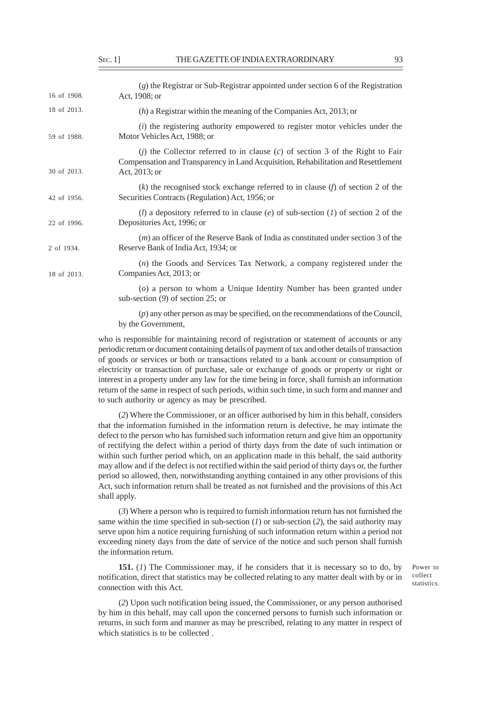| 16 of 1908. | $(g)$ the Registrar or Sub-Registrar appointed under section 6 of the Registration                                                                                                                     |
|-------------|--------------------------------------------------------------------------------------------------------------------------------------------------------------------------------------------------------|
|             | Act, 1908; or                                                                                                                                                                                          |
| 18 of 2013. | $(h)$ a Registrar within the meaning of the Companies Act, 2013; or                                                                                                                                    |
| 59 of 1988. | ( <i>i</i> ) the registering authority empowered to register motor vehicles under the<br>Motor Vehicles Act, 1988; or                                                                                  |
| 30 of 2013. | ( <i>j</i> ) the Collector referred to in clause ( <i>c</i> ) of section 3 of the Right to Fair<br>Compensation and Transparency in Land Acquisition, Rehabilitation and Resettlement<br>Act, 2013; or |
| 42 of 1956. | $(k)$ the recognised stock exchange referred to in clause $(f)$ of section 2 of the<br>Securities Contracts (Regulation) Act, 1956; or                                                                 |
| 22 of 1996. | ( <i>l</i> ) a depository referred to in clause ( <i>e</i> ) of sub-section ( <i>l</i> ) of section 2 of the<br>Depositories Act, 1996; or                                                             |
| 2 of 1934.  | $(m)$ an officer of the Reserve Bank of India as constituted under section 3 of the<br>Reserve Bank of India Act, 1934; or                                                                             |
| 18 of 2013. | $(n)$ the Goods and Services Tax Network, a company registered under the<br>Companies Act, 2013; or                                                                                                    |
|             | (o) a person to whom a Unique Identity Number has been granted under<br>sub-section $(9)$ of section 25; or                                                                                            |
|             | $(p)$ any other person as may be specified, on the recommendations of the Council,<br>by the Government,                                                                                               |

who is responsible for maintaining record of registration or statement of accounts or any periodic return or document containing details of payment of tax and other details of transaction of goods or services or both or transactions related to a bank account or consumption of electricity or transaction of purchase, sale or exchange of goods or property or right or interest in a property under any law for the time being in force, shall furnish an information return of the same in respect of such periods, within such time, in such form and manner and to such authority or agency as may be prescribed.

(*2*) Where the Commissioner, or an officer authorised by him in this behalf, considers that the information furnished in the information return is defective, he may intimate the defect to the person who has furnished such information return and give him an opportunity of rectifying the defect within a period of thirty days from the date of such intimation or within such further period which, on an application made in this behalf, the said authority may allow and if the defect is not rectified within the said period of thirty days or, the further period so allowed, then, notwithstanding anything contained in any other provisions of this Act, such information return shall be treated as not furnished and the provisions of this Act shall apply.

(*3*) Where a person who is required to furnish information return has not furnished the same within the time specified in sub-section (*1*) or sub-section (*2*), the said authority may serve upon him a notice requiring furnishing of such information return within a period not exceeding ninety days from the date of service of the notice and such person shall furnish the information return.

**151.** (*1*) The Commissioner may, if he considers that it is necessary so to do, by notification, direct that statistics may be collected relating to any matter dealt with by or in connection with this Act.

Power to collect statistics.

(*2*) Upon such notification being issued, the Commissioner, or any person authorised by him in this behalf, may call upon the concerned persons to furnish such information or returns, in such form and manner as may be prescribed, relating to any matter in respect of which statistics is to be collected .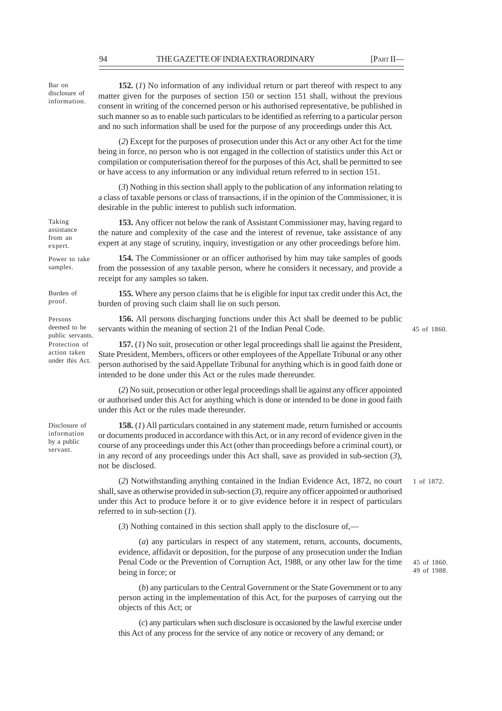Bar on disclosure of information.

**152.** (*1*) No information of any individual return or part thereof with respect to any matter given for the purposes of section 150 or section 151 shall, without the previous consent in writing of the concerned person or his authorised representative, be published in such manner so as to enable such particulars to be identified as referring to a particular person and no such information shall be used for the purpose of any proceedings under this Act.

(*2*) Except for the purposes of prosecution under this Act or any other Act for the time being in force, no person who is not engaged in the collection of statistics under this Act or compilation or computerisation thereof for the purposes of this Act, shall be permitted to see or have access to any information or any individual return referred to in section 151.

(*3*) Nothing in this section shall apply to the publication of any information relating to a class of taxable persons or class of transactions, if in the opinion of the Commissioner, it is desirable in the public interest to publish such information.

**153.** Any officer not below the rank of Assistant Commissioner may, having regard to the nature and complexity of the case and the interest of revenue, take assistance of any expert at any stage of scrutiny, inquiry, investigation or any other proceedings before him.

Power to take samples.

Burden of proof.

Persons deemed to be public servants. Protection of action taken under this Act.

Taking assistance from an expert.

> **154.** The Commissioner or an officer authorised by him may take samples of goods from the possession of any taxable person, where he considers it necessary, and provide a receipt for any samples so taken.

**155.** Where any person claims that he is eligible for input tax credit under this Act, the burden of proving such claim shall lie on such person.

**156.** All persons discharging functions under this Act shall be deemed to be public servants within the meaning of section 21 of the Indian Penal Code.

45 of 1860.

**157.** (*1*) No suit, prosecution or other legal proceedings shall lie against the President, State President, Members, officers or other employees of the Appellate Tribunal or any other person authorised by the said Appellate Tribunal for anything which is in good faith done or intended to be done under this Act or the rules made thereunder.

(*2*) No suit, prosecution or other legal proceedings shall lie against any officer appointed or authorised under this Act for anything which is done or intended to be done in good faith under this Act or the rules made thereunder.

Disclosure of information by a public servant.

**158.** (*1*) All particulars contained in any statement made, return furnished or accounts or documents produced in accordance with this Act, or in any record of evidence given in the course of any proceedings under this Act (other than proceedings before a criminal court), or in any record of any proceedings under this Act shall, save as provided in sub-section (*3*), not be disclosed.

(*2*) Notwithstanding anything contained in the Indian Evidence Act, 1872, no court shall, save as otherwise provided in sub-section (*3*), require any officer appointed or authorised under this Act to produce before it or to give evidence before it in respect of particulars referred to in sub-section (*1*). 1 of 1872.

(*3*) Nothing contained in this section shall apply to the disclosure of,––

(*a*) any particulars in respect of any statement, return, accounts, documents, evidence, affidavit or deposition, for the purpose of any prosecution under the Indian Penal Code or the Prevention of Corruption Act, 1988, or any other law for the time being in force; or

(*b*) any particulars to the Central Government or the State Government or to any person acting in the implementation of this Act, for the purposes of carrying out the objects of this Act; or

(*c*) any particulars when such disclosure is occasioned by the lawful exercise under this Act of any process for the service of any notice or recovery of any demand; or

45 of 1860. 49 of 1988.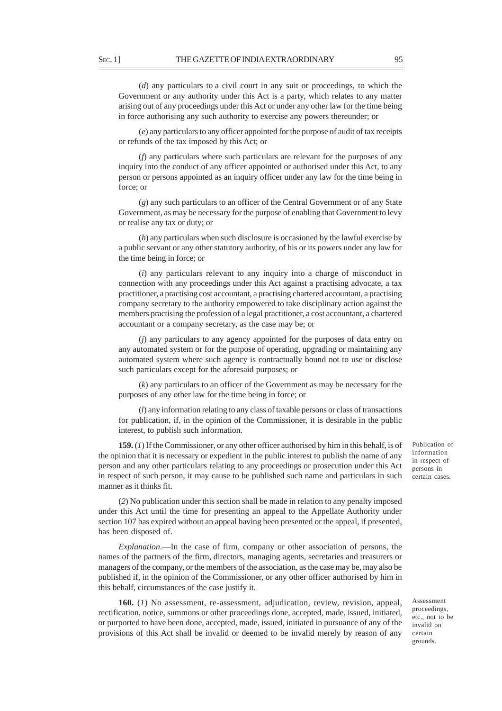(*d*) any particulars to a civil court in any suit or proceedings, to which the Government or any authority under this Act is a party, which relates to any matter arising out of any proceedings under this Act or under any other law for the time being in force authorising any such authority to exercise any powers thereunder; or

(*e*) any particulars to any officer appointed for the purpose of audit of tax receipts or refunds of the tax imposed by this Act; or

(*f*) any particulars where such particulars are relevant for the purposes of any inquiry into the conduct of any officer appointed or authorised under this Act, to any person or persons appointed as an inquiry officer under any law for the time being in force; or

(*g*) any such particulars to an officer of the Central Government or of any State Government, as may be necessary for the purpose of enabling that Government to levy or realise any tax or duty; or

(*h*) any particulars when such disclosure is occasioned by the lawful exercise by a public servant or any other statutory authority, of his or its powers under any law for the time being in force; or

(*i*) any particulars relevant to any inquiry into a charge of misconduct in connection with any proceedings under this Act against a practising advocate, a tax practitioner, a practising cost accountant, a practising chartered accountant, a practising company secretary to the authority empowered to take disciplinary action against the members practising the profession of a legal practitioner, a cost accountant, a chartered accountant or a company secretary, as the case may be; or

(*j*) any particulars to any agency appointed for the purposes of data entry on any automated system or for the purpose of operating, upgrading or maintaining any automated system where such agency is contractually bound not to use or disclose such particulars except for the aforesaid purposes; or

(*k*) any particulars to an officer of the Government as may be necessary for the purposes of any other law for the time being in force; or

(*l*) any information relating to any class of taxable persons or class of transactions for publication, if, in the opinion of the Commissioner, it is desirable in the public interest, to publish such information.

**159.** (*1*) If the Commissioner, or any other officer authorised by him in this behalf, is of the opinion that it is necessary or expedient in the public interest to publish the name of any person and any other particulars relating to any proceedings or prosecution under this Act in respect of such person, it may cause to be published such name and particulars in such manner as it thinks fit.

(*2*) No publication under this section shall be made in relation to any penalty imposed under this Act until the time for presenting an appeal to the Appellate Authority under section 107 has expired without an appeal having been presented or the appeal, if presented, has been disposed of.

*Explanation*.––In the case of firm, company or other association of persons, the names of the partners of the firm, directors, managing agents, secretaries and treasurers or managers of the company, or the members of the association, as the case may be, may also be published if, in the opinion of the Commissioner, or any other officer authorised by him in this behalf, circumstances of the case justify it.

**160.** (*1*) No assessment, re-assessment, adjudication, review, revision, appeal, rectification, notice, summons or other proceedings done, accepted, made, issued, initiated, or purported to have been done, accepted, made, issued, initiated in pursuance of any of the provisions of this Act shall be invalid or deemed to be invalid merely by reason of any

Assessment proceedings, etc., not to be invalid on certain grounds.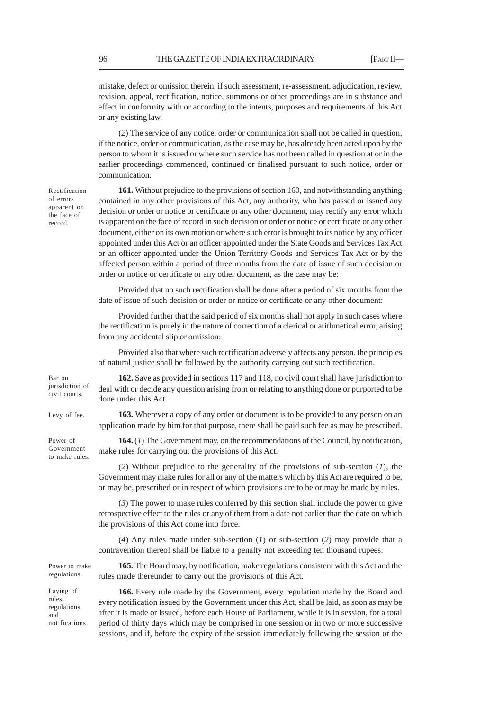mistake, defect or omission therein, if such assessment, re-assessment, adjudication, review, revision, appeal, rectification, notice, summons or other proceedings are in substance and effect in conformity with or according to the intents, purposes and requirements of this Act or any existing law.

(*2*) The service of any notice, order or communication shall not be called in question, if the notice, order or communication, as the case may be, has already been acted upon by the person to whom it is issued or where such service has not been called in question at or in the earlier proceedings commenced, continued or finalised pursuant to such notice, order or communication.

Rectification of errors apparent on the face of record.

**161.** Without prejudice to the provisions of section 160, and notwithstanding anything contained in any other provisions of this Act, any authority, who has passed or issued any decision or order or notice or certificate or any other document, may rectify any error which is apparent on the face of record in such decision or order or notice or certificate or any other document, either on its own motion or where such error is brought to its notice by any officer appointed under this Act or an officer appointed under the State Goods and Services Tax Act or an officer appointed under the Union Territory Goods and Services Tax Act or by the affected person within a period of three months from the date of issue of such decision or order or notice or certificate or any other document, as the case may be:

Provided that no such rectification shall be done after a period of six months from the date of issue of such decision or order or notice or certificate or any other document:

Provided further that the said period of six months shall not apply in such cases where the rectification is purely in the nature of correction of a clerical or arithmetical error, arising from any accidental slip or omission:

Provided also that where such rectification adversely affects any person, the principles of natural justice shall be followed by the authority carrying out such rectification.

Bar on jurisdiction of civil courts.

Levy of fee.

Power of Government to make rules.

regulations.

Laying of rules, regulations and

**162.** Save as provided in sections 117 and 118, no civil court shall have jurisdiction to deal with or decide any question arising from or relating to anything done or purported to be done under this Act.

**163.** Wherever a copy of any order or document is to be provided to any person on an application made by him for that purpose, there shall be paid such fee as may be prescribed.

**164.** (*1*) The Government may, on the recommendations of the Council, by notification, make rules for carrying out the provisions of this Act.

(*2*) Without prejudice to the generality of the provisions of sub-section (*1*), the Government may make rules for all or any of the matters which by this Act are required to be, or may be, prescribed or in respect of which provisions are to be or may be made by rules.

(*3*) The power to make rules conferred by this section shall include the power to give retrospective effect to the rules or any of them from a date not earlier than the date on which the provisions of this Act come into force.

(*4*) Any rules made under sub-section (*1*) or sub-section (*2*) may provide that a contravention thereof shall be liable to a penalty not exceeding ten thousand rupees.

**165.** The Board may, by notification, make regulations consistent with this Act and the rules made thereunder to carry out the provisions of this Act. Power to make

**166.** Every rule made by the Government, every regulation made by the Board and every notification issued by the Government under this Act, shall be laid, as soon as may be after it is made or issued, before each House of Parliament, while it is in session, for a total period of thirty days which may be comprised in one session or in two or more successive sessions, and if, before the expiry of the session immediately following the session or the notifications.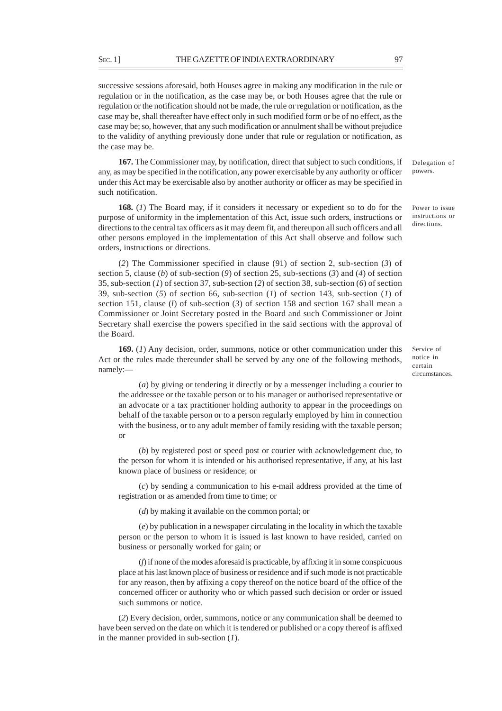successive sessions aforesaid, both Houses agree in making any modification in the rule or regulation or in the notification, as the case may be, or both Houses agree that the rule or regulation or the notification should not be made, the rule or regulation or notification, as the case may be, shall thereafter have effect only in such modified form or be of no effect, as the case may be; so, however, that any such modification or annulment shall be without prejudice to the validity of anything previously done under that rule or regulation or notification, as the case may be.

**167.** The Commissioner may, by notification, direct that subject to such conditions, if any, as may be specified in the notification, any power exercisable by any authority or officer under this Act may be exercisable also by another authority or officer as may be specified in such notification.

**168.** (*1*) The Board may, if it considers it necessary or expedient so to do for the purpose of uniformity in the implementation of this Act, issue such orders, instructions or directions to the central tax officers as it may deem fit, and thereupon all such officers and all other persons employed in the implementation of this Act shall observe and follow such orders, instructions or directions.

(*2*) The Commissioner specified in clause (91) of section 2, sub-section (*3*) of section 5, clause (*b*) of sub-section (*9*) of section 25, sub-sections (*3*) and (*4*) of section 35, sub-section (*1*) of section 37, sub-section (*2*) of section 38, sub-section (*6*) of section 39, sub-section (*5*) of section 66, sub-section (*1*) of section 143, sub-section (*1*) of section 151, clause (*l*) of sub-section (*3*) of section 158 and section 167 shall mean a Commissioner or Joint Secretary posted in the Board and such Commissioner or Joint Secretary shall exercise the powers specified in the said sections with the approval of the Board.

**169.** (*1*) Any decision, order, summons, notice or other communication under this Act or the rules made thereunder shall be served by any one of the following methods, namely:—

(*a*) by giving or tendering it directly or by a messenger including a courier to the addressee or the taxable person or to his manager or authorised representative or an advocate or a tax practitioner holding authority to appear in the proceedings on behalf of the taxable person or to a person regularly employed by him in connection with the business, or to any adult member of family residing with the taxable person; or

(*b*) by registered post or speed post or courier with acknowledgement due, to the person for whom it is intended or his authorised representative, if any, at his last known place of business or residence; or

(*c*) by sending a communication to his e-mail address provided at the time of registration or as amended from time to time; or

(*d*) by making it available on the common portal; or

(*e*) by publication in a newspaper circulating in the locality in which the taxable person or the person to whom it is issued is last known to have resided, carried on business or personally worked for gain; or

(*f*) if none of the modes aforesaid is practicable, by affixing it in some conspicuous place at his last known place of business or residence and if such mode is not practicable for any reason, then by affixing a copy thereof on the notice board of the office of the concerned officer or authority who or which passed such decision or order or issued such summons or notice.

(*2*) Every decision, order, summons, notice or any communication shall be deemed to have been served on the date on which it is tendered or published or a copy thereof is affixed in the manner provided in sub-section (*1*).

Delegation of powers.

Power to issue instructions or directions.

Service of notice in certain circumstances.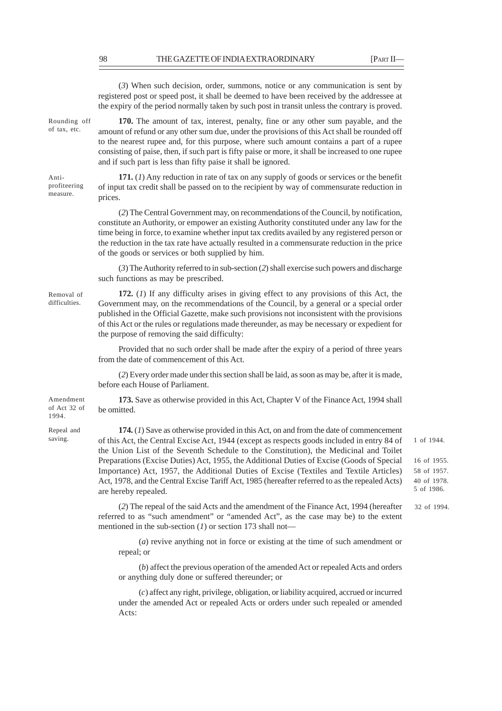(*3*) When such decision, order, summons, notice or any communication is sent by registered post or speed post, it shall be deemed to have been received by the addressee at the expiry of the period normally taken by such post in transit unless the contrary is proved. **170.** The amount of tax, interest, penalty, fine or any other sum payable, and the amount of refund or any other sum due, under the provisions of this Act shall be rounded off to the nearest rupee and, for this purpose, where such amount contains a part of a rupee consisting of paise, then, if such part is fifty paise or more, it shall be increased to one rupee and if such part is less than fifty paise it shall be ignored. **171.** (*1*) Any reduction in rate of tax on any supply of goods or services or the benefit of input tax credit shall be passed on to the recipient by way of commensurate reduction in prices. (*2*) The Central Government may, on recommendations of the Council, by notification, constitute an Authority, or empower an existing Authority constituted under any law for the time being in force, to examine whether input tax credits availed by any registered person or the reduction in the tax rate have actually resulted in a commensurate reduction in the price of the goods or services or both supplied by him. (*3*) The Authority referred to in sub-section (*2*) shall exercise such powers and discharge such functions as may be prescribed. **172.** (*1*) If any difficulty arises in giving effect to any provisions of this Act, the Government may, on the recommendations of the Council, by a general or a special order published in the Official Gazette, make such provisions not inconsistent with the provisions of this Act or the rules or regulations made thereunder, as may be necessary or expedient for the purpose of removing the said difficulty: Provided that no such order shall be made after the expiry of a period of three years from the date of commencement of this Act. (*2*) Every order made under this section shall be laid, as soon as may be, after it is made, before each House of Parliament. **173.** Save as otherwise provided in this Act, Chapter V of the Finance Act, 1994 shall be omitted. **174.** (*1*) Save as otherwise provided in this Act, on and from the date of commencement of this Act, the Central Excise Act, 1944 (except as respects goods included in entry 84 of the Union List of the Seventh Schedule to the Constitution), the Medicinal and Toilet Preparations (Excise Duties) Act, 1955, the Additional Duties of Excise (Goods of Special Importance) Act, 1957, the Additional Duties of Excise (Textiles and Textile Articles) Act, 1978, and the Central Excise Tariff Act, 1985 (hereafter referred to as the repealed Acts) Rounding off of tax, etc. Antiprofiteering measure. Removal of difficulties. Amendment of Act 32 of 1994. Repeal and saving.

16 of 1955. 58 of 1957. 40 of 1978. 5 of 1986.

1 of 1944.

(*2*) The repeal of the said Acts and the amendment of the Finance Act, 1994 (hereafter referred to as "such amendment" or "amended Act", as the case may be) to the extent mentioned in the sub-section (*1*) or section 173 shall not— 32 of 1994.

(*a*) revive anything not in force or existing at the time of such amendment or repeal; or

(*b*) affect the previous operation of the amended Act or repealed Acts and orders or anything duly done or suffered thereunder; or

(*c*) affect any right, privilege, obligation, or liability acquired, accrued or incurred under the amended Act or repealed Acts or orders under such repealed or amended Acts:

are hereby repealed.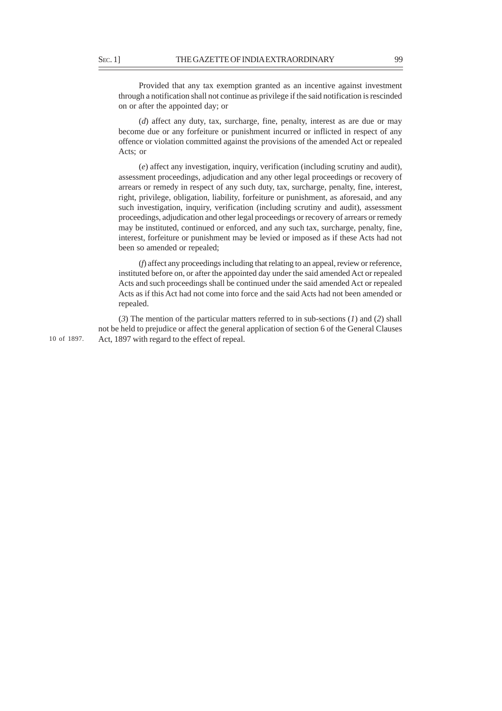Provided that any tax exemption granted as an incentive against investment through a notification shall not continue as privilege if the said notification is rescinded on or after the appointed day; or

(*d*) affect any duty, tax, surcharge, fine, penalty, interest as are due or may become due or any forfeiture or punishment incurred or inflicted in respect of any offence or violation committed against the provisions of the amended Act or repealed Acts; or

(*e*) affect any investigation, inquiry, verification (including scrutiny and audit), assessment proceedings, adjudication and any other legal proceedings or recovery of arrears or remedy in respect of any such duty, tax, surcharge, penalty, fine, interest, right, privilege, obligation, liability, forfeiture or punishment, as aforesaid, and any such investigation, inquiry, verification (including scrutiny and audit), assessment proceedings, adjudication and other legal proceedings or recovery of arrears or remedy may be instituted, continued or enforced, and any such tax, surcharge, penalty, fine, interest, forfeiture or punishment may be levied or imposed as if these Acts had not been so amended or repealed;

(*f*) affect any proceedings including that relating to an appeal, review or reference, instituted before on, or after the appointed day under the said amended Act or repealed Acts and such proceedings shall be continued under the said amended Act or repealed Acts as if this Act had not come into force and the said Acts had not been amended or repealed.

(*3*) The mention of the particular matters referred to in sub-sections (*1*) and (*2*) shall not be held to prejudice or affect the general application of section 6 of the General Clauses 10 of 1897. Act, 1897 with regard to the effect of repeal.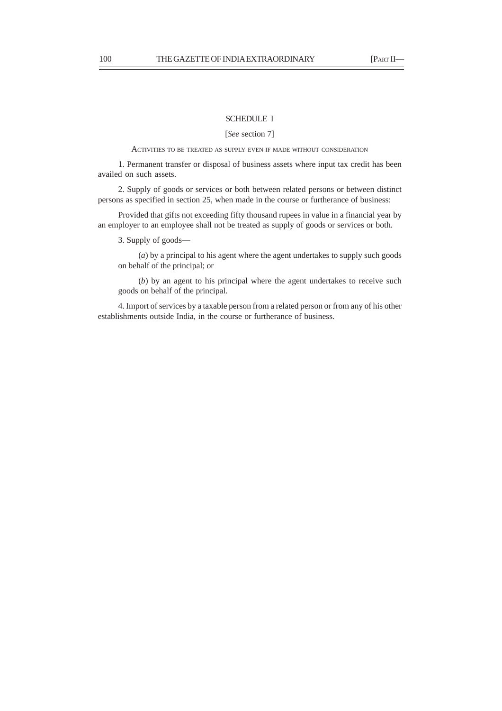# SCHEDULE I

[*See* section 7]

ACTIVITIES TO BE TREATED AS SUPPLY EVEN IF MADE WITHOUT CONSIDERATION

1. Permanent transfer or disposal of business assets where input tax credit has been availed on such assets.

2. Supply of goods or services or both between related persons or between distinct persons as specified in section 25, when made in the course or furtherance of business:

Provided that gifts not exceeding fifty thousand rupees in value in a financial year by an employer to an employee shall not be treated as supply of goods or services or both.

3. Supply of goods—

(*a*) by a principal to his agent where the agent undertakes to supply such goods on behalf of the principal; or

(*b*) by an agent to his principal where the agent undertakes to receive such goods on behalf of the principal.

4. Import of services by a taxable person from a related person or from any of his other establishments outside India, in the course or furtherance of business.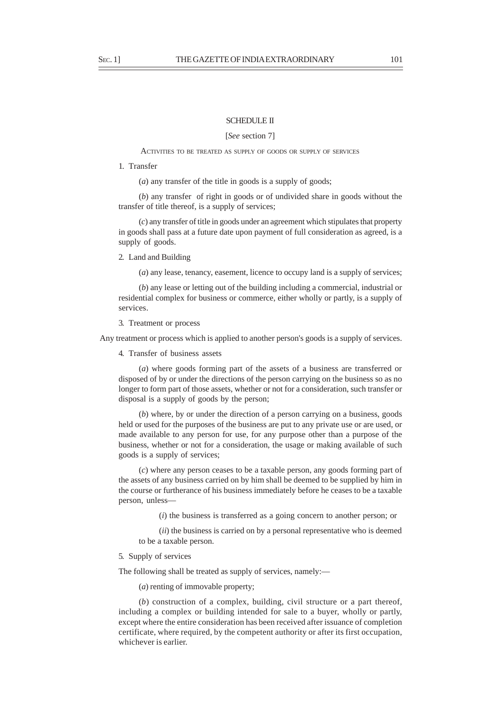#### SCHEDULE II

[*See* section 7]

#### ACTIVITIES TO BE TREATED AS SUPPLY OF GOODS OR SUPPLY OF SERVICES

1. Transfer

(*a*) any transfer of the title in goods is a supply of goods;

(*b*) any transfer of right in goods or of undivided share in goods without the transfer of title thereof, is a supply of services;

(*c*) any transfer of title in goods under an agreement which stipulates that property in goods shall pass at a future date upon payment of full consideration as agreed, is a supply of goods.

# 2. Land and Building

(*a*) any lease, tenancy, easement, licence to occupy land is a supply of services;

(*b*) any lease or letting out of the building including a commercial, industrial or residential complex for business or commerce, either wholly or partly, is a supply of services.

#### 3. Treatment or process

Any treatment or process which is applied to another person's goods is a supply of services.

4. Transfer of business assets

(*a*) where goods forming part of the assets of a business are transferred or disposed of by or under the directions of the person carrying on the business so as no longer to form part of those assets, whether or not for a consideration, such transfer or disposal is a supply of goods by the person;

(*b*) where, by or under the direction of a person carrying on a business, goods held or used for the purposes of the business are put to any private use or are used, or made available to any person for use, for any purpose other than a purpose of the business, whether or not for a consideration, the usage or making available of such goods is a supply of services;

(*c*) where any person ceases to be a taxable person, any goods forming part of the assets of any business carried on by him shall be deemed to be supplied by him in the course or furtherance of his business immediately before he ceases to be a taxable person, unless—

(*i*) the business is transferred as a going concern to another person; or

(*ii*) the business is carried on by a personal representative who is deemed to be a taxable person.

#### 5. Supply of services

The following shall be treated as supply of services, namely:—

(*a*) renting of immovable property;

(*b*) construction of a complex, building, civil structure or a part thereof, including a complex or building intended for sale to a buyer, wholly or partly, except where the entire consideration has been received after issuance of completion certificate, where required, by the competent authority or after its first occupation, whichever is earlier.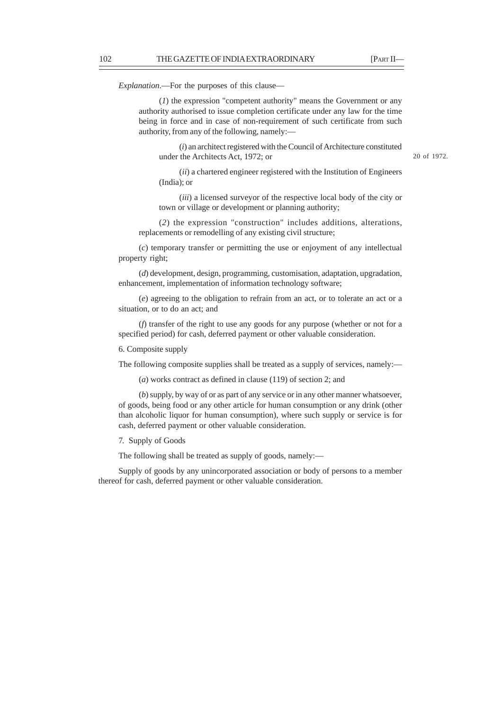*Explanation*.—For the purposes of this clause—

(*1*) the expression "competent authority" means the Government or any authority authorised to issue completion certificate under any law for the time being in force and in case of non-requirement of such certificate from such authority, from any of the following, namely:—

(*i*) an architect registered with the Council of Architecture constituted under the Architects Act, 1972; or

20 of 1972.

(*ii*) a chartered engineer registered with the Institution of Engineers (India); or

(*iii*) a licensed surveyor of the respective local body of the city or town or village or development or planning authority;

(*2*) the expression "construction" includes additions, alterations, replacements or remodelling of any existing civil structure;

(*c*) temporary transfer or permitting the use or enjoyment of any intellectual property right;

(*d*) development, design, programming, customisation, adaptation, upgradation, enhancement, implementation of information technology software;

(*e*) agreeing to the obligation to refrain from an act, or to tolerate an act or a situation, or to do an act; and

(*f*) transfer of the right to use any goods for any purpose (whether or not for a specified period) for cash, deferred payment or other valuable consideration.

6. Composite supply

The following composite supplies shall be treated as a supply of services, namely:—

(*a*) works contract as defined in clause (119) of section 2; and

(*b*) supply, by way of or as part of any service or in any other manner whatsoever, of goods, being food or any other article for human consumption or any drink (other than alcoholic liquor for human consumption), where such supply or service is for cash, deferred payment or other valuable consideration.

7. Supply of Goods

The following shall be treated as supply of goods, namely:—

Supply of goods by any unincorporated association or body of persons to a member thereof for cash, deferred payment or other valuable consideration.